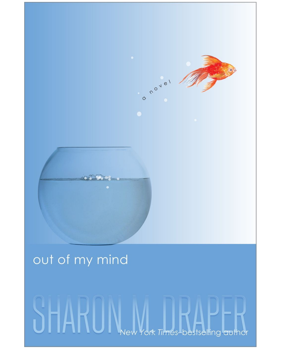### out of my mind

# **SHARUIN** New York Times-bestselling author

o novel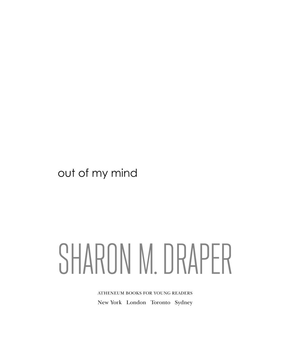out of my mind

## SHARON M. DRAPER

ATHENEUM BOOKS FOR YOUNG READERS New York London Toronto Sydney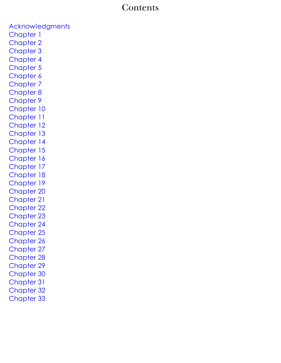#### Contents

**Ackno[wle](#page-3-0)dgments** [C](#page-5-0)hapter 1 [C](#page-6-0)hapter 2 [C](#page-9-0)hapter 3 [C](#page-13-0)hapter 4 [C](#page-17-0)hapter 5 [C](#page-22-0)hapter 6 [C](#page-27-0)hapter 7 [C](#page-31-0)hapter 8 [C](#page-35-0)hapter 9 [C](#page-40-0)hapter 10 [C](#page-44-0)hapter 11 [C](#page-49-0)hapter 12 [C](#page-54-0)hapter 13 [C](#page-58-0)hapter 14 [C](#page-60-0)hapter 15 [C](#page-65-0)hapter 16 [C](#page-68-0)hapter 17 [C](#page-73-0)hapter 18 [C](#page-78-0)hapter 19 [C](#page-82-0)hapter 20 [C](#page-86-0)hapter 21 [C](#page-89-0)hapter 22 [C](#page-92-0)hapter 23 [C](#page-96-0)hapter 24 [C](#page-102-0)hapter 25 [C](#page-107-0)hapter 26 [C](#page-112-0)hapter 27 [C](#page-116-0)hapter 28 [C](#page-122-0)hapter 29 [C](#page-124-0)hapter 30 [C](#page-129-0)hapter 31 [C](#page-132-0)hapter 32

[C](#page-137-0)hapter 33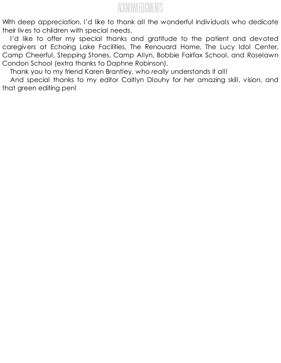ACKNOWLEDGMENTS

<span id="page-3-0"></span>With deep appreciation, I'd like to thank all the wonderful individuals who dedicate their lives to children with special needs.

I'd like to offer my special thanks and gratitude to the patient and devoted caregivers at Echoing Lake Facilities, The Renouard Home, The Lucy Idol Center, Camp Cheerful, Stepping Stones, Camp Allyn, Bobbie Fairfax School, and Roselawn Condon School (extra thanks to Daphne Robinson).

Thank you to my friend Karen Brantley, who *really* understands it all!

And special thanks to my editor Caitlyn Dlouhy for her amazing skill, vision, and that green editing pen!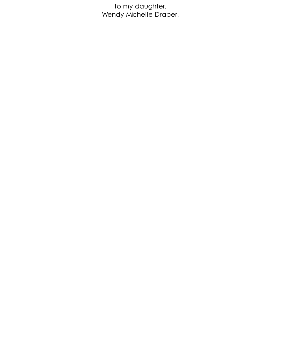To my daughter, Wendy Michelle Draper,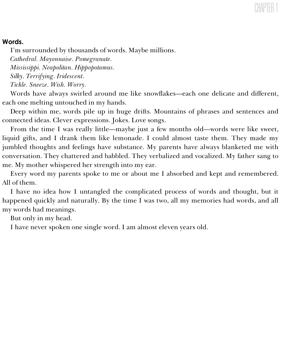#### <span id="page-5-0"></span>**Words.**

I'm surrounded by thousands of words. Maybe millions. *Cathedral. Mayonnaise. Pomegranate. Mississippi. Neapolitan. Hippopotamus. Silky. Terrifying. Iridescent. Tickle. Sneeze. Wish. Worry.*

Words have always swirled around me like snowflakes—each one delicate and different, each one melting untouched in my hands.

Deep within me, words pile up in huge drifts. Mountains of phrases and sentences and connected ideas. Clever expressions. Jokes. Love songs.

From the time I was really little—maybe just a few months old—words were like sweet, liquid gifts, and I drank them like lemonade. I could almost taste them. They made my jumbled thoughts and feelings have substance. My parents have always blanketed me with conversation. They chattered and babbled. They verbalized and vocalized. My father sang to me. My mother whispered her strength into my ear.

Every word my parents spoke to me or about me I absorbed and kept and remembered. All of them.

I have no idea how I untangled the complicated process of words and thought, but it happened quickly and naturally. By the time I was two, all my memories had words, and all my words had meanings.

But only in my head.

I have never spoken one single word. I am almost eleven years old.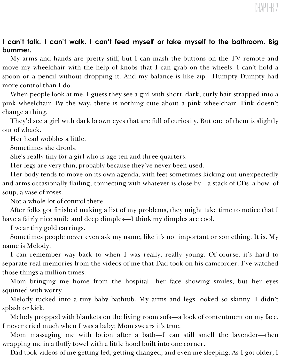#### <span id="page-6-0"></span>**I can't talk. I can't walk. I can't feed myself or take myself to the bathroom. Big bummer.**

My arms and hands are pretty stiff, but I can mash the buttons on the TV remote and move my wheelchair with the help of knobs that I can grab on the wheels. I can't hold a spoon or a pencil without dropping it. And my balance is like zip—Humpty Dumpty had more control than I do.

When people look at me, I guess they see a girl with short, dark, curly hair strapped into a pink wheelchair. By the way, there is nothing cute about a pink wheelchair. Pink doesn't change a thing.

They'd see a girl with dark brown eyes that are full of curiosity. But one of them is slightly out of whack.

Her head wobbles a little.

Sometimes she drools.

She's really tiny for a girl who is age ten and three quarters.

Her legs are very thin, probably because they've never been used.

Her body tends to move on its own agenda, with feet sometimes kicking out unexpectedly and arms occasionally flailing, connecting with whatever is close by—a stack of CDs, a bowl of soup, a vase of roses.

Not a whole lot of control there.

After folks got finished making a list of my problems, they might take time to notice that I have a fairly nice smile and deep dimples—I think my dimples are cool.

I wear tiny gold earrings.

Sometimes people never even ask my name, like it's not important or something. It is. My name is Melody.

I can remember way back to when I was really, really young. Of course, it's hard to separate real memories from the videos of me that Dad took on his camcorder. I've watched those things a million times.

Mom bringing me home from the hospital—her face showing smiles, but her eyes squinted with worry.

Melody tucked into a tiny baby bathtub. My arms and legs looked so skinny. I didn't splash or kick.

Melody propped with blankets on the living room sofa—a look of contentment on my face. I never cried much when I was a baby; Mom swears it's true.

Mom massaging me with lotion after a bath—I can still smell the lavender—then wrapping me in a fluffy towel with a little hood built into one corner.

Dad took videos of me getting fed, getting changed, and even me sleeping. As I got older, I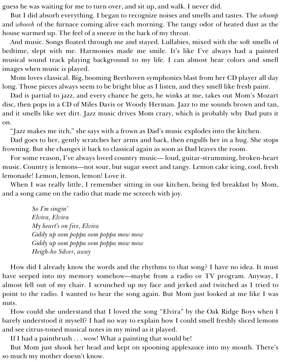guess he was waiting for me to turn over, and sit up, and walk. I never did.

But I did absorb everything. I began to recognize noises and smells and tastes. The *whump* and *whoosh* of the furnace coming alive each morning. The tangy odor of heated dust as the house warmed up. The feel of a sneeze in the back of my throat.

And music. Songs floated through me and stayed. Lullabies, mixed with the soft smells of bedtime, slept with me. Harmonies made me smile. It's like I've always had a painted musical sound track playing background to my life. I can almost hear colors and smell images when music is played.

Mom loves classical. Big, booming Beethoven symphonies blast from her CD player all day long. Those pieces always seem to be bright blue as I listen, and they smell like fresh paint.

Dad is partial to jazz, and every chance he gets, he winks at me, takes out Mom's Mozart disc, then pops in a CD of Miles Davis or Woody Herman. Jazz to me sounds brown and tan, and it smells like wet dirt. Jazz music drives Mom crazy, which is probably why Dad puts it on.

"Jazz makes me itch," she says with a frown as Dad's music explodes into the kitchen.

Dad goes to her, gently scratches her arms and back, then engulfs her in a hug. She stops frowning. But she changes it back to classical again as soon as Dad leaves the room.

For some reason, I've always loved country music— loud, guitar-strumming, broken-heart music. Country is lemons—not sour, but sugar sweet and tangy. Lemon cake icing, cool, fresh lemonade! Lemon, lemon, lemon! Love it.

When I was really little, I remember sitting in our kitchen, being fed breakfast by Mom, and a song came on the radio that made me screech with joy.

> *So I'm singin' Elvira, Elvira My heart's on fire, Elvira Giddy up oom poppa oom poppa mow mow Giddy up oom poppa oom poppa mow mow Heigh-ho Silver, away*

How did I already know the words and the rhythms to that song? I have no idea. It must have seeped into my memory somehow—maybe from a radio or TV program. Anyway, I almost fell out of my chair. I scrunched up my face and jerked and twitched as I tried to point to the radio. I wanted to hear the song again. But Mom just looked at me like I was nuts.

How could she understand that I loved the song "Elvira" by the Oak Ridge Boys when I barely understood it myself? I had no way to explain how I could smell freshly sliced lemons and see citrus-toned musical notes in my mind as it played.

If I had a paintbrush . . . wow! What a painting that would be!

But Mom just shook her head and kept on spooning applesauce into my mouth. There's so much my mother doesn't know.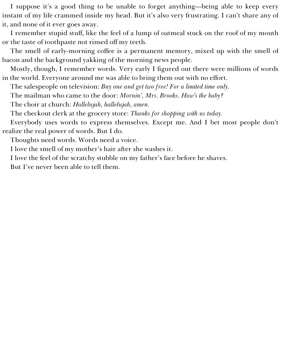I suppose it's a good thing to be unable to forget anything—being able to keep every instant of my life crammed inside my head. But it's also very frustrating. I can't share any of it, and none of it ever goes away.

I remember stupid stuff, like the feel of a lump of oatmeal stuck on the roof of my mouth or the taste of toothpaste not rinsed off my teeth.

The smell of early-morning coffee is a permanent memory, mixed up with the smell of bacon and the background yakking of the morning news people.

Mostly, though, I remember words. Very early I figured out there were millions of words in the world. Everyone around me was able to bring them out with no effort.

The salespeople on television: *Buy one and get two free! For a limited time only.*

The mailman who came to the door: *Mornin', Mrs. Brooks. How's the baby?*

The choir at church: *Hallelujah, hallelujah, amen.*

The checkout clerk at the grocery store: *Thanks for shopping with us today.*

Everybody uses words to express themselves. Except me. And I bet most people don't realize the real power of words. But I do.

Thoughts need words. Words need a voice.

I love the smell of my mother's hair after she washes it.

I love the feel of the scratchy stubble on my father's face before he shaves.

But I've never been able to tell them.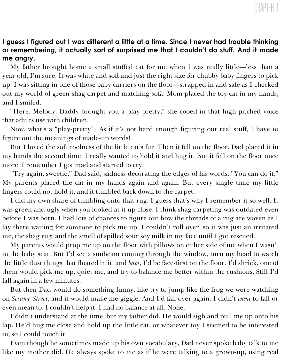#### <span id="page-9-0"></span>I guess I figured out I was different a little at a time. Since I never had trouble thinking **or remembering, it actually sort of surprised me that I couldn't do stuff. And it made me angry.**

My father brought home a small stuffed cat for me when I was really little—less than a year old, I'm sure. It was white and soft and just the right size for chubby baby fingers to pick up. I was sitting in one of those baby carriers on the floor—strapped in and safe as I checked out my world of green shag carpet and matching sofa. Mom placed the toy cat in my hands, and I smiled.

"Here, Melody. Daddy brought you a play-pretty," she cooed in that high-pitched voice that adults use with children.

Now, what's a "play-pretty"? As if it's not hard enough figuring out real stuff, I have to figure out the meanings of made-up words!

But I loved the soft coolness of the little cat's fur. Then it fell on the floor. Dad placed it in my hands the second time. I really wanted to hold it and hug it. But it fell on the floor once more. I remember I got mad and started to cry.

"Try again, sweetie," Dad said, sadness decorating the edges of his words. "You can do it." My parents placed the cat in my hands again and again. But every single time my little fingers could not hold it, and it tumbled back down to the carpet.

I did my own share of tumbling onto that rug. I guess that's why I remember it so well. It was green and ugly when you looked at it up close. I think shag carpeting was outdated even before I was born. I had lots of chances to figure out how the threads of a rug are woven as I lay there waiting for someone to pick me up. I couldn't roll over, so it was just an irritated me, the shag rug, and the smell of spilled sour soy milk in my face until I got rescued.

My parents would prop me up on the floor with pillows on either side of me when I wasn't in the baby seat. But I'd see a sunbeam coming through the window, turn my head to watch the little dust things that floated in it, and *bam*, I'd be face-first on the floor. I'd shriek, one of them would pick me up, quiet me, and try to balance me better within the cushions. Still I'd fall again in a few minutes.

But then Dad would do something funny, like try to jump like the frog we were watching on *Sesame Street*, and it would make me giggle. And I'd fall over again. I didn't *want* to fall or even mean to. I couldn't help it. I had no balance at all. None.

I didn't understand at the time, but my father did. He would sigh and pull me up onto his lap. He'd hug me close and hold up the little cat, or whatever toy I seemed to be interested in, so I could touch it.

Even though he sometimes made up his own vocabulary, Dad never spoke baby talk to me like my mother did. He always spoke to me as if he were talking to a grown-up, using real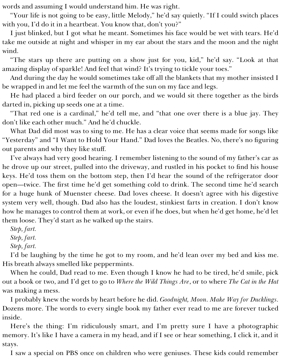words and assuming I would understand him. He was right.

"Your life is not going to be easy, little Melody," he'd say quietly. "If I could switch places with you, I'd do it in a heartbeat. You know that, don't you?"

I just blinked, but I got what he meant. Sometimes his face would be wet with tears. He'd take me outside at night and whisper in my ear about the stars and the moon and the night wind.

"The stars up there are putting on a show just for you, kid," he'd say. "Look at that amazing display of sparkle! And feel that wind? It's trying to tickle your toes."

And during the day he would sometimes take off all the blankets that my mother insisted I be wrapped in and let me feel the warmth of the sun on my face and legs.

He had placed a bird feeder on our porch, and we would sit there together as the birds darted in, picking up seeds one at a time.

"That red one is a cardinal," he'd tell me, and "that one over there is a blue jay. They don't like each other much." And he'd chuckle.

What Dad did most was to sing to me. He has a clear voice that seems made for songs like "Yesterday" and "I Want to Hold Your Hand." Dad loves the Beatles. No, there's no figuring out parents and why they like stuff.

I've always had very good hearing. I remember listening to the sound of my father's car as he drove up our street, pulled into the driveway, and rustled in his pocket to find his house keys. He'd toss them on the bottom step, then I'd hear the sound of the refrigerator door open—twice. The first time he'd get something cold to drink. The second time he'd search for a huge hunk of Muenster cheese. Dad loves cheese. It doesn't agree with his digestive system very well, though. Dad also has the loudest, stinkiest farts in creation. I don't know how he manages to control them at work, or even if he does, but when he'd get home, he'd let them loose. They'd start as he walked up the stairs.

*Step, fart.*

*Step, fart.*

*Step, fart.*

I'd be laughing by the time he got to my room, and he'd lean over my bed and kiss me. His breath always smelled like peppermints.

When he could, Dad read to me. Even though I know he had to be tired, he'd smile, pick out a book or two, and I'd get to go to *Where the Wild Things Are*, or to where *The Cat in the Hat* was making a mess.

I probably knew the words by heart before he did. *Goodnight, Moon. Make Way for Ducklings.* Dozens more. The words to every single book my father ever read to me are forever tucked inside.

Here's the thing: I'm ridiculously smart, and I'm pretty sure I have a photographic memory. It's like I have a camera in my head, and if I see or hear something, I click it, and it stays.

I saw a special on PBS once on children who were geniuses. These kids could remember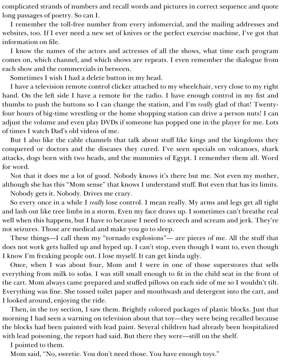complicated strands of numbers and recall words and pictures in correct sequence and quote long passages of poetry. So can I.

I remember the toll-free number from every infomercial, and the mailing addresses and websites, too. If I ever need a new set of knives or the perfect exercise machine, I've got that information on file.

I know the names of the actors and actresses of all the shows, what time each program comes on, which channel, and which shows are repeats. I even remember the dialogue from each show and the commercials in between.

Sometimes I wish I had a delete button in my head.

I have a television remote control clicker attached to my wheelchair, very close to my right hand. On the left side I have a remote for the radio. I have enough control in my fist and thumbs to push the buttons so I can change the station, and I'm *really* glad of that! Twentyfour hours of big-time wrestling or the home shopping station can drive a person nuts! I can adjust the volume and even play DVDs if someone has popped one in the player for me. Lots of times I watch Dad's old videos of me.

But I also like the cable channels that talk about stuff like kings and the kingdoms they conquered or doctors and the diseases they cured. I've seen specials on volcanoes, shark attacks, dogs born with two heads, and the mummies of Egypt. I remember them all. Word for word.

Not that it does me a lot of good. Nobody knows it's there but me. Not even my mother, although she has this "Mom sense" that knows I understand stuff. But even that has its limits.

Nobody gets it. Nobody. Drives me crazy.

So every once in a while I *really* lose control. I mean really. My arms and legs get all tight and lash out like tree limbs in a storm. Even my face draws up. I sometimes can't breathe real well when this happens, but I have to because I need to screech and scream and jerk. They're not seizures. Those are medical and make you go to sleep.

These things—I call them my "tornado explosions"— are pieces of me. All the stuff that does not work gets balled up and hyped up. I can't stop, even though I want to, even though I know I'm freaking people out. I lose myself. It can get kinda ugly.

Once, when I was about four, Mom and I were in one of those superstores that sells everything from milk to sofas. I was still small enough to fit in the child seat in the front of the cart. Mom always came prepared and stuffed pillows on each side of me so I wouldn't tilt. Everything was fine. She tossed toilet paper and mouthwash and detergent into the cart, and I looked around, enjoying the ride.

Then, in the toy section, I saw them. Brightly colored packages of plastic blocks. Just that morning I had seen a warning on television about that toy—they were being recalled because the blocks had been painted with lead paint. Several children had already been hospitalized with lead poisoning, the report had said. But there they were—still on the shelf.

I pointed to them.

Mom said, "No, sweetie. You don't need those. You have enough toys."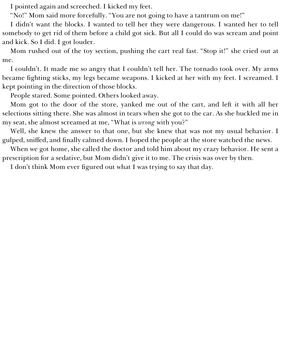I pointed again and screeched. I kicked my feet.

"No!" Mom said more forcefully. "You are not going to have a tantrum on me!"

I didn't want the blocks. I wanted to tell her they were dangerous. I wanted her to tell somebody to get rid of them before a child got sick. But all I could do was scream and point and kick. So I did. I got louder.

Mom rushed out of the toy section, pushing the cart real fast. "Stop it!" she cried out at me.

I couldn't. It made me so angry that I couldn't tell her. The tornado took over. My arms became fighting sticks, my legs became weapons. I kicked at her with my feet. I screamed. I kept pointing in the direction of those blocks.

People stared. Some pointed. Others looked away.

Mom got to the door of the store, yanked me out of the cart, and left it with all her selections sitting there. She was almost in tears when she got to the car. As she buckled me in my seat, she almost screamed at me, "What is *wrong* with you?"

Well, she knew the answer to that one, but she knew that was not my usual behavior. I gulped, sniffed, and finally calmed down. I hoped the people at the store watched the news.

When we got home, she called the doctor and told him about my crazy behavior. He sent a prescription for a sedative, but Mom didn't give it to me. The crisis was over by then.

I don't think Mom ever figured out what I was trying to say that day.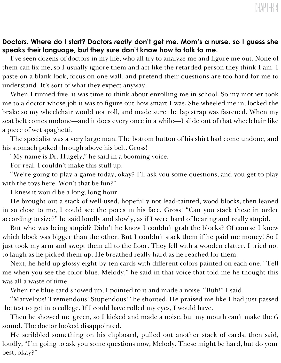#### <span id="page-13-0"></span>**Doctors. Where do I start? Doctors** *really* **don't get me. Mom's a nurse, so I guess she speaks their language, but they sure don't know how to talk to me.**

I've seen dozens of doctors in my life, who all try to analyze me and figure me out. None of them can fix me, so I usually ignore them and act like the retarded person they think I am. I paste on a blank look, focus on one wall, and pretend their questions are too hard for me to understand. It's sort of what they expect anyway.

When I turned five, it was time to think about enrolling me in school. So my mother took me to a doctor whose job it was to figure out how smart I was. She wheeled me in, locked the brake so my wheelchair would not roll, and made sure the lap strap was fastened. When my seat belt comes undone—and it does every once in a while—I slide out of that wheelchair like a piece of wet spaghetti.

The specialist was a very large man. The bottom button of his shirt had come undone, and his stomach poked through above his belt. Gross!

"My name is Dr. Hugely," he said in a booming voice.

For real. I couldn't make this stuff up.

"We're going to play a game today, okay? I'll ask you some questions, and you get to play with the toys here. Won't that be fun?"

I knew it would be a long, long hour.

He brought out a stack of well-used, hopefully not lead-tainted, wood blocks, then leaned in so close to me, I could see the pores in his face. Gross! "Can you stack these in order according to size?" he said loudly and slowly, as if I were hard of hearing and really stupid.

But who was being stupid? Didn't he know I couldn't grab the blocks? Of course I knew which block was bigger than the other. But I couldn't stack them if he paid me money! So I just took my arm and swept them all to the floor. They fell with a wooden clatter. I tried not to laugh as he picked them up. He breathed really hard as he reached for them.

Next, he held up glossy eight-by-ten cards with different colors painted on each one. "Tell me when you see the color blue, Melody," he said in that voice that told me he thought this was all a waste of time.

When the blue card showed up, I pointed to it and made a noise. "Buh!" I said.

"Marvelous! Tremendous! Stupendous!" he shouted. He praised me like I had just passed the test to get into college. If I could have rolled my eyes, I would have.

Then he showed me green, so I kicked and made a noise, but my mouth can't make the *G* sound. The doctor looked disappointed.

He scribbled something on his clipboard, pulled out another stack of cards, then said, loudly, "I'm going to ask you some questions now, Melody. These might be hard, but do your best, okay?"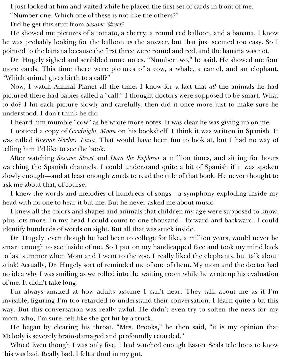I just looked at him and waited while he placed the first set of cards in front of me.

"Number one. Which one of these is not like the others?"

Did he get this stuff from *Sesame Street*?

He showed me pictures of a tomato, a cherry, a round red balloon, and a banana. I know he was probably looking for the balloon as the answer, but that just seemed too easy. So I pointed to the banana because the first three were round and red, and the banana was not.

Dr. Hugely sighed and scribbled more notes. "Number two," he said. He showed me four more cards. This time there were pictures of a cow, a whale, a camel, and an elephant. "Which animal gives birth to a calf?"

Now, I watch Animal Planet all the time. I know for a fact that *all* the animals he had pictured there had babies called a "calf." I thought doctors were supposed to be smart. What to do? I hit each picture slowly and carefully, then did it once more just to make sure he understood. I don't think he did.

I heard him mumble "cow" as he wrote more notes. It was clear he was giving up on me.

I noticed a copy of *Goodnight, Moon* on his bookshelf. I think it was written in Spanish. It was called *Buenas Noches, Luna*. That would have been fun to look at, but I had no way of telling him I'd like to see the book.

After watching *Sesame Street* and *Dora the Explorer* a million times, and sitting for hours watching the Spanish channels, I could understand quite a bit of Spanish if it was spoken slowly enough—and at least enough words to read the title of that book. He never thought to ask me about that, of course.

I knew the words and melodies of hundreds of songs—a symphony exploding inside my head with no one to hear it but me. But he never asked me about music.

I knew all the colors and shapes and animals that children my age were supposed to know, plus lots more. In my head I could count to one thousand—forward and backward. I could identify hundreds of words on sight. But all that was stuck inside.

Dr. Hugely, even though he had been to college for like, a million years, would never be smart enough to see inside of me. So I put on my handicapped face and took my mind back to last summer when Mom and I went to the zoo. I really liked the elephants, but talk about stink! Actually, Dr. Hugely sort of reminded me of one of them. My mom and the doctor had no idea why I was smiling as we rolled into the waiting room while he wrote up his evaluation of me. It didn't take long.

I'm always amazed at how adults assume I can't hear. They talk about me as if I'm invisible, figuring I'm too retarded to understand their conversation. I learn quite a bit this way. But this conversation was really awful. He didn't even try to soften the news for my mom, who, I'm sure, felt like she got hit by a truck.

He began by clearing his throat. "Mrs. Brooks," he then said, "it is my opinion that Melody is severely brain-damaged and profoundly retarded."

Whoa! Even though I was only five, I had watched enough Easter Seals telethons to know this was bad. Really bad. I felt a thud in my gut.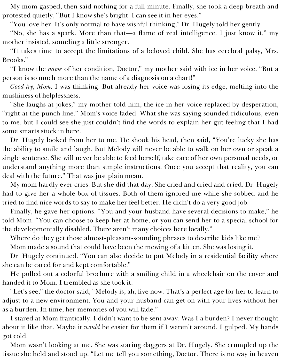My mom gasped, then said nothing for a full minute. Finally, she took a deep breath and protested quietly, "But I know she's bright. I can see it in her eyes."

"You love her. It's only normal to have wishful thinking," Dr. Hugely told her gently.

"No, she has a spark. More than that—a flame of real intelligence. I just know it," my mother insisted, sounding a little stronger.

"It takes time to accept the limitations of a beloved child. She has cerebral palsy, Mrs. Brooks."

"I know the *name* of her condition, Doctor," my mother said with ice in her voice. "But a person is so much more than the name of a diagnosis on a chart!"

*Good try, Mom,* I was thinking. But already her voice was losing its edge, melting into the mushiness of helplessness.

"She laughs at jokes," my mother told him, the ice in her voice replaced by desperation, "right at the punch line." Mom's voice faded. What she was saying sounded ridiculous, even to me, but I could see she just couldn't find the words to explain her gut feeling that I had some smarts stuck in here.

Dr. Hugely looked from her to me. He shook his head, then said, "You're lucky she has the ability to smile and laugh. But Melody will never be able to walk on her own or speak a single sentence. She will never be able to feed herself, take care of her own personal needs, or understand anything more than simple instructions. Once you accept that reality, you can deal with the future." That was just plain mean.

My mom hardly ever cries. But she did that day. She cried and cried and cried. Dr. Hugely had to give her a whole box of tissues. Both of them ignored me while she sobbed and he tried to find nice words to say to make her feel better. He didn't do a very good job.

Finally, he gave her options. "You and your husband have several decisions to make," he told Mom. "You can choose to keep her at home, or you can send her to a special school for the developmentally disabled. There aren't many choices here locally."

Where do they get those almost-pleasant-sounding phrases to describe kids like me?

Mom made a sound that could have been the mewing of a kitten. She was losing it.

Dr. Hugely continued. "You can also decide to put Melody in a residential facility where she can be cared for and kept comfortable."

He pulled out a colorful brochure with a smiling child in a wheelchair on the cover and handed it to Mom. I trembled as she took it.

"Let's see," the doctor said, "Melody is, ah, five now. That's a perfect age for her to learn to adjust to a new environment. You and your husband can get on with your lives without her as a burden. In time, her memories of you will fade."

I stared at Mom frantically. I didn't want to be sent away. Was I a burden? I never thought about it like that. Maybe it *would* be easier for them if I weren't around. I gulped. My hands got cold.

Mom wasn't looking at me. She was staring daggers at Dr. Hugely. She crumpled up the tissue she held and stood up. "Let me tell you something, Doctor. There is no way in heaven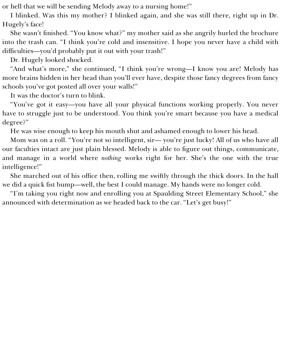or hell that we will be sending Melody away to a nursing home!"

I blinked. Was this my mother? I blinked again, and she was still there, right up in Dr. Hugely's face!

She wasn't finished. "You know what?" my mother said as she angrily hurled the brochure into the trash can. "I think you're cold and insensitive. I hope you never have a child with difficulties—you'd probably put it out with your trash!"

Dr. Hugely looked shocked.

"And what's more," she continued, "I think you're wrong—I know you are! Melody has more brains hidden in her head than you'll ever have, despite those fancy degrees from fancy schools you've got posted all over your walls!"

It was the doctor's turn to blink.

"You've got it easy—you have all your physical functions working properly. You never have to struggle just to be understood. You think you're smart because you have a medical degree?"

He was wise enough to keep his mouth shut and ashamed enough to lower his head.

Mom was on a roll. "You're not so intelligent, sir— you're just lucky! All of us who have all our faculties intact are just plain blessed. Melody is able to figure out things, communicate, and manage in a world where *nothing* works right for her. She's the one with the true intelligence!"

She marched out of his office then, rolling me swiftly through the thick doors. In the hall we did a quick fist bump—well, the best I could manage. My hands were no longer cold.

"I'm taking you right now and enrolling you at Spaulding Street Elementary School," she announced with determination as we headed back to the car. "Let's get busy!"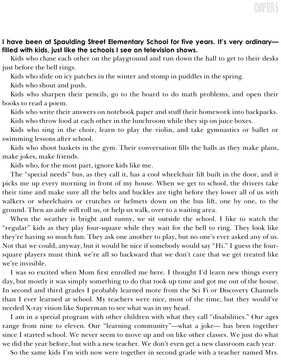#### <span id="page-17-0"></span>**I have been at Spaulding Street Elementary School for five years. It's very ordinary filled with kids, just like the schools I see on television shows.**

Kids who chase each other on the playground and run down the hall to get to their desks just before the bell rings.

Kids who slide on icy patches in the winter and stomp in puddles in the spring.

Kids who shout and push.

Kids who sharpen their pencils, go to the board to do math problems, and open their books to read a poem.

Kids who write their answers on notebook paper and stuff their homework into backpacks. Kids who throw food at each other in the lunchroom while they sip on juice boxes.

Kids who sing in the choir, learn to play the violin, and take gymnastics or ballet or swimming lessons after school.

Kids who shoot baskets in the gym. Their conversation fills the halls as they make plans, make jokes, make friends.

Kids who, for the most part, ignore kids like me.

The "special needs" bus, as they call it, has a cool wheelchair lift built in the door, and it picks me up every morning in front of my house. When we get to school, the drivers take their time and make sure all the belts and buckles are tight before they lower all of us with walkers or wheelchairs or crutches or helmets down on the bus lift, one by one, to the ground. Then an aide will roll us, or help us walk, over to a waiting area.

When the weather is bright and sunny, we sit outside the school. I like to watch the "regular" kids as they play four-square while they wait for the bell to ring. They look like they're having so much fun. They ask one another to play, but no one's ever asked any of us. Not that we could, anyway, but it would be nice if somebody would say "Hi." I guess the foursquare players must think we're all so backward that we don't care that we get treated like we're invisible.

I was so excited when Mom first enrolled me here. I thought I'd learn new things every day, but mostly it was simply something to do that took up time and got me out of the house. In second and third grades I probably learned more from the Sci Fi or Discovery Channels than I ever learned at school. My teachers were nice, most of the time, but they would've needed X-ray vision like Superman to see what was in my head.

I am in a special program with other children with what they call "disabilities." Our ages range from nine to eleven. Our "learning community"—what a joke— has been together since I started school. We never seem to move up and on like other classes. We just do what we did the year before, but with a new teacher. We don't even get a new classroom each year.

So the same kids I'm with now were together in second grade with a teacher named Mrs.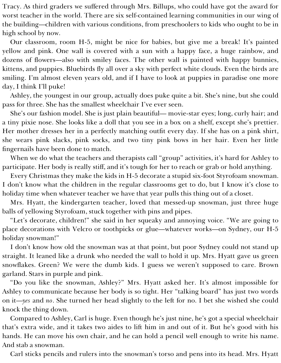Tracy. As third graders we suffered through Mrs. Billups, who could have got the award for worst teacher in the world. There are six self-contained learning communities in our wing of the building—children with various conditions, from preschoolers to kids who ought to be in high school by now.

Our classroom, room H-5, might be nice for babies, but give me a break! It's painted yellow and pink. One wall is covered with a sun with a happy face, a huge rainbow, and dozens of flowers—also with smiley faces. The other wall is painted with happy bunnies, kittens, and puppies. Bluebirds fly all over a sky with perfect white clouds. Even the birds are smiling. I'm almost eleven years old, and if I have to look at puppies in paradise one more day, I think I'll puke!

Ashley, the youngest in our group, actually does puke quite a bit. She's nine, but she could pass for three. She has the smallest wheelchair I've ever seen.

She's our fashion model. She is just plain beautiful— movie-star eyes; long, curly hair; and a tiny pixie nose. She looks like a doll that you see in a box on a shelf, except she's prettier. Her mother dresses her in a perfectly matching outfit every day. If she has on a pink shirt, she wears pink slacks, pink socks, and two tiny pink bows in her hair. Even her little fingernails have been done to match.

When we do what the teachers and therapists call "group" activities, it's hard for Ashley to participate. Her body is really stiff, and it's tough for her to reach or grab or hold anything.

Every Christmas they make the kids in H-5 decorate a stupid six-foot Styrofoam snowman. I don't know what the children in the regular classrooms get to do, but I know it's close to holiday time when whatever teacher we have that year pulls this thing out of a closet.

Mrs. Hyatt, the kindergarten teacher, loved that messed-up snowman, just three huge balls of yellowing Styrofoam, stuck together with pins and pipes.

"Let's decorate, children!" she said in her squeaky and annoying voice. "We are going to place decorations with Velcro or toothpicks or glue—whatever works—on Sydney, our H-5 holiday snowman!"

I don't know how old the snowman was at that point, but poor Sydney could not stand up straight. It leaned like a drunk who needed the wall to hold it up. Mrs. Hyatt gave us green snowflakes. Green? We were the dumb kids. I guess we weren't supposed to care. Brown garland. Stars in purple and pink.

"Do you like the snowman, Ashley?" Mrs. Hyatt asked her. It's almost impossible for Ashley to communicate because her body is so tight. Her "talking board" has just two words on it—*yes* and *no*. She turned her head slightly to the left for no. I bet she wished she could knock the thing down.

Compared to Ashley, Carl is huge. Even though he's just nine, he's got a special wheelchair that's extra wide, and it takes two aides to lift him in and out of it. But he's good with his hands. He can move his own chair, and he can hold a pencil well enough to write his name. And stab a snowman.

Carl sticks pencils and rulers into the snowman's torso and pens into its head. Mrs. Hyatt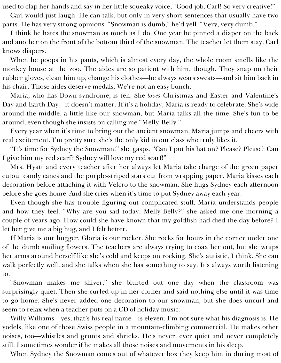used to clap her hands and say in her little squeaky voice, "Good job, Carl! So very creative!"

Carl would just laugh. He can talk, but only in very short sentences that usually have two parts. He has very strong opinions. "Snowman is dumb," he'd yell. "Very, very dumb."

I think he hates the snowman as much as I do. One year he pinned a diaper on the back and another on the front of the bottom third of the snowman. The teacher let them stay. Carl knows diapers.

When he poops in his pants, which is almost every day, the whole room smells like the monkey house at the zoo. The aides are so patient with him, though. They snap on their rubber gloves, clean him up, change his clothes—he always wears sweats—and sit him back in his chair. Those aides deserve medals. We're not an easy bunch.

Maria, who has Down syndrome, is ten. She *loves* Christmas and Easter and Valentine's Day and Earth Day—it doesn't matter. If it's a holiday, Maria is ready to celebrate. She's wide around the middle, a little like our snowman, but Maria talks all the time. She's fun to be around, even though she insists on calling me "Melly-Belly."

Every year when it's time to bring out the ancient snowman, Maria jumps and cheers with real excitement. I'm pretty sure she's the only kid in our class who truly likes it.

"It's time for Sydney the Snowman!" she gasps. "Can I put his hat on? Please? Please? Can I give him my red scarf? Sydney will love my red scarf!"

Mrs. Hyatt and every teacher after her always let Maria take charge of the green paper cutout candy canes and the purple-striped stars cut from wrapping paper. Maria kisses each decoration before attaching it with Velcro to the snowman. She hugs Sydney each afternoon before she goes home. And she cries when it's time to put Sydney away each year.

Even though she has trouble figuring out complicated stuff, Maria understands people and how they feel. "Why are you sad today, Melly-Belly?" she asked me one morning a couple of years ago. How could she have known that my goldfish had died the day before? I let her give me a big hug, and I felt better.

If Maria is our hugger, Gloria is our rocker. She rocks for hours in the corner under one of the dumb smiling flowers. The teachers are always trying to coax her out, but she wraps her arms around herself like she's cold and keeps on rocking. She's autistic, I think. She can walk perfectly well, and she talks when she has something to say. It's always worth listening to.

"Snowman makes me shiver," she blurted out one day when the classroom was surprisingly quiet. Then she curled up in her corner and said nothing else until it was time to go home. She's never added one decoration to our snowman, but she does uncurl and seem to relax when a teacher puts on a CD of holiday music.

Willy Williams—yes, that's his real name—is eleven. I'm not sure what his diagnosis is. He yodels, like one of those Swiss people in a mountain-climbing commercial. He makes other noises, too—whistles and grunts and shrieks. He's never, ever quiet and never completely still. I sometimes wonder if he makes all those noises and movements in his sleep.

When Sydney the Snowman comes out of whatever box they keep him in during most of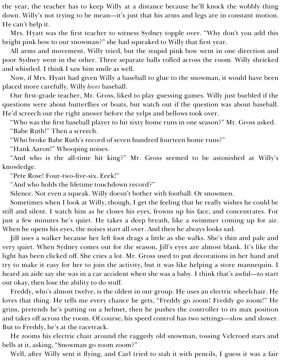the year, the teacher has to keep Willy at a distance because he'll knock the wobbly thing down. Willy's not trying to be mean—it's just that his arms and legs are in constant motion. He can't help it.

Mrs. Hyatt was the first teacher to witness Sydney topple over. "Why don't you add this bright pink bow to our snowman?" she had squeaked to Willy that first year.

All arms and movement, Willy tried, but the stupid pink bow went in one direction and poor Sydney went in the other. Three separate balls rolled across the room. Willy shrieked and whistled. I think I saw him smile as well.

Now, if Mrs. Hyatt had given Willy a baseball to glue to the snowman, it would have been placed more carefully. Willy *loves* baseball.

Our first-grade teacher, Mr. Gross, liked to play guessing games. Willy just burbled if the questions were about butterflies or boats, but watch out if the question was about baseball. He'd screech out the right answer before the yelps and bellows took over.

"Who was the first baseball player to hit sixty home runs in one season?" Mr. Gross asked.

"Babe Ruth!" Then a screech.

"Who broke Babe Ruth's record of seven hundred fourteen home runs?"

"Hank Aaron!" Whooping noises.

"And who is the all-time hit king?" Mr. Gross seemed to be astonished at Willy's knowledge.

"Pete Rose! Four-two-five-six. Eeek!"

"And who holds the lifetime touchdown record?"

Silence. Not even a squeak. Willy doesn't bother with football. Or snowmen.

Sometimes when I look at Willy, though, I get the feeling that he really wishes he could be still and silent. I watch him as he closes his eyes, frowns up his face, and concentrates. For just a few minutes he's quiet. He takes a deep breath, like a swimmer coming up for air. When he opens his eyes, the noises start all over. And then he always looks sad.

Jill uses a walker because her left foot drags a little as she walks. She's thin and pale and very quiet. When Sydney comes out for the season, Jill's eyes are almost blank. It's like the light has been clicked off. She cries a lot. Mr. Gross used to put decorations in her hand and try to make it easy for her to join the activity, but it was like helping a store mannequin. I heard an aide say she was in a car accident when she was a baby. I think that's awful—to start out okay, then lose the ability to do stuff.

Freddy, who's almost twelve, is the oldest in our group. He uses an electric wheelchair. He loves that thing. He tells me every chance he gets, "Freddy go zoom! Freddy go zoom!" He grins, pretends he's putting on a helmet, then he pushes the controller to its max position and takes off across the room. Of course, his speed control has two settings—slow and slower. But to Freddy, he's at the racetrack.

He zooms his electric chair around the raggedy old snowman, tossing Velcroed stars and bells at it, asking, "Snowman go zoom zoom?"

Well, after Willy sent it flying, and Carl tried to stab it with pencils, I guess it was a fair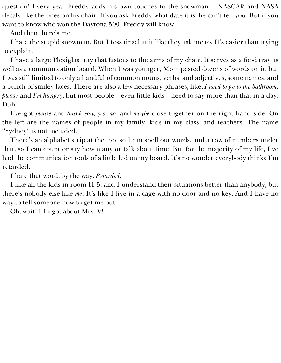question! Every year Freddy adds his own touches to the snowman— NASCAR and NASA decals like the ones on his chair. If you ask Freddy what date it is, he can't tell you. But if you want to know who won the Daytona 500, Freddy will know.

And then there's me.

I hate the stupid snowman. But I toss tinsel at it like they ask me to. It's easier than trying to explain.

I have a large Plexiglas tray that fastens to the arms of my chair. It serves as a food tray as well as a communication board. When I was younger, Mom pasted dozens of words on it, but I was still limited to only a handful of common nouns, verbs, and adjectives, some names, and a bunch of smiley faces. There are also a few necessary phrases, like, *I need to go to the bathroom, please* and *I'm hungry*, but most people—even little kids—need to say more than that in a day. Duh!

I've got *please* and *thank you, yes, no*, and *maybe* close together on the right-hand side. On the left are the names of people in my family, kids in my class, and teachers. The name "Sydney" is not included.

There's an alphabet strip at the top, so I can spell out words, and a row of numbers under that, so I can count or say how many or talk about time. But for the majority of my life, I've had the communication tools of a little kid on my board. It's no wonder everybody thinks I'm retarded.

I hate that word, by the way. *Retarded.*

I like all the kids in room H-5, and I understand their situations better than anybody, but there's nobody else like *me*. It's like I live in a cage with no door and no key. And I have no way to tell someone how to get me out.

Oh, wait! I forgot about Mrs. V!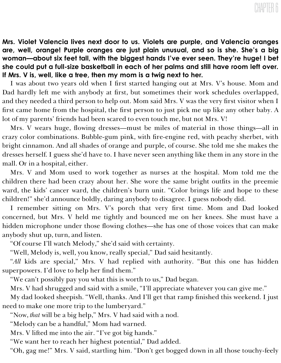<span id="page-22-0"></span>**Mrs. Violet Valencia lives next door to us. Violets are purple, and Valencia oranges are, well, orange! Purple oranges are just plain unusual, and so is she. She's a big woman—about six feet tall, with the biggest hands I've ever seen. They're huge! I bet she could put a full-size basketball in each of her palms and still have room left over. If Mrs. V is, well, like a tree, then my mom is a twig next to her.**

I was about two years old when I first started hanging out at Mrs. V's house. Mom and Dad hardly left me with anybody at first, but sometimes their work schedules overlapped, and they needed a third person to help out. Mom said Mrs. V was the very first visitor when I first came home from the hospital, the first person to just pick me up like any other baby. A lot of my parents' friends had been scared to even touch me, but not Mrs. V!

Mrs. V wears huge, flowing dresses—must be miles of material in those things—all in crazy color combinations. Bubble-gum pink, with fire-engine red, with peachy sherbet, with bright cinnamon. And all shades of orange and purple, of course. She told me she makes the dresses herself. I guess she'd have to. I have never seen anything like them in any store in the mall. Or in a hospital, either.

Mrs. V and Mom used to work together as nurses at the hospital. Mom told me the children there had been crazy about her. She wore the same bright outfits in the preemie ward, the kids' cancer ward, the children's burn unit. "Color brings life and hope to these children!" she'd announce boldly, daring anybody to disagree. I guess nobody did.

I remember sitting on Mrs. V's porch that very first time. Mom and Dad looked concerned, but Mrs. V held me tightly and bounced me on her knees. She must have a hidden microphone under those flowing clothes—she has one of those voices that can make anybody shut up, turn, and listen.

"Of course I'll watch Melody," she'd said with certainty.

"Well, Melody is, well, you know, really special," Dad said hesitantly.

"*All* kids are special," Mrs. V had replied with authority. "But this one has hidden superpowers. I'd love to help her find them."

"We can't possibly pay you what this is worth to us," Dad began.

Mrs. V had shrugged and said with a smile, "I'll appreciate whatever you can give me."

My dad looked sheepish. "Well, thanks. And I'll get that ramp finished this weekend. I just need to make one more trip to the lumberyard."

"Now, *that* will be a big help," Mrs. V had said with a nod.

"Melody can be a handful," Mom had warned.

Mrs. V lifted me into the air. "I've got big hands."

"We want her to reach her highest potential," Dad added.

"Oh, gag me!" Mrs. V said, startling him. "Don't get bogged down in all those touchy-feely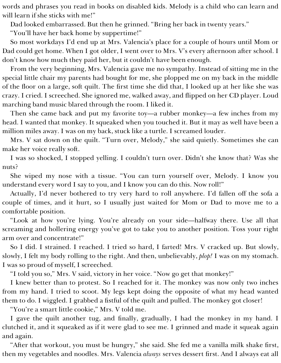words and phrases you read in books on disabled kids. Melody is a child who can learn and will learn if she sticks with me!"

Dad looked embarrassed. But then he grinned. "Bring her back in twenty years."

"You'll have her back home by suppertime!"

So most workdays I'd end up at Mrs. Valencia's place for a couple of hours until Mom or Dad could get home. When I got older, I went over to Mrs. V's every afternoon after school. I don't know how much they paid her, but it couldn't have been enough.

From the very beginning, Mrs. Valencia gave me no sympathy. Instead of sitting me in the special little chair my parents had bought for me, she plopped me on my back in the middle of the floor on a large, soft quilt. The first time she did that, I looked up at her like she was crazy. I cried. I screeched. She ignored me, walked away, and flipped on her CD player. Loud marching band music blared through the room. I liked it.

Then she came back and put my favorite toy—a rubber monkey—a few inches from my head. I wanted that monkey. It squeaked when you touched it. But it may as well have been a million miles away. I was on my back, stuck like a turtle. I screamed louder.

Mrs. V sat down on the quilt. "Turn over, Melody," she said quietly. Sometimes she can make her voice really soft.

I was so shocked, I stopped yelling. I couldn't turn over. Didn't she know that? Was she nuts?

She wiped my nose with a tissue. "You can turn yourself over, Melody. I know you understand every word I say to you, and I know you can do this. Now roll!"

Actually, I'd never bothered to try very hard to roll anywhere. I'd fallen off the sofa a couple of times, and it hurt, so I usually just waited for Mom or Dad to move me to a comfortable position.

"Look at how you're lying. You're already on your side—halfway there. Use all that screaming and hollering energy you've got to take you to another position. Toss your right arm over and concentrate!"

So I did. I strained. I reached. I tried so hard, I farted! Mrs. V cracked up. But slowly, slowly, I felt my body rolling to the right. And then, unbelievably, *plop!* I was on my stomach. I was so proud of myself, I screeched.

"I told you so," Mrs. V said, victory in her voice. "Now go get that monkey!"

I knew better than to protest. So I reached for it. The monkey was now only two inches from my hand. I tried to scoot. My legs kept doing the opposite of what my head wanted them to do. I wiggled. I grabbed a fistful of the quilt and pulled. The monkey got closer!

"You're a smart little cookie," Mrs. V told me.

I gave the quilt another tug, and finally, gradually, I had the monkey in my hand. I clutched it, and it squeaked as if it were glad to see me. I grinned and made it squeak again and again.

"After that workout, you must be hungry," she said. She fed me a vanilla milk shake first, then my vegetables and noodles. Mrs. Valencia *always* serves dessert first. And I always eat all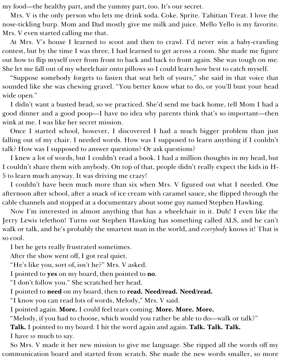my food—the healthy part, and the yummy part, too. It's our secret.

Mrs. V is the only person who lets me drink soda. Coke. Sprite. Tahitian Treat. I love the nose-tickling burp. Mom and Dad mostly give me milk and juice. Mello Yello is my favorite. Mrs. V even started calling me that.

At Mrs. V's house I learned to scoot and then to crawl. I'd never win a baby-crawling contest, but by the time I was three, I had learned to get across a room. She made me figure out how to flip myself over from front to back and back to front again. She was tough on me. She let me fall out of my wheelchair onto pillows so I could learn how best to catch myself.

"Suppose somebody forgets to fasten that seat belt of yours," she said in that voice that sounded like she was chewing gravel. "You better know what to do, or you'll bust your head wide open."

I didn't want a busted head, so we practiced. She'd send me back home, tell Mom I had a good dinner and a good poop—I have no idea why parents think that's so important—then wink at me. I was like her secret mission.

Once I started school, however, I discovered I had a much bigger problem than just falling out of my chair. I needed words. How was I supposed to learn anything if I couldn't talk? How was I supposed to answer questions? Or ask questions?

I knew a lot of words, but I couldn't read a book. I had a million thoughts in my head, but I couldn't share them with anybody. On top of that, people didn't really expect the kids in H-5 to learn much anyway. It was driving me crazy!

I couldn't have been much more than six when Mrs. V figured out what I needed. One afternoon after school, after a snack of ice cream with caramel sauce, she flipped through the cable channels and stopped at a documentary about some guy named Stephen Hawking.

Now I'm interested in almost anything that has a wheelchair in it. Duh! I even like the Jerry Lewis telethon! Turns out Stephen Hawking has something called ALS, and he can't walk or talk, and he's probably the smartest man in the world, and *everybody* knows it! That is so cool.

I bet he gets really frustrated sometimes.

After the show went off, I got real quiet.

"He's like you, sort of, isn't he?" Mrs. V asked.

I pointed to **yes** on my board, then pointed to **no**.

"I don't follow you." She scratched her head.

I pointed to **need** on my board, then to **read. Need/read. Need/read.**

"I know you can read lots of words, Melody," Mrs. V said.

I pointed again. **More.** I could feel tears coming. **More. More. More.**

"Melody, if you had to choose, which would you rather be able to do—walk or talk?"

**Talk.** I pointed to my board. I hit the word again and again. **Talk. Talk. Talk.**

I have *so* much to say.

So Mrs. V made it her new mission to give me language. She ripped all the words off my communication board and started from scratch. She made the new words smaller, so more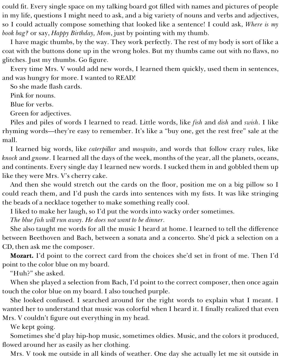could fit. Every single space on my talking board got filled with names and pictures of people in my life, questions I might need to ask, and a big variety of nouns and verbs and adjectives, so I could actually compose something that looked like a sentence! I could ask, *Where is my book bag?* or say, *Happy Birthday, Mom*, just by pointing with my thumb.

I have magic thumbs, by the way. They work perfectly. The rest of my body is sort of like a coat with the buttons done up in the wrong holes. But my thumbs came out with no flaws, no glitches. Just my thumbs. Go figure.

Every time Mrs. V would add new words, I learned them quickly, used them in sentences, and was hungry for more. I wanted to READ!

So she made flash cards.

Pink for nouns.

Blue for verbs.

Green for adjectives.

Piles and piles of words I learned to read. Little words, like *fish* and *dish* and *swish*. I like rhyming words—they're easy to remember. It's like a "buy one, get the rest free" sale at the mall.

I learned big words, like *caterpillar* and *mosquito*, and words that follow crazy rules, like *knock* and *gnome*. I learned all the days of the week, months of the year, all the planets, oceans, and continents. Every single day I learned new words. I sucked them in and gobbled them up like they were Mrs. V's cherry cake.

And then she would stretch out the cards on the floor, position me on a big pillow so I could reach them, and I'd push the cards into sentences with my fists. It was like stringing the beads of a necklace together to make something really cool.

I liked to make her laugh, so I'd put the words into wacky order sometimes.

*The blue fish will run away. He does not want to be dinner.*

She also taught me words for all the music I heard at home. I learned to tell the difference between Beethoven and Bach, between a sonata and a concerto. She'd pick a selection on a CD, then ask me the composer.

**Mozart.** I'd point to the correct card from the choices she'd set in front of me. Then I'd point to the color blue on my board.

"Huh?" she asked.

When she played a selection from Bach, I'd point to the correct composer, then once again touch the color blue on my board. I also touched purple.

She looked confused. I searched around for the right words to explain what I meant. I wanted her to understand that music was colorful when I heard it. I finally realized that even Mrs. V couldn't figure out everything in my head.

We kept going.

Sometimes she'd play hip-hop music, sometimes oldies. Music, and the colors it produced, flowed around her as easily as her clothing.

Mrs. V took me outside in all kinds of weather. One day she actually let me sit outside in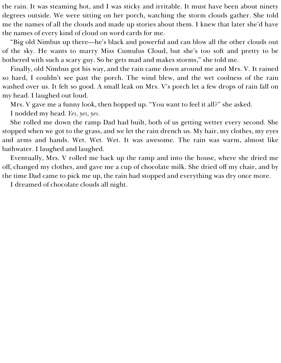the rain. It was steaming hot, and I was sticky and irritable. It must have been about ninety degrees outside. We were sitting on her porch, watching the storm clouds gather. She told me the names of all the clouds and made up stories about them. I knew that later she'd have the names of every kind of cloud on word cards for me.

"Big old Nimbus up there—he's black and powerful and can blow all the other clouds out of the sky. He wants to marry Miss Cumulus Cloud, but she's too soft and pretty to be bothered with such a scary guy. So he gets mad and makes storms," she told me.

Finally, old Nimbus got his way, and the rain came down around me and Mrs. V. It rained so hard, I couldn't see past the porch. The wind blew, and the wet coolness of the rain washed over us. It felt so good. A small leak on Mrs. V's porch let a few drops of rain fall on my head. I laughed out loud.

Mrs. V gave me a funny look, then hopped up. "You want to feel it all?" she asked.

I nodded my head. *Yes, yes, yes.*

She rolled me down the ramp Dad had built, both of us getting wetter every second. She stopped when we got to the grass, and we let the rain drench us. My hair, my clothes, my eyes and arms and hands. Wet. Wet. Wet. It was awesome. The rain was warm, almost like bathwater. I laughed and laughed.

Eventually, Mrs. V rolled me back up the ramp and into the house, where she dried me off, changed my clothes, and gave me a cup of chocolate milk. She dried off my chair, and by the time Dad came to pick me up, the rain had stopped and everything was dry once more.

I dreamed of chocolate clouds all night.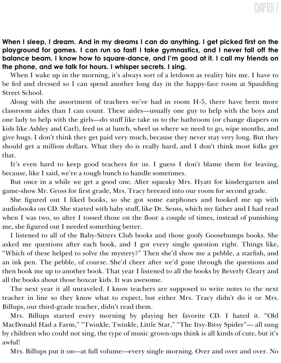<span id="page-27-0"></span>**When I sleep, I dream. And in my dreams I can do anything. I get picked first on the playground for games. I can run so fast! I take gymnastics, and I never fall off the balance beam. I know how to square-dance, and I'm good at it. I call my friends on the phone, and we talk for hours. I whisper secrets. I sing.**

When I wake up in the morning, it's always sort of a letdown as reality hits me. I have to be fed and dressed so I can spend another long day in the happy-face room at Spaulding Street School.

Along with the assortment of teachers we've had in room H-5, there have been more classroom aides than I can count. These aides—usually one guy to help with the boys and one lady to help with the girls—do stuff like take us to the bathroom (or change diapers on kids like Ashley and Carl), feed us at lunch, wheel us where we need to go, wipe mouths, and give hugs. I don't think they get paid very much, because they never stay very long. But they should get a million dollars. What they do is really hard, and I don't think most folks get that.

It's even hard to keep good teachers for us. I guess I don't blame them for leaving, because, like I said, we're a tough bunch to handle sometimes.

But once in a while we get a good one. After squeaky Mrs. Hyatt for kindergarten and game-show Mr. Gross for first grade, Mrs. Tracy breezed into our room for second grade.

She figured out I liked books, so she got some earphones and hooked me up with audiobooks on CD. She started with baby stuff, like Dr. Seuss, which my father and I had read when I was two, so after I tossed those on the floor a couple of times, instead of punishing me, she figured out I needed something better.

I listened to all of the Baby-Sitters Club books and those goofy Goosebumps books. She asked me questions after each book, and I got every single question right. Things like, "Which of these helped to solve the mystery?" Then she'd show me a pebble, a starfish, and an ink pen. The pebble, of course. She'd cheer after we'd gone through the questions and then hook me up to another book. That year I listened to all the books by Beverly Cleary and all the books about those boxcar kids. It was awesome.

The next year it all unraveled. I know teachers are supposed to write notes to the next teacher in line so they know what to expect, but either Mrs. Tracy didn't do it or Mrs. Billups, our third-grade teacher, didn't read them.

Mrs. Billups started every morning by playing her favorite CD. I hated it. "Old MacDonald Had a Farm," "Twinkle, Twinkle, Little Star," "The Itsy-Bitsy Spider"— all sung by children who could not sing, the type of music grown-ups think is all kinds of cute, but it's awful!

Mrs. Billups put it on—at full volume—every single morning. Over and over and over. No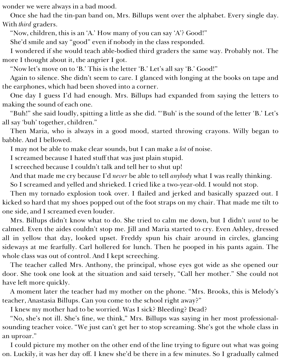wonder we were always in a bad mood.

Once she had the tin-pan band on, Mrs. Billups went over the alphabet. Every single day. With *third* graders.

"Now, children, this is an 'A.' How many of you can say 'A'? Good!"

She'd smile and say "good" even if nobody in the class responded.

I wondered if she would teach able-bodied third graders the same way. Probably not. The more I thought about it, the angrier I got.

"Now let's move on to 'B.' This is the letter 'B.' Let's all say 'B.' Good!"

Again to silence. She didn't seem to care. I glanced with longing at the books on tape and the earphones, which had been shoved into a corner.

One day I guess I'd had enough. Mrs. Billups had expanded from saying the letters to making the sound of each one.

"Buh!" she said loudly, spitting a little as she did. "'Buh' is the sound of the letter 'B.' Let's all say 'buh' together, children."

Then Maria, who is always in a good mood, started throwing crayons. Willy began to babble. And I bellowed.

I may not be able to make clear sounds, but I can make a *lot* of noise.

I screamed because I hated stuff that was just plain stupid.

I screeched because I couldn't talk and tell her to shut up!

And that made me cry because I'd *never* be able to tell *anybody* what I was really thinking.

So I screamed and yelled and shrieked. I cried like a two-year-old. I would not stop.

Then my tornado explosion took over. I flailed and jerked and basically spazzed out. I kicked so hard that my shoes popped out of the foot straps on my chair. That made me tilt to one side, and I screamed even louder.

Mrs. Billups didn't know what to do. She tried to calm me down, but I didn't *want* to be calmed. Even the aides couldn't stop me. Jill and Maria started to cry. Even Ashley, dressed all in yellow that day, looked upset. Freddy spun his chair around in circles, glancing sideways at me fearfully. Carl hollered for lunch. Then he pooped in his pants again. The whole class was out of control. And I kept screeching.

The teacher called Mrs. Anthony, the principal, whose eyes got wide as she opened our door. She took one look at the situation and said tersely, "Call her mother." She could not have left more quickly.

A moment later the teacher had my mother on the phone. "Mrs. Brooks, this is Melody's teacher, Anastasia Billups. Can you come to the school right away?"

I knew my mother had to be worried. Was I sick? Bleeding? Dead?

"No, she's not ill. She's fine, we think," Mrs. Billups was saying in her most professionalsounding teacher voice. "We just can't get her to stop screaming. She's got the whole class in an uproar."

I could picture my mother on the other end of the line trying to figure out what was going on. Luckily, it was her day off. I knew she'd be there in a few minutes. So I gradually calmed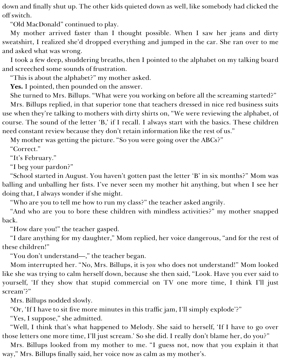down and finally shut up. The other kids quieted down as well, like somebody had clicked the off switch.

"Old MacDonald" continued to play.

My mother arrived faster than I thought possible. When I saw her jeans and dirty sweatshirt, I realized she'd dropped everything and jumped in the car. She ran over to me and asked what was wrong.

I took a few deep, shuddering breaths, then I pointed to the alphabet on my talking board and screeched some sounds of frustration.

"This is about the alphabet?" my mother asked.

**Yes.** I pointed, then pounded on the answer.

She turned to Mrs. Billups. "What were you working on before all the screaming started?"

Mrs. Billups replied, in that superior tone that teachers dressed in nice red business suits use when they're talking to mothers with dirty shirts on, "We were reviewing the alphabet, of course. The sound of the letter 'B,' if I recall. I always start with the basics. These children need constant review because they don't retain information like the rest of us."

My mother was getting the picture. "So you were going over the ABCs?"

"Correct."

"It's February."

"I beg your pardon?"

"School started in August. You haven't gotten past the letter 'B' in six months?" Mom was balling and unballing her fists. I've never seen my mother hit anything, but when I see her doing that, I always wonder if she might.

"Who are you to tell me how to run my class?" the teacher asked angrily.

"And who are you to bore these children with mindless activities?" my mother snapped back.

"How dare you!" the teacher gasped.

"I dare anything for my daughter," Mom replied, her voice dangerous, "and for the rest of these children!"

"You don't understand—," the teacher began.

Mom interrupted her. "No, Mrs. Billups, it is *you* who does not understand!" Mom looked like she was trying to calm herself down, because she then said, "Look. Have you ever said to yourself, 'If they show that stupid commercial on TV one more time, I think I'll just scream'?"

Mrs. Billups nodded slowly.

"Or, 'If I have to sit five more minutes in this traffic jam, I'll simply explode'?"

"Yes, I suppose," she admitted.

"Well, I think that's what happened to Melody. She said to herself, 'If I have to go over those letters one more time, I'll just scream.' So she did. I really don't blame her, do you?"

Mrs. Billups looked from my mother to me. "I guess not, now that you explain it that way," Mrs. Billups finally said, her voice now as calm as my mother's.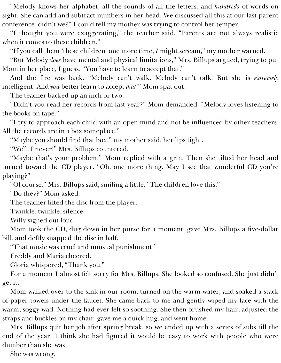"Melody knows her alphabet, all the sounds of all the letters, and *hundreds* of words on sight. She can add and subtract numbers in her head. We discussed all this at our last parent conference, didn't we?" I could tell my mother was trying to control her temper.

"I thought you were exaggerating," the teacher said. "Parents are not always realistic when it comes to these children."

"If you call them 'these children' one more time, *I* might scream," my mother warned.

"But Melody *does* have mental and physical limitations," Mrs. Billups argued, trying to put Mom in her place, I guess. "You have to learn to accept that."

And the fire was back. "Melody can't walk. Melody can't talk. But she is *extremely* intelligent! And *you* better learn to accept *that*!" Mom spat out.

The teacher backed up an inch or two.

"Didn't you read her records from last year?" Mom demanded. "Melody loves listening to the books on tape."

"I try to approach each child with an open mind and not be influenced by other teachers. All the records are in a box someplace."

"Maybe you should find that box," my mother said, her lips tight.

"Well, I never!" Mrs. Billups countered.

"Maybe that's your problem!" Mom replied with a grin. Then she tilted her head and turned toward the CD player. "Oh, one more thing. May I see that wonderful CD you're playing?"

"Of course," Mrs. Billups said, smiling a little. "The children love this."

"Do they?" Mom asked.

The teacher lifted the disc from the player.

Twinkle, twinkle, silence.

Willy sighed out loud.

Mom took the CD, dug down in her purse for a moment, gave Mrs. Billups a five-dollar bill, and deftly snapped the disc in half.

"That music was cruel and unusual punishment!"

Freddy and Maria cheered.

Gloria whispered, "Thank you."

For a moment I almost felt sorry for Mrs. Billups. She looked so confused. She just didn't get it.

Mom walked over to the sink in our room, turned on the warm water, and soaked a stack of paper towels under the faucet. She came back to me and gently wiped my face with the warm, soggy wad. Nothing had ever felt so soothing. She then brushed my hair, adjusted the straps and buckles on my chair, gave me a quick hug, and went home.

Mrs. Billups quit her job after spring break, so we ended up with a series of subs till the end of the year. I think she had figured it would be easy to work with people who were dumber than she was.

She was wrong.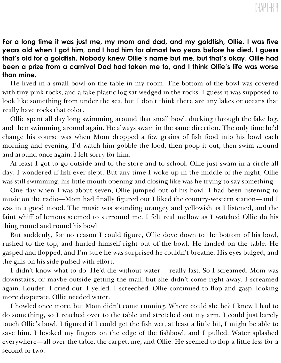<span id="page-31-0"></span>**For a long time it was just me, my mom and dad, and my goldfish, Ollie. I was five years old when I got him, and I had him for almost two years before he died. I guess that's old for a goldfish. Nobody knew Ollie's name but me, but that's okay. Ollie had been a prize from a carnival Dad had taken me to, and I think Ollie's life was worse than mine.**

He lived in a small bowl on the table in my room. The bottom of the bowl was covered with tiny pink rocks, and a fake plastic log sat wedged in the rocks. I guess it was supposed to look like something from under the sea, but I don't think there are any lakes or oceans that really have rocks that color.

Ollie spent all day long swimming around that small bowl, ducking through the fake log, and then swimming around again. He always swam in the same direction. The only time he'd change his course was when Mom dropped a few grains of fish food into his bowl each morning and evening. I'd watch him gobble the food, then poop it out, then swim around and around once again. I felt sorry for him.

At least I got to go outside and to the store and to school. Ollie just swam in a circle all day. I wondered if fish ever slept. But any time I woke up in the middle of the night, Ollie was still swimming, his little mouth opening and closing like was he trying to say something.

One day when I was about seven, Ollie jumped out of his bowl. I had been listening to music on the radio—Mom had finally figured out I liked the country-western station—and I was in a good mood. The music was sounding orangey and yellowish as I listened, and the faint whiff of lemons seemed to surround me. I felt real mellow as I watched Ollie do his thing round and round his bowl.

But suddenly, for no reason I could figure, Ollie dove down to the bottom of his bowl, rushed to the top, and hurled himself right out of the bowl. He landed on the table. He gasped and flopped, and I'm sure he was surprised he couldn't breathe. His eyes bulged, and the gills on his side pulsed with effort.

I didn't know what to do. He'd die without water— really fast. So I screamed. Mom was downstairs, or maybe outside getting the mail, but she didn't come right away. I screamed again. Louder. I cried out. I yelled. I screeched. Ollie continued to flop and gasp, looking more desperate. Ollie needed water.

I howled once more, but Mom didn't come running. Where could she be? I knew I had to do something, so I reached over to the table and stretched out my arm. I could just barely touch Ollie's bowl. I figured if I could get the fish wet, at least a little bit, I might be able to save him. I hooked my fingers on the edge of the fishbowl, and I pulled. Water splashed everywhere—all over the table, the carpet, me, and Ollie. He seemed to flop a little less for a second or two.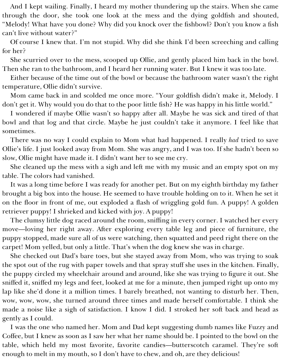And I kept wailing. Finally, I heard my mother thundering up the stairs. When she came through the door, she took one look at the mess and the dying goldfish and shouted, "Melody! What have you done? Why did you knock over the fishbowl? Don't you know a fish can't live without water?"

Of course I knew that. I'm not stupid. Why did she think I'd been screeching and calling for her?

She scurried over to the mess, scooped up Ollie, and gently placed him back in the bowl. Then she ran to the bathroom, and I heard her running water. But I knew it was too late.

Either because of the time out of the bowl or because the bathroom water wasn't the right temperature, Ollie didn't survive.

Mom came back in and scolded me once more. "Your goldfish didn't make it, Melody. I don't get it. Why would you do that to the poor little fish? He was happy in his little world."

I wondered if maybe Ollie wasn't so happy after all. Maybe he was sick and tired of that bowl and that log and that circle. Maybe he just couldn't take it anymore. I feel like that sometimes.

There was no way I could explain to Mom what had happened. I really *had* tried to save Ollie's life. I just looked away from Mom. She was angry, and I was too. If she hadn't been so slow, Ollie might have made it. I didn't want her to see me cry.

She cleaned up the mess with a sigh and left me with my music and an empty spot on my table. The colors had vanished.

It was a long time before I was ready for another pet. But on my eighth birthday my father brought a big box into the house. He seemed to have trouble holding on to it. When he set it on the floor in front of me, out exploded a flash of wriggling gold fun. A puppy! A golden retriever puppy! I shrieked and kicked with joy. A puppy!

The clumsy little dog raced around the room, sniffing in every corner. I watched her every move—loving her right away. After exploring every table leg and piece of furniture, the puppy stopped, made sure all of us were watching, then squatted and peed right there on the carpet! Mom yelled, but only a little. That's when the dog knew she was in charge.

She checked out Dad's bare toes, but she stayed away from Mom, who was trying to soak the spot out of the rug with paper towels and that spray stuff she uses in the kitchen. Finally, the puppy circled my wheelchair around and around, like she was trying to figure it out. She sniffed it, sniffed my legs and feet, looked at me for a minute, then jumped right up onto my lap like she'd done it a million times. I barely breathed, not wanting to disturb her. Then, wow, wow, wow, she turned around three times and made herself comfortable. I think she made a noise like a sigh of satisfaction. I know I did. I stroked her soft back and head as gently as I could.

I was the one who named her. Mom and Dad kept suggesting dumb names like Fuzzy and Coffee, but I knew as soon as I saw her what her name should be. I pointed to the bowl on the table, which held my most favorite, favorite candies—butterscotch caramel. They're soft enough to melt in my mouth, so I don't have to chew, and oh, are they delicious!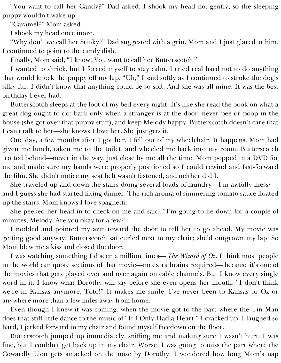"You want to call her Candy?" Dad asked. I shook my head no, gently, so the sleeping puppy wouldn't wake up.

"Caramel?" Mom asked.

I shook my head once more.

"Why don't we call her Stinky?" Dad suggested with a grin. Mom and I just glared at him. I continued to point to the candy dish.

Finally, Mom said, "I know! You want to call her Butterscotch?"

I wanted to shriek, but I forced myself to stay calm. I tried real hard not to do anything that would knock the puppy off my lap. "Uh," I said softly as I continued to stroke the dog's silky fur. I didn't know that anything could be so soft. And she was all mine. It was the best birthday I ever had.

Butterscotch sleeps at the foot of my bed every night. It's like she read the book on what a great dog ought to do: bark only when a stranger is at the door, never pee or poop in the house (she got over that puppy stuff), and keep Melody happy. Butterscotch doesn't care that I can't talk to her—she knows I love her. She just gets it.

One day, a few months after I got her, I fell out of my wheelchair. It happens. Mom had given me lunch, taken me to the toilet, and wheeled me back into my room. Butterscotch trotted behind—never in the way, just close by me all the time. Mom popped in a DVD for me and made sure my hands were properly positioned so I could rewind and fast-forward the film. She didn't notice my seat belt wasn't fastened, and neither did I.

She traveled up and down the stairs doing several loads of laundry—I'm awfully messy and I guess she had started fixing dinner. The rich aroma of simmering tomato sauce floated up the stairs. Mom knows I love spaghetti.

She peeked her head in to check on me and said, "I'm going to lie down for a couple of minutes, Melody. Are you okay for a few?"

I nodded and pointed my arm toward the door to tell her to go ahead. My movie was getting good anyway. Butterscotch sat curled next to my chair; she'd outgrown my lap. So Mom blew me a kiss and closed the door.

I was watching something I'd seen a million times— *The Wizard of Oz*. I think most people in the world can quote sections of that movie—no extra brains required— because it's one of the movies that gets played over and over again on cable channels. But I know every single word in it. I know what Dorothy will say before she even opens her mouth. "I don't think we're in Kansas anymore, Toto!" It makes me smile. I've never been to Kansas or Oz or anywhere more than a few miles away from home.

Even though I knew it was coming, when the movie got to the part where the Tin Man does that stiff little dance to the music of "If I Only Had a Heart," I cracked up. I laughed so hard, I jerked forward in my chair and found myself facedown on the floor.

Butterscotch jumped up immediately, sniffing me and making sure I wasn't hurt. I was fine, but I couldn't get back up in my chair. Worse, I was going to miss the part where the Cowardly Lion gets smacked on the nose by Dorothy. I wondered how long Mom's nap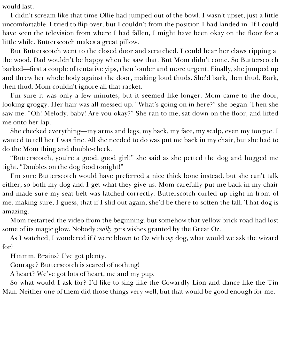would last.

I didn't scream like that time Ollie had jumped out of the bowl. I wasn't upset, just a little uncomfortable. I tried to flip over, but I couldn't from the position I had landed in. If I could have seen the television from where I had fallen, I might have been okay on the floor for a little while. Butterscotch makes a great pillow.

But Butterscotch went to the closed door and scratched. I could hear her claws ripping at the wood. Dad wouldn't be happy when he saw that. But Mom didn't come. So Butterscotch barked—first a couple of tentative yips, then louder and more urgent. Finally, she jumped up and threw her whole body against the door, making loud thuds. She'd bark, then thud. Bark, then thud. Mom couldn't ignore all that racket.

I'm sure it was only a few minutes, but it seemed like longer. Mom came to the door, looking groggy. Her hair was all messed up. "What's going on in here?" she began. Then she saw me. "Oh! Melody, baby! Are you okay?" She ran to me, sat down on the floor, and lifted me onto her lap.

She checked everything—my arms and legs, my back, my face, my scalp, even my tongue. I wanted to tell her I was fine. All she needed to do was put me back in my chair, but she had to do the Mom thing and double-check.

"Butterscotch, you're a good, good girl!" she said as she petted the dog and hugged me tight. "Doubles on the dog food tonight!"

I'm sure Butterscotch would have preferred a nice thick bone instead, but she can't talk either, so both my dog and I get what they give us. Mom carefully put me back in my chair and made sure my seat belt was latched correctly. Butterscotch curled up right in front of me, making sure, I guess, that if I slid out again, she'd be there to soften the fall. That dog is amazing.

Mom restarted the video from the beginning, but somehow that yellow brick road had lost some of its magic glow. Nobody *really* gets wishes granted by the Great Oz.

As I watched, I wondered if *I* were blown to Oz with *my* dog, what would we ask the wizard for?

Hmmm. Brains? I've got plenty.

Courage? Butterscotch is scared of nothing!

A heart? We've got lots of heart, me and my pup.

So what would I ask for? I'd like to sing like the Cowardly Lion and dance like the Tin Man. Neither one of them did those things very well, but that would be good enough for me.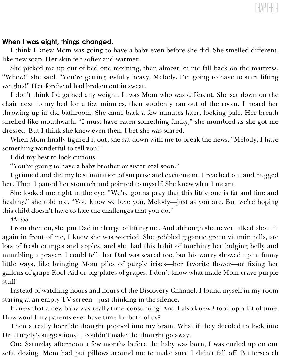

#### <span id="page-35-0"></span>**When I was eight, things changed.**

I think I knew Mom was going to have a baby even before she did. She smelled different, like new soap. Her skin felt softer and warmer.

She picked me up out of bed one morning, then almost let me fall back on the mattress. "Whew!" she said. "You're getting awfully heavy, Melody. I'm going to have to start lifting weights!" Her forehead had broken out in sweat.

I don't think I'd gained any weight. It was Mom who was different. She sat down on the chair next to my bed for a few minutes, then suddenly ran out of the room. I heard her throwing up in the bathroom. She came back a few minutes later, looking pale. Her breath smelled like mouthwash. "I must have eaten something funky," she mumbled as she got me dressed. But I think she knew even then. I bet she was scared.

When Mom finally figured it out, she sat down with me to break the news. "Melody, I have something wonderful to tell you!"

I did my best to look curious.

"You're going to have a baby brother or sister real soon."

I grinned and did my best imitation of surprise and excitement. I reached out and hugged her. Then I patted her stomach and pointed to myself. She knew what I meant.

She looked me right in the eye. "We're gonna pray that this little one is fat and fine and healthy," she told me. "You know we love you, Melody—just as you are. But we're hoping this child doesn't have to face the challenges that you do."

*Me too.*

From then on, she put Dad in charge of lifting me. And although she never talked about it again in front of me, I knew she was worried. She gobbled gigantic green vitamin pills, ate lots of fresh oranges and apples, and she had this habit of touching her bulging belly and mumbling a prayer. I could tell that Dad was scared too, but his worry showed up in funny little ways, like bringing Mom piles of purple irises—her favorite flower—or fixing her gallons of grape Kool-Aid or big plates of grapes. I don't know what made Mom crave purple stuff.

Instead of watching hours and hours of the Discovery Channel, I found myself in my room staring at an empty TV screen—just thinking in the silence.

I knew that a new baby was really time-consuming. And I also knew *I* took up a lot of time. How would my parents ever have time for both of us?

Then a really horrible thought popped into my brain. What if they decided to look into Dr. Hugely's suggestions? I couldn't make the thought go away.

One Saturday afternoon a few months before the baby was born, I was curled up on our sofa, dozing. Mom had put pillows around me to make sure I didn't fall off. Butterscotch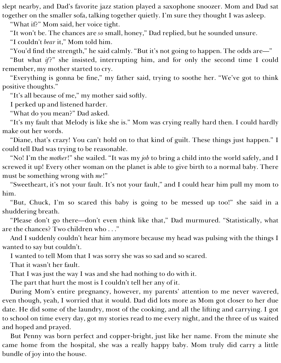slept nearby, and Dad's favorite jazz station played a saxophone snoozer. Mom and Dad sat together on the smaller sofa, talking together quietly. I'm sure they thought I was asleep.

"What if?" Mom said, her voice tight.

"It won't be. The chances are *so* small, honey," Dad replied, but he sounded unsure.

"I couldn't *bear* it," Mom told him.

"You'd find the strength," he said calmly. "But it's not going to happen. The odds are—"

"But what *if*?" she insisted, interrupting him, and for only the second time I could remember, my mother started to cry.

"Everything is gonna be fine," my father said, trying to soothe her. "We've got to think positive thoughts."

"It's all because of me," my mother said softly.

I perked up and listened harder.

"What do you mean?" Dad asked.

"It's my fault that Melody is like she is." Mom was crying really hard then. I could hardly make out her words.

"Diane, that's crazy! You can't hold on to that kind of guilt. These things just happen." I could tell Dad was trying to be reasonable.

"No! I'm the *mother*!" she wailed. "It was my *job* to bring a child into the world safely, and I screwed it up! Every other woman on the planet is able to give birth to a normal baby. There must be something wrong with *me*!"

"Sweetheart, it's not your fault. It's not your fault," and I could hear him pull my mom to him.

"But, Chuck, I'm so scared this baby is going to be messed up too!" she said in a shuddering breath.

"Please don't go there—don't even think like that," Dad murmured. "Statistically, what are the chances? Two children who . . ."

And I suddenly couldn't hear him anymore because my head was pulsing with the things I wanted to say but couldn't.

I wanted to tell Mom that I was sorry she was so sad and so scared.

That it wasn't her fault.

That I was just the way I was and she had nothing to do with it.

The part that hurt the most is I couldn't tell her any of it.

During Mom's entire pregnancy, however, my parents' attention to me never wavered, even though, yeah, I worried that it would. Dad did lots more as Mom got closer to her due date. He did some of the laundry, most of the cooking, and all the lifting and carrying. I got to school on time every day, got my stories read to me every night, and the three of us waited and hoped and prayed.

But Penny was born perfect and copper-bright, just like her name. From the minute she came home from the hospital, she was a really happy baby. Mom truly did carry a little bundle of joy into the house.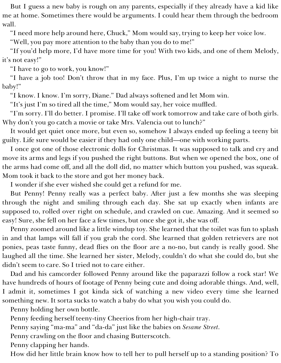But I guess a new baby is rough on any parents, especially if they already have a kid like me at home. Sometimes there would be arguments. I could hear them through the bedroom wall.

"I need more help around here, Chuck," Mom would say, trying to keep her voice low.

"Well, you pay more attention to the baby than you do to me!"

"If you'd help more, I'd have more time for you! With two kids, and one of them Melody, it's not easy!"

"I have to go to work, you know!"

"I have a job too! Don't throw that in my face. Plus, I'm up twice a night to nurse the baby!"

"I know. I know. I'm sorry, Diane." Dad always softened and let Mom win.

"It's just I'm so tired all the time," Mom would say, her voice muffled.

"I'm sorry. I'll do better. I promise. I'll take off work tomorrow and take care of both girls. Why don't you go catch a movie or take Mrs. Valencia out to lunch?"

It would get quiet once more, but even so, somehow I always ended up feeling a teeny bit guilty. Life sure would be easier if they had only one child—one with working parts.

I once got one of those electronic dolls for Christmas. It was supposed to talk and cry and move its arms and legs if you pushed the right buttons. But when we opened the box, one of the arms had come off, and all the doll did, no matter which button you pushed, was squeak. Mom took it back to the store and got her money back.

I wonder if she ever wished she could get a refund for me.

But Penny! Penny really was a perfect baby. After just a few months she was sleeping through the night and smiling through each day. She sat up exactly when infants are supposed to, rolled over right on schedule, and crawled on cue. Amazing. And it seemed so easy! Sure, she fell on her face a few times, but once she got it, she was off.

Penny zoomed around like a little windup toy. She learned that the toilet was fun to splash in and that lamps will fall if you grab the cord. She learned that golden retrievers are not ponies, peas taste funny, dead flies on the floor are a no-no, but candy is really good. She laughed all the time. She learned her sister, Melody, couldn't do what she could do, but she didn't seem to care. So I tried not to care either.

Dad and his camcorder followed Penny around like the paparazzi follow a rock star! We have hundreds of hours of footage of Penny being cute and doing adorable things. And, well, I admit it, sometimes I got kinda sick of watching a new video every time she learned something new. It sorta sucks to watch a baby do what you wish you could do.

Penny holding her own bottle.

Penny feeding herself teeny-tiny Cheerios from her high-chair tray.

Penny saying "ma-ma" and "da-da" just like the babies on *Sesame Street*.

Penny crawling on the floor and chasing Butterscotch.

Penny clapping her hands.

How did her little brain know how to tell her to pull herself up to a standing position? To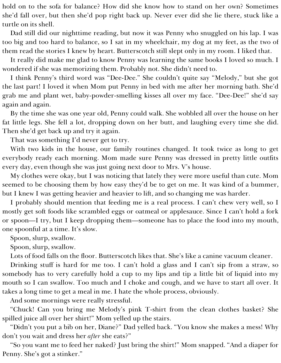hold on to the sofa for balance? How did she know how to stand on her own? Sometimes she'd fall over, but then she'd pop right back up. Never ever did she lie there, stuck like a turtle on its shell.

Dad still did our nighttime reading, but now it was Penny who snuggled on his lap. I was too big and too hard to balance, so I sat in my wheelchair, my dog at my feet, as the two of them read the stories I knew by heart. Butterscotch still slept only in my room. I liked that.

It really did make me glad to know Penny was learning the same books I loved so much. I wondered if she was memorizing them. Probably not. She didn't need to.

I think Penny's third word was "Dee-Dee." She couldn't quite say "Melody," but she got the last part! I loved it when Mom put Penny in bed with me after her morning bath. She'd grab me and plant wet, baby-powder-smelling kisses all over my face. "Dee-Dee!" she'd say again and again.

By the time she was one year old, Penny could walk. She wobbled all over the house on her fat little legs. She fell a lot, dropping down on her butt, and laughing every time she did. Then she'd get back up and try it again.

That was something I'd never get to try.

With two kids in the house, our family routines changed. It took twice as long to get everybody ready each morning. Mom made sure Penny was dressed in pretty little outfits every day, even though she was just going next door to Mrs. V's house.

My clothes were okay, but I was noticing that lately they were more useful than cute. Mom seemed to be choosing them by how easy they'd be to get on me. It was kind of a bummer, but I knew I was getting heavier and heavier to lift, and so changing me was harder.

I probably should mention that feeding me is a real process. I can't chew very well, so I mostly get soft foods like scrambled eggs or oatmeal or applesauce. Since I can't hold a fork or spoon—I try, but I keep dropping them—someone has to place the food into my mouth, one spoonful at a time. It's slow.

Spoon, slurp, swallow.

Spoon, slurp, swallow.

Lots of food falls on the floor. Butterscotch likes that. She's like a canine vacuum cleaner.

Drinking stuff is hard for me too. I can't hold a glass and I can't sip from a straw, so somebody has to very carefully hold a cup to my lips and tip a little bit of liquid into my mouth so I can swallow. Too much and I choke and cough, and we have to start all over. It takes a long time to get a meal in me. I hate the whole process, obviously.

And some mornings were really stressful.

"Chuck! Can you bring me Melody's pink T-shirt from the clean clothes basket? She spilled juice all over her shirt!" Mom yelled up the stairs.

"Didn't you put a bib on her, Diane?" Dad yelled back. "You know she makes a mess! Why don't you wait and dress her *after* she eats?"

"So you want me to feed her naked? Just bring the shirt!" Mom snapped. "And a diaper for Penny. She's got a stinker."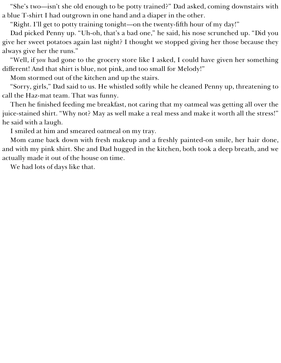"She's two—isn't she old enough to be potty trained?" Dad asked, coming downstairs with a blue T-shirt I had outgrown in one hand and a diaper in the other.

"Right. I'll get to potty training tonight—on the twenty-fifth hour of my day!"

Dad picked Penny up. "Uh-oh, that's a bad one," he said, his nose scrunched up. "Did you give her sweet potatoes again last night? I thought we stopped giving her those because they always give her the runs."

"Well, if *you* had gone to the grocery store like I asked, I could have given her something different! And that shirt is blue, not pink, and too small for Melody!"

Mom stormed out of the kitchen and up the stairs.

"Sorry, girls," Dad said to us. He whistled softly while he cleaned Penny up, threatening to call the Haz-mat team. That was funny.

Then he finished feeding me breakfast, not caring that my oatmeal was getting all over the juice-stained shirt. "Why not? May as well make a real mess and make it worth all the stress!" he said with a laugh.

I smiled at him and smeared oatmeal on my tray.

Mom came back down with fresh makeup and a freshly painted-on smile, her hair done, and with my pink shirt. She and Dad hugged in the kitchen, both took a deep breath, and we actually made it out of the house on time.

We had lots of days like that.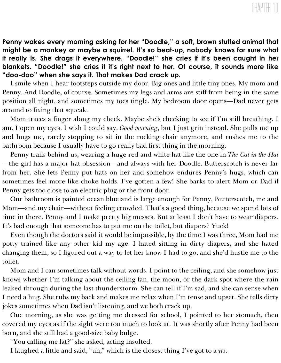**Penny wakes every morning asking for her "Doodle," a soft, brown stuffed animal that might be a monkey or maybe a squirrel. It's so beat-up, nobody knows for sure what it really is. She drags it everywhere. "Doodle!" she cries if it's been caught in her blankets. "Doodle!" she cries if it's right next to her. Of course, it sounds more like "doo-doo" when she says it. That makes Dad crack up.**

I smile when I hear footsteps outside my door. Big ones and little tiny ones. My mom and Penny. And Doodle, of course. Sometimes my legs and arms are stiff from being in the same position all night, and sometimes my toes tingle. My bedroom door opens—Dad never gets around to fixing that squeak.

Mom traces a finger along my cheek. Maybe she's checking to see if I'm still breathing. I am. I open my eyes. I wish I could say, *Good morning*, but I just grin instead. She pulls me up and hugs me, rarely stopping to sit in the rocking chair anymore, and rushes me to the bathroom because I usually have to go really bad first thing in the morning.

Penny trails behind us, wearing a huge red and white hat like the one in *The Cat in the Hat* —the girl has a major hat obsession—and always with her Doodle. Butterscotch is never far from her. She lets Penny put hats on her and somehow endures Penny's hugs, which can sometimes feel more like choke holds. I've gotten a few! She barks to alert Mom or Dad if Penny gets too close to an electric plug or the front door.

Our bathroom is painted ocean blue and is large enough for Penny, Butterscotch, me and Mom—and my chair—without feeling crowded. That's a good thing, because we spend lots of time in there. Penny and I make pretty big messes. But at least I don't have to wear diapers. It's bad enough that someone has to put me on the toilet, but diapers? Yuck!

Even though the doctors said it would be impossible, by the time I was three, Mom had me potty trained like any other kid my age. I hated sitting in dirty diapers, and she hated changing them, so I figured out a way to let her know I had to go, and she'd hustle me to the toilet.

Mom and I can sometimes talk without words. I point to the ceiling, and she somehow just knows whether I'm talking about the ceiling fan, the moon, or the dark spot where the rain leaked through during the last thunderstorm. She can tell if I'm sad, and she can sense when I need a hug. She rubs my back and makes me relax when I'm tense and upset. She tells dirty jokes sometimes when Dad isn't listening, and we both crack up.

One morning, as she was getting me dressed for school, I pointed to her stomach, then covered my eyes as if the sight were too much to look at. It was shortly after Penny had been born, and she still had a good-size baby bulge.

"You calling me fat?" she asked, acting insulted.

I laughed a little and said, "uh," which is the closest thing I've got to a *yes.*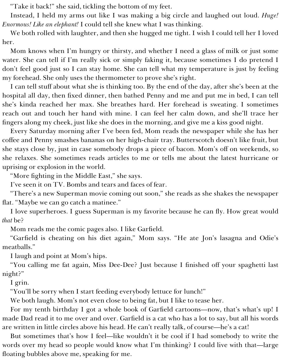"Take it back!" she said, tickling the bottom of my feet.

Instead, I held my arms out like I was making a big circle and laughed out loud. *Huge! Enormous! Like an elephant!* I could tell she knew what I was thinking.

We both rolled with laughter, and then she hugged me tight. I wish I could tell her I loved her.

Mom knows when I'm hungry or thirsty, and whether I need a glass of milk or just some water. She can tell if I'm really sick or simply faking it, because sometimes I do pretend I don't feel good just so I can stay home. She can tell what my temperature is just by feeling my forehead. She only uses the thermometer to prove she's right.

I can tell stuff about what she is thinking too. By the end of the day, after she's been at the hospital all day, then fixed dinner, then bathed Penny and me and put me in bed, I can tell she's kinda reached her max. She breathes hard. Her forehead is sweating. I sometimes reach out and touch her hand with mine. I can feel her calm down, and she'll trace her fingers along my cheek, just like she does in the morning, and give me a kiss good night.

Every Saturday morning after I've been fed, Mom reads the newspaper while she has her coffee and Penny smashes bananas on her high-chair tray. Butterscotch doesn't like fruit, but she stays close by, just in case somebody drops a piece of bacon. Mom's off on weekends, so she relaxes. She sometimes reads articles to me or tells me about the latest hurricane or uprising or explosion in the world.

"More fighting in the Middle East," she says.

I've seen it on TV. Bombs and tears and faces of fear.

"There's a new Superman movie coming out soon," she reads as she shakes the newspaper flat. "Maybe we can go catch a matinee."

I love superheroes. I guess Superman is my favorite because he can fly. How great would *that* be?

Mom reads me the comic pages also. I like Garfield.

"Garfield is cheating on his diet again," Mom says. "He ate Jon's lasagna and Odie's meatballs."

I laugh and point at Mom's hips.

"You calling me fat again, Miss Dee-Dee? Just because I finished off your spaghetti last night?"

I grin.

"You'll be sorry when I start feeding everybody lettuce for lunch!"

We both laugh. Mom's not even close to being fat, but I like to tease her.

For my tenth birthday I got a whole book of Garfield cartoons—now, that's what's up! I made Dad read it to me over and over. Garfield is a cat who has a lot to say, but all his words are written in little circles above his head. He can't really talk, of course—he's a cat!

But sometimes that's how I feel—like wouldn't it be cool if I had somebody to write the words over my head so people would know what I'm thinking? I could live with that—large floating bubbles above me, speaking for me.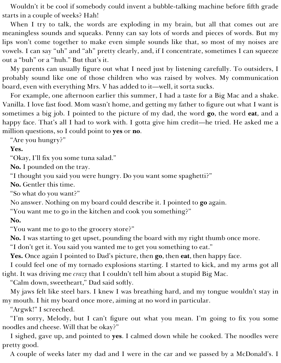Wouldn't it be cool if somebody could invent a bubble-talking machine before fifth grade starts in a couple of weeks? Hah!

When I try to talk, the words are exploding in my brain, but all that comes out are meaningless sounds and squeaks. Penny can say lots of words and pieces of words. But my lips won't come together to make even simple sounds like that, so most of my noises are vowels. I can say "uh" and "ah" pretty clearly, and, if I concentrate, sometimes I can squeeze out a "buh" or a "huh." But that's it.

My parents can usually figure out what I need just by listening carefully. To outsiders, I probably sound like one of those children who was raised by wolves. My communication board, even with everything Mrs. V has added to it—well, it sorta sucks.

For example, one afternoon earlier this summer, I had a taste for a Big Mac and a shake. Vanilla. I love fast food. Mom wasn't home, and getting my father to figure out what I want is sometimes a big job. I pointed to the picture of my dad, the word **go**, the word **eat**, and a happy face. That's all I had to work with. I gotta give him credit—he tried. He asked me a million questions, so I could point to **yes** or **no**.

"Are you hungry?"

#### **Yes.**

"Okay, I'll fix you some tuna salad."

**No.** I pounded on the tray.

"I thought you said you were hungry. Do you want some spaghetti?"

**No.** Gentler this time.

"So what do you want?"

No answer. Nothing on my board could describe it. I pointed to **go** again.

"You want me to go in the kitchen and cook you something?"

#### **No.**

"You want me to go to the grocery store?"

**No.** I was starting to get upset, pounding the board with my right thumb once more.

"I don't get it. You said you wanted me to get you something to eat."

**Yes.** Once again I pointed to Dad's picture, then **go**, then **eat**, then happy face.

I could feel one of my tornado explosions starting. I started to kick, and my arms got all tight. It was driving me *crazy* that I couldn't tell him about a stupid Big Mac.

"Calm down, sweetheart," Dad said softly.

My jaws felt like steel bars. I knew I was breathing hard, and my tongue wouldn't stay in my mouth. I hit my board once more, aiming at no word in particular.

"Argwk!" I screeched.

"I'm sorry, Melody, but I can't figure out what you mean. I'm going to fix you some noodles and cheese. Will that be okay?"

I sighed, gave up, and pointed to **yes**. I calmed down while he cooked. The noodles were pretty good.

A couple of weeks later my dad and I were in the car and we passed by a McDonald's. I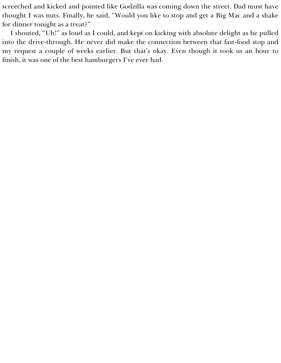screeched and kicked and pointed like Godzilla was coming down the street. Dad must have thought I was nuts. Finally, he said, "Would you like to stop and get a Big Mac and a shake for dinner tonight as a treat?"

I shouted, "Uh!" as loud as I could, and kept on kicking with absolute delight as he pulled into the drive-through. He never did make the connection between that fast-food stop and my request a couple of weeks earlier. But that's okay. Even though it took us an hour to finish, it was one of the best hamburgers I've ever had.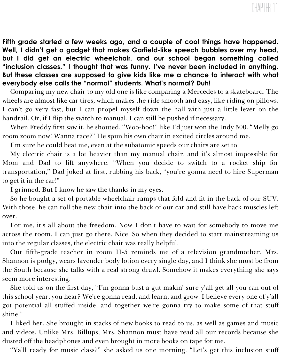**Fifth grade started a few weeks ago, and a couple of cool things have happened. Well, I didn't get a gadget that makes Garfield-like speech bubbles over my head, but I did get an electric wheelchair, and our school began something called "inclusion classes." I thought that was funny. I've never been included in anything. But these classes are supposed to give kids like me a chance to interact with what everybody else calls the "normal" students. What's normal? Duh!**

Comparing my new chair to my old one is like comparing a Mercedes to a skateboard. The wheels are almost like car tires, which makes the ride smooth and easy, like riding on pillows. I can't go very fast, but I can propel myself down the hall with just a little lever on the handrail. Or, if I flip the switch to manual, I can still be pushed if necessary.

When Freddy first saw it, he shouted, "Woo-hoo!" like I'd just won the Indy 500. "Melly go zoom zoom now! Wanna race?" He spun his own chair in excited circles around me.

I'm sure he could beat me, even at the subatomic speeds our chairs are set to.

My electric chair is a lot heavier than my manual chair, and it's almost impossible for Mom and Dad to lift anywhere. "When you decide to switch to a rocket ship for transportation," Dad joked at first, rubbing his back, "you're gonna need to hire Superman to get it in the car!"

I grinned. But I know he saw the thanks in my eyes.

So he bought a set of portable wheelchair ramps that fold and fit in the back of our SUV. With those, he can roll the new chair into the back of our car and still have back muscles left over.

For me, it's all about the freedom. Now I don't have to wait for somebody to move me across the room. I can just go there. Nice. So when they decided to start mainstreaming us into the regular classes, the electric chair was really helpful.

Our fifth-grade teacher in room H-5 reminds me of a television grandmother. Mrs. Shannon is pudgy, wears lavender body lotion every single day, and I think she must be from the South because she talks with a real strong drawl. Somehow it makes everything she says seem more interesting.

She told us on the first day, "I'm gonna bust a gut makin' sure y'all get all you can out of this school year, you hear? We're gonna read, and learn, and grow. I believe every one of y'all got potential all stuffed inside, and together we're gonna try to make some of that stuff shine."

I liked her. She brought in stacks of new books to read to us, as well as games and music and videos. Unlike Mrs. Billups, Mrs. Shannon must have read all our records because she dusted off the headphones and even brought in more books on tape for me.

"Ya'll ready for music class?" she asked us one morning. "Let's get this inclusion stuff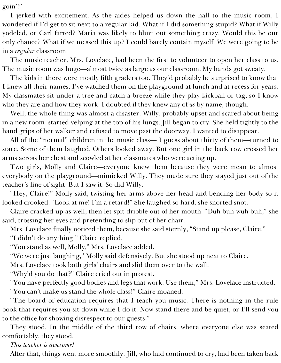goin'!"

I jerked with excitement. As the aides helped us down the hall to the music room, I wondered if I'd get to sit next to a regular kid. What if I did something stupid? What if Willy yodeled, or Carl farted? Maria was likely to blurt out something crazy. Would this be our only chance? What if we messed this up? I could barely contain myself. We were going to be in a *regular* classroom!

The music teacher, Mrs. Lovelace, had been the first to volunteer to open her class to us. The music room was huge—almost twice as large as our classroom. My hands got sweaty.

The kids in there were mostly fifth graders too. They'd probably be surprised to know that I knew all their names. I've watched them on the playground at lunch and at recess for years. My classmates sit under a tree and catch a breeze while they play kickball or tag, so I know who they are and how they work. I doubted if they knew any of *us* by name, though.

Well, the whole thing was almost a disaster. Willy, probably upset and scared about being in a new room, started yelping at the top of his lungs. Jill began to cry. She held tightly to the hand grips of her walker and refused to move past the doorway. I wanted to disappear.

All of the "normal" children in the music class— I guess about thirty of them—turned to stare. Some of them laughed. Others looked away. But one girl in the back row crossed her arms across her chest and scowled at her classmates who were acting up.

Two girls, Molly and Claire—everyone knew them because they were mean to almost everybody on the playground—mimicked Willy. They made sure they stayed just out of the teacher's line of sight. But I saw it. So did Willy.

"Hey, Claire!" Molly said, twisting her arms above her head and bending her body so it looked crooked. "Look at me! I'm a retard!" She laughed so hard, she snorted snot.

Claire cracked up as well, then let spit dribble out of her mouth. "Duh buh wuh buh," she said, crossing her eyes and pretending to slip out of her chair.

Mrs. Lovelace finally noticed them, because she said sternly, "Stand up please, Claire." "I didn't do anything!" Claire replied.

"You stand as well, Molly," Mrs. Lovelace added.

"We were just laughing," Molly said defensively. But she stood up next to Claire.

Mrs. Lovelace took both girls' chairs and slid them over to the wall.

"Why'd you do that?" Claire cried out in protest.

"You have perfectly good bodies and legs that work. Use them," Mrs. Lovelace instructed. "You can't make us stand the whole class!" Claire moaned.

"The board of education requires that I teach you music. There is nothing in the rule book that requires you sit down while I do it. Now stand there and be quiet, or I'll send you to the office for showing disrespect to our guests."

They stood. In the middle of the third row of chairs, where everyone else was seated comfortably, they stood.

*This teacher is awesome!*

After that, things went more smoothly. Jill, who had continued to cry, had been taken back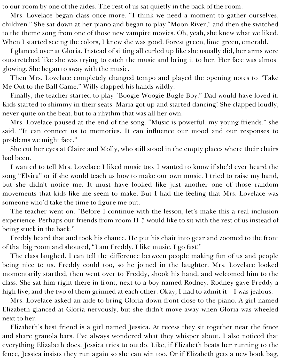to our room by one of the aides. The rest of us sat quietly in the back of the room.

Mrs. Lovelace began class once more. "I think we need a moment to gather ourselves, children." She sat down at her piano and began to play "Moon River," and then she switched to the theme song from one of those new vampire movies. Oh, yeah, she knew what we liked. When I started seeing the colors, I knew she was good. Forest green, lime green, emerald.

I glanced over at Gloria. Instead of sitting all curled up like she usually did, her arms were outstretched like she was trying to catch the music and bring it to her. Her face was almost glowing. She began to sway with the music.

Then Mrs. Lovelace completely changed tempo and played the opening notes to "Take Me Out to the Ball Game." Willy clapped his hands wildly.

Finally, the teacher started to play "Boogie Woogie Bugle Boy." Dad would have loved it. Kids started to shimmy in their seats. Maria got up and started dancing! She clapped loudly, never quite on the beat, but to a rhythm that was all her own.

Mrs. Lovelace paused at the end of the song. "Music is powerful, my young friends," she said. "It can connect us to memories. It can influence our mood and our responses to problems we might face."

She cut her eyes at Claire and Molly, who still stood in the empty places where their chairs had been.

I wanted to tell Mrs. Lovelace I liked music too. I wanted to know if she'd ever heard the song "Elvira" or if she would teach us how to make our own music. I tried to raise my hand, but she didn't notice me. It must have looked like just another one of those random movements that kids like me seem to make. But I had the feeling that Mrs. Lovelace was someone who'd take the time to figure me out.

The teacher went on. "Before I continue with the lesson, let's make this a real inclusion experience. Perhaps our friends from room H-5 would like to sit with the rest of us instead of being stuck in the back."

Freddy heard that and took his chance. He put his chair into gear and zoomed to the front of that big room and shouted, "I am Freddy. I like music. I go fast!"

The class laughed. I can tell the difference between people making fun of us and people being nice to us. Freddy could too, so he joined in the laughter. Mrs. Lovelace looked momentarily startled, then went over to Freddy, shook his hand, and welcomed him to the class. She sat him right there in front, next to a boy named Rodney. Rodney gave Freddy a high five, and the two of them grinned at each other. Okay, I had to admit it—I was jealous.

Mrs. Lovelace asked an aide to bring Gloria down front close to the piano. A girl named Elizabeth glanced at Gloria nervously, but she didn't move away when Gloria was wheeled next to her.

Elizabeth's best friend is a girl named Jessica. At recess they sit together near the fence and share granola bars. I've always wondered what they whisper about. I also noticed that everything Elizabeth does, Jessica tries to outdo. Like, if Elizabeth beats her running to the fence, Jessica insists they run again so she can win too. Or if Elizabeth gets a new book bag,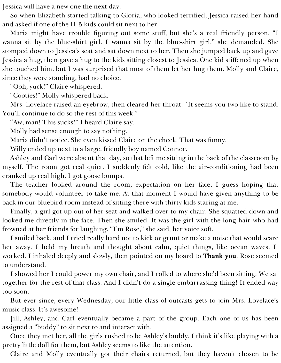Jessica will have a new one the next day.

So when Elizabeth started talking to Gloria, who looked terrified, Jessica raised her hand and asked if one of the H-5 kids could sit next to her.

Maria might have trouble figuring out some stuff, but she's a real friendly person. "I wanna sit by the blue-shirt girl. I wanna sit by the blue-shirt girl," she demanded. She stomped down to Jessica's seat and sat down next to her. Then she jumped back up and gave Jessica a hug, then gave a hug to the kids sitting closest to Jessica. One kid stiffened up when she touched him, but I was surprised that most of them let her hug them. Molly and Claire, since they were standing, had no choice.

"Ooh, yuck!" Claire whispered.

"Cooties!" Molly whispered back.

Mrs. Lovelace raised an eyebrow, then cleared her throat. "It seems you two like to stand. You'll continue to do so the rest of this week."

"Aw, man! This sucks!" I heard Claire say.

Molly had sense enough to say nothing.

Maria didn't notice. She even kissed Claire on the cheek. That was funny.

Willy ended up next to a large, friendly boy named Connor.

Ashley and Carl were absent that day, so that left me sitting in the back of the classroom by myself. The room got real quiet. I suddenly felt cold, like the air-conditioning had been cranked up real high. I got goose bumps.

The teacher looked around the room, expectation on her face, I guess hoping that somebody would volunteer to take me. At that moment I would have given anything to be back in our bluebird room instead of sitting there with thirty kids staring at me.

Finally, a girl got up out of her seat and walked over to my chair. She squatted down and looked me directly in the face. Then she smiled. It was the girl with the long hair who had frowned at her friends for laughing. "I'm Rose," she said, her voice soft.

I smiled back, and I tried really hard not to kick or grunt or make a noise that would scare her away. I held my breath and thought about calm, quiet things, like ocean waves. It worked. I inhaled deeply and slowly, then pointed on my board to **Thank you**. Rose seemed to understand.

I showed her I could power my own chair, and I rolled to where she'd been sitting. We sat together for the rest of that class. And I didn't do a single embarrassing thing! It ended way too soon.

But ever since, every Wednesday, our little class of outcasts gets to join Mrs. Lovelace's music class. It's awesome!

Jill, Ashley, and Carl eventually became a part of the group. Each one of us has been assigned a "buddy" to sit next to and interact with.

Once they met her, all the girls rushed to be Ashley's buddy. I think it's like playing with a pretty little doll for them, but Ashley seems to like the attention.

Claire and Molly eventually got their chairs returned, but they haven't chosen to be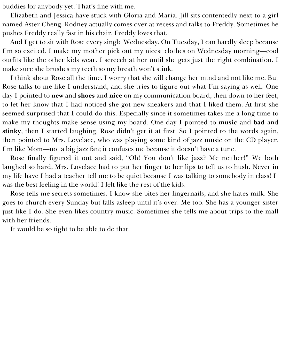buddies for anybody yet. That's fine with me.

Elizabeth and Jessica have stuck with Gloria and Maria. Jill sits contentedly next to a girl named Aster Cheng. Rodney actually comes over at recess and talks to Freddy. Sometimes he pushes Freddy really fast in his chair. Freddy loves that.

And I get to sit with Rose every single Wednesday. On Tuesday, I can hardly sleep because I'm so excited. I make my mother pick out my nicest clothes on Wednesday morning—cool outfits like the other kids wear. I screech at her until she gets just the right combination. I make sure she brushes my teeth so my breath won't stink.

I think about Rose all the time. I worry that she will change her mind and not like me. But Rose talks to me like I understand, and she tries to figure out what I'm saying as well. One day I pointed to **new** and **shoes** and **nice** on my communication board, then down to her feet, to let her know that I had noticed she got new sneakers and that I liked them. At first she seemed surprised that I could do this. Especially since it sometimes takes me a long time to make my thoughts make sense using my board. One day I pointed to **music** and **bad** and **stinky**, then I started laughing. Rose didn't get it at first. So I pointed to the words again, then pointed to Mrs. Lovelace, who was playing some kind of jazz music on the CD player. I'm like Mom—not a big jazz fan; it confuses me because it doesn't have a tune.

Rose finally figured it out and said, "Oh! You don't like jazz? Me neither!" We both laughed so hard, Mrs. Lovelace had to put her finger to her lips to tell us to hush. Never in my life have I had a teacher tell me to be quiet because I was talking to somebody in class! It was the best feeling in the world! I felt like the rest of the kids.

Rose tells me secrets sometimes. I know she bites her fingernails, and she hates milk. She goes to church every Sunday but falls asleep until it's over. Me too. She has a younger sister just like I do. She even likes country music. Sometimes she tells me about trips to the mall with her friends.

It would be so tight to be able to do that.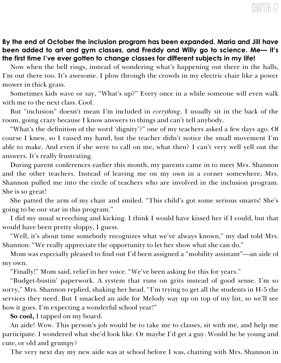# **By the end of October the inclusion program has been expanded. Maria and Jill have been added to art and gym classes, and Freddy and Willy go to science. Me— it's the first time I've ever gotten to change classes for different subjects in my life!**

Now when the bell rings, instead of wondering what's happening out there in the halls, I'm out there too. It's awesome. I plow through the crowds in my electric chair like a power mower in thick grass.

Sometimes kids wave or say, "What's up?" Every once in a while someone will even walk with me to the next class. Cool.

But "inclusion" doesn't mean I'm included in *everything*. I usually sit in the back of the room, going crazy because I know answers to things and can't tell anybody.

"What's the definition of the word 'dignity'?" one of my teachers asked a few days ago. Of course I knew, so I raised my hand, but the teacher didn't notice the small movement I'm able to make. And even if she were to call on me, what then? I can't very well yell out the answers. It's really frustrating.

During parent conferences earlier this month, my parents came in to meet Mrs. Shannon and the other teachers. Instead of leaving me on my own in a corner somewhere, Mrs. Shannon pulled me into the circle of teachers who are involved in the inclusion program. She is so great!

She patted the arm of my chair and smiled. "This child's got some serious smarts! She's going to be our star in this program."

I did my usual screeching and kicking. I think I would have kissed her if I could, but that would have been pretty sloppy, I guess.

"Well, it's about time somebody recognizes what we've always known," my dad told Mrs. Shannon. "We really appreciate the opportunity to let her show what she can do."

Mom was especially pleased to find out I'd been assigned a "mobility assistant"—an aide of my own.

"Finally!" Mom said, relief in her voice. "We've been asking for this for years."

"Budget-bustin' paperwork. A system that runs on grits instead of good sense. I'm so sorry," Mrs. Shannon replied, shaking her head. "I'm trying to get all the students in H-5 the services they need. But I smacked an aide for Melody way up on top of my list, so we'll see how it goes. I'm expecting a wonderful school year!"

**So cool,** I tapped on my board.

An aide! Wow. This person's job would be to take me to classes, sit with me, and help me participate. I wondered what she'd look like. Or maybe I'd get a guy. Would he be young and cute, or old and grumpy?

The very next day my new aide was at school before I was, chatting with Mrs. Shannon in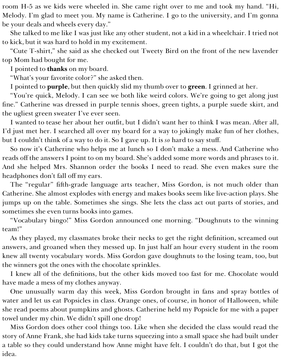room H-5 as we kids were wheeled in. She came right over to me and took my hand. "Hi, Melody. I'm glad to meet you. My name is Catherine. I go to the university, and I'm gonna be your deals and wheels every day."

She talked to me like I was just like any other student, not a kid in a wheelchair. I tried not to kick, but it was hard to hold in my excitement.

"Cute T-shirt," she said as she checked out Tweety Bird on the front of the new lavender top Mom had bought for me.

I pointed to **thanks** on my board.

"What's your favorite color?" she asked then.

I pointed to **purple**, but then quickly slid my thumb over to **green**. I grinned at her.

"You're quick, Melody. I can see we both like weird colors. We're going to get along just fine." Catherine was dressed in purple tennis shoes, green tights, a purple suede skirt, and the ugliest green sweater I've ever seen.

I wanted to tease her about her outfit, but I didn't want her to think I was mean. After all, I'd just met her. I searched all over my board for a way to jokingly make fun of her clothes, but I couldn't think of a way to do it. So I gave up. It is *so* hard to say stuff.

So now it's Catherine who helps me at lunch so I don't make a mess. And Catherine who reads off the answers I point to on my board. She's added some more words and phrases to it. And she helped Mrs. Shannon order the books I need to read. She even makes sure the headphones don't fall off my ears.

The "regular" fifth-grade language arts teacher, Miss Gordon, is not much older than Catherine. She almost explodes with energy and makes books seem like live-action plays. She jumps up on the table. Sometimes she sings. She lets the class act out parts of stories, and sometimes she even turns books into games.

"Vocabulary bingo!" Miss Gordon announced one morning. "Doughnuts to the winning team!"

As they played, my classmates broke their necks to get the right definition, screamed out answers, and groaned when they messed up. In just half an hour every student in the room knew all twenty vocabulary words. Miss Gordon gave doughnuts to the losing team, too, but the winners got the ones with the chocolate sprinkles.

I knew all of the definitions, but the other kids moved too fast for me. Chocolate would have made a mess of my clothes anyway.

One unusually warm day this week, Miss Gordon brought in fans and spray bottles of water and let us eat Popsicles in class. Orange ones, of course, in honor of Halloween, while she read poems about pumpkins and ghosts. Catherine held my Popsicle for me with a paper towel under my chin. We didn't spill one drop!

Miss Gordon does other cool things too. Like when she decided the class would read the story of Anne Frank, she had kids take turns squeezing into a small space she had built under a table so they could understand how Anne might have felt. I couldn't do that, but I got the idea.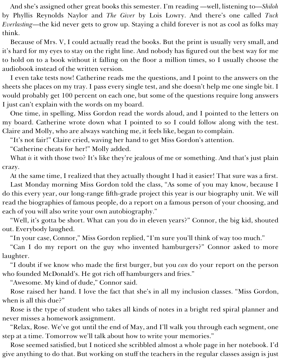And she's assigned other great books this semester. I'm reading —well, listening to—*Shiloh* by Phyllis Reynolds Naylor and *The Giver* by Lois Lowry. And there's one called *Tuck Everlasting*—the kid never gets to grow up. Staying a child forever is not as cool as folks may think.

Because of Mrs. V, I could actually read the books. But the print is usually very small, and it's hard for my eyes to stay on the right line. And nobody has figured out the best way for me to hold on to a book without it falling on the floor a million times, so I usually choose the audiobook instead of the written version.

I even take tests now! Catherine reads me the questions, and I point to the answers on the sheets she places on my tray. I pass every single test, and she doesn't help me one single bit. I would probably get 100 percent on each one, but some of the questions require long answers I just can't explain with the words on my board.

One time, in spelling, Miss Gordon read the words aloud, and I pointed to the letters on my board. Catherine wrote down what I pointed to so I could follow along with the test. Claire and Molly, who are always watching me, it feels like, began to complain.

"It's not fair!" Claire cried, waving her hand to get Miss Gordon's attention.

"Catherine cheats for her!" Molly added.

What *is* it with those two? It's like they're jealous of me or something. And that's just plain crazy.

At the same time, I realized that they actually thought I had it easier! That sure was a first.

Last Monday morning Miss Gordon told the class, "As some of you may know, because I do this every year, our long-range fifth-grade project this year is our biography unit. We will read the biographies of famous people, do a report on a famous person of your choosing, and each of you will also write your own autobiography."

"Well, it's gotta be short. What can you do in eleven years?" Connor, the big kid, shouted out. Everybody laughed.

"In your case, Connor," Miss Gordon replied, "I'm sure you'll think of way too much."

"Can I do my report on the guy who invented hamburgers?" Connor asked to more laughter.

"I doubt if we know who made the first burger, but you *can* do your report on the person who founded McDonald's. He got rich off hamburgers and fries."

"Awesome. My kind of dude," Connor said.

Rose raised her hand. I love the fact that she's in all my inclusion classes. "Miss Gordon, when is all this due?"

Rose is the type of student who takes all kinds of notes in a bright red spiral planner and never misses a homework assignment.

"Relax, Rose. We've got until the end of May, and I'll walk you through each segment, one step at a time. Tomorrow we'll talk about how to write your memories."

Rose seemed satisfied, but I noticed she scribbled almost a whole page in her notebook. I'd give anything to do that. But working on stuff the teachers in the regular classes assign is just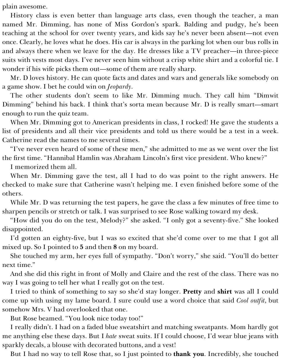plain awesome.

History class is even better than language arts class, even though the teacher, a man named Mr. Dimming, has none of Miss Gordon's spark. Balding and pudgy, he's been teaching at the school for over twenty years, and kids say he's never been absent—not even once. Clearly, he loves what he does. His car is always in the parking lot when our bus rolls in and always there when we leave for the day. He dresses like a TV preacher—in three-piece suits with vests most days. I've never seen him without a crisp white shirt and a colorful tie. I wonder if his wife picks them out—some of them are really sharp.

Mr. D loves history. He can quote facts and dates and wars and generals like somebody on a game show. I bet he could win on *Jeopardy*.

The other students don't seem to like Mr. Dimming much. They call him "Dimwit Dimming" behind his back. I think that's sorta mean because Mr. D is really smart—smart enough to run the quiz team.

When Mr. Dimming got to American presidents in class, I rocked! He gave the students a list of presidents and all their vice presidents and told us there would be a test in a week. Catherine read the names to me several times.

"I've never even heard of some of these men," she admitted to me as we went over the list the first time. "Hannibal Hamlin was Abraham Lincoln's first vice president. Who knew?"

I memorized them all.

When Mr. Dimming gave the test, all I had to do was point to the right answers. He checked to make sure that Catherine wasn't helping me. I even finished before some of the others.

While Mr. D was returning the test papers, he gave the class a few minutes of free time to sharpen pencils or stretch or talk. I was surprised to see Rose walking toward my desk.

"How did you do on the test, Melody?" she asked. "I only got a seventy-five." She looked disappointed.

I'd gotten an eighty-five, but I was so excited that she'd come over to me that I got all mixed up. So I pointed to **5** and then **8** on my board.

She touched my arm, her eyes full of sympathy. "Don't worry," she said. "You'll do better next time."

And she did this right in front of Molly and Claire and the rest of the class. There was no way I was going to tell her what I really got on the test.

I tried to think of something to say so she'd stay longer. **Pretty** and **shirt** was all I could come up with using my lame board. I sure could use a word choice that said *Cool outfit*, but somehow Mrs. V had overlooked that one.

But Rose beamed. "You look nice today too!"

I really didn't. I had on a faded blue sweatshirt and matching sweatpants. Mom hardly got me anything else these days. But I *hate* sweat suits. If I could choose, I'd wear blue jeans with sparkly decals, a blouse with decorated buttons, and a vest!

But I had no way to tell Rose that, so I just pointed to **thank you**. Incredibly, she touched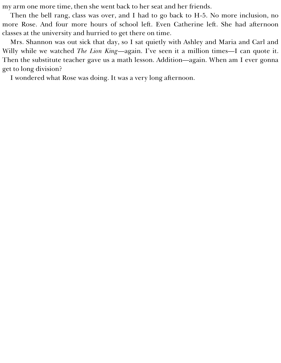my arm one more time, then she went back to her seat and her friends.

Then the bell rang, class was over, and I had to go back to H-5. No more inclusion, no more Rose. And four more hours of school left. Even Catherine left. She had afternoon classes at the university and hurried to get there on time.

Mrs. Shannon was out sick that day, so I sat quietly with Ashley and Maria and Carl and Willy while we watched *The Lion King*—again. I've seen it a million times—I can quote it. Then the substitute teacher gave us a math lesson. Addition—again. When am I ever gonna get to long division?

I wondered what Rose was doing. It was a very long afternoon.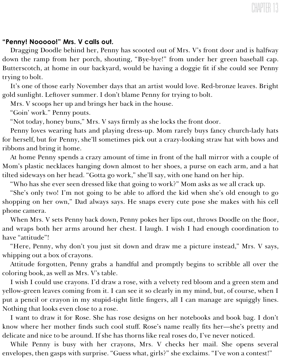#### **"Penny! Nooooo!" Mrs. V calls out.**

Dragging Doodle behind her, Penny has scooted out of Mrs. V's front door and is halfway down the ramp from her porch, shouting, "Bye-bye!" from under her green baseball cap. Butterscotch, at home in our backyard, would be having a doggie fit if she could see Penny trying to bolt.

It's one of those early November days that an artist would love. Red-bronze leaves. Bright gold sunlight. Leftover summer. I don't blame Penny for trying to bolt.

Mrs. V scoops her up and brings her back in the house.

"Goin' work." Penny pouts.

"Not today, honey buns," Mrs. V says firmly as she locks the front door.

Penny loves wearing hats and playing dress-up. Mom rarely buys fancy church-lady hats for herself, but for Penny, she'll sometimes pick out a crazy-looking straw hat with bows and ribbons and bring it home.

At home Penny spends a crazy amount of time in front of the hall mirror with a couple of Mom's plastic necklaces hanging down almost to her shoes, a purse on each arm, and a hat tilted sideways on her head. "Gotta go work," she'll say, with one hand on her hip.

"Who has she ever seen dressed like that going to work?" Mom asks as we all crack up.

"She's only two! I'm not going to be able to afford the kid when she's old enough to go shopping on her own," Dad always says. He snaps every cute pose she makes with his cell phone camera.

When Mrs. V sets Penny back down, Penny pokes her lips out, throws Doodle on the floor, and wraps both her arms around her chest. I laugh. I wish I had enough coordination to have "attitude"!

"Here, Penny, why don't you just sit down and draw me a picture instead," Mrs. V says, whipping out a box of crayons.

Attitude forgotten, Penny grabs a handful and promptly begins to scribble all over the coloring book, as well as Mrs. V's table.

I wish I could use crayons. I'd draw a rose, with a velvety red bloom and a green stem and yellow-green leaves coming from it. I can see it so clearly in my mind, but, of course, when I put a pencil or crayon in my stupid-tight little fingers, all I can manage are squiggly lines. Nothing that looks even close to a rose.

I want to draw it for Rose. She has rose designs on her notebooks and book bag. I don't know where her mother finds such cool stuff. Rose's name really fits her—she's pretty and delicate and nice to be around. If she has thorns like real roses do, I've never noticed.

While Penny is busy with her crayons, Mrs. V checks her mail. She opens several envelopes, then gasps with surprise. "Guess what, girls?" she exclaims. "I've won a contest!"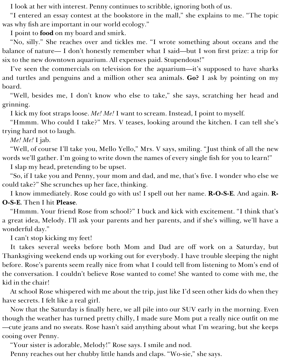I look at her with interest. Penny continues to scribble, ignoring both of us.

"I entered an essay contest at the bookstore in the mall," she explains to me. "The topic was why fish are important in our world ecology."

I point to **food** on my board and smirk.

"No, silly." She reaches over and tickles me. "I wrote something about oceans and the balance of nature— I don't honestly remember what I said—but I won first prize: a trip for six to the new downtown aquarium. All expenses paid. Stupendous!"

I've seen the commercials on television for the aquarium—it's supposed to have sharks and turtles and penguins and a million other sea animals. **Go?** I ask by pointing on my board.

"Well, besides me, I don't know who else to take," she says, scratching her head and grinning.

I kick my foot straps loose. *Me! Me!* I want to scream. Instead, I point to myself.

"Hmmm. Who could I take?" Mrs. V teases, looking around the kitchen. I can tell she's trying hard not to laugh.

*Me! Me!* I jab.

"Well, of course I'll take you, Mello Yello," Mrs. V says, smiling. "Just think of all the new words we'll gather. I'm going to write down the names of every single fish for you to learn!"

I slap my head, pretending to be upset.

"So, if I take you and Penny, your mom and dad, and me, that's five. I wonder who else we could take?" She scrunches up her face, thinking.

I know immediately. Rose could go with us! I spell out her name. **R-O-S-E**. And again. **R-O-S-E**. Then I hit **Please**.

"Hmmm. Your friend Rose from school?" I buck and kick with excitement. "I think that's a great idea, Melody. I'll ask your parents and her parents, and if she's willing, we'll have a wonderful day."

I can't stop kicking my feet!

It takes several weeks before both Mom and Dad are off work on a Saturday, but Thanksgiving weekend ends up working out for everybody. I have trouble sleeping the night before. Rose's parents seem really nice from what I could tell from listening to Mom's end of the conversation. I couldn't believe Rose wanted to come! She wanted to come with me, the kid in the chair!

At school Rose whispered with me about the trip, just like I'd seen other kids do when they have secrets. I felt like a real girl.

Now that the Saturday is finally here, we all pile into our SUV early in the morning. Even though the weather has turned pretty chilly, I made sure Mom put a really nice outfit on me —cute jeans and no sweats. Rose hasn't said anything about what I'm wearing, but she keeps cooing over Penny.

"Your sister is adorable, Melody!" Rose says. I smile and nod.

Penny reaches out her chubby little hands and claps. "Wo-sie," she says.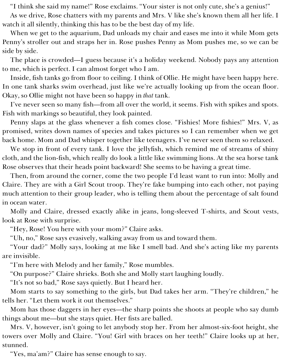"I think she said my name!" Rose exclaims. "Your sister is not only cute, she's a genius!"

As we drive, Rose chatters with my parents and Mrs. V like she's known them all her life. I watch it all silently, thinking this has to be the best day of my life.

When we get to the aquarium, Dad unloads my chair and eases me into it while Mom gets Penny's stroller out and straps her in. Rose pushes Penny as Mom pushes me, so we can be side by side.

The place is crowded—I guess because it's a holiday weekend. Nobody pays any attention to me, which is perfect. I can almost forget who I am.

Inside, fish tanks go from floor to ceiling. I think of Ollie. He might have been happy here. In one tank sharks swim overhead, just like we're actually looking up from the ocean floor. Okay, so Ollie might not have been so happy in *that* tank.

I've never seen so many fish—from all over the world, it seems. Fish with spikes and spots. Fish with markings so beautiful, they look painted.

Penny slaps at the glass whenever a fish comes close. "Fishies! More fishies!" Mrs. V, as promised, writes down names of species and takes pictures so I can remember when we get back home. Mom and Dad whisper together like teenagers. I've never seen them so relaxed.

We stop in front of every tank. I love the jellyfish, which remind me of streams of shiny cloth, and the lion-fish, which really do look a little like swimming lions. At the sea horse tank Rose observes that their heads point backward! She seems to be having a great time.

Then, from around the corner, come the two people I'd least want to run into: Molly and Claire. They are with a Girl Scout troop. They're fake bumping into each other, not paying much attention to their group leader, who is telling them about the percentage of salt found in ocean water.

Molly and Claire, dressed exactly alike in jeans, long-sleeved T-shirts, and Scout vests, look at Rose with surprise.

"Hey, Rose! You here with your mom?" Claire asks.

"Uh, no," Rose says evasively, walking away from us and toward them.

"Your dad?" Molly says, looking at me like I smell bad. And she's acting like my parents are invisible.

"I'm here with Melody and her family," Rose mumbles.

"On purpose?" Claire shrieks. Both she and Molly start laughing loudly.

"It's not so bad," Rose says quietly. But I heard her.

Mom starts to say something to the girls, but Dad takes her arm. "They're children," he tells her. "Let them work it out themselves."

Mom has those daggers in her eyes—the sharp points she shoots at people who say dumb things about me—but she stays quiet. Her fists are balled.

Mrs. V, however, isn't going to let anybody stop her. From her almost-six-foot height, she towers over Molly and Claire. "You! Girl with braces on her teeth!" Claire looks up at her, stunned.

"Yes, ma'am?" Claire has sense enough to say.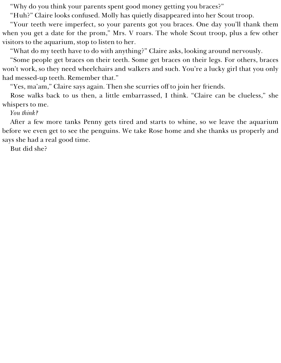"Why do you think your parents spent good money getting you braces?"

"Huh?" Claire looks confused. Molly has quietly disappeared into her Scout troop.

"Your teeth were imperfect, so your parents got you braces. One day you'll thank them when you get a date for the prom," Mrs. V roars. The whole Scout troop, plus a few other visitors to the aquarium, stop to listen to her.

"What do my teeth have to do with anything?" Claire asks, looking around nervously.

"Some people get braces on their teeth. Some get braces on their legs. For others, braces won't work, so they need wheelchairs and walkers and such. You're a lucky girl that you only had messed-up teeth. Remember that."

"Yes, ma'am," Claire says again. Then she scurries off to join her friends.

Rose walks back to us then, a little embarrassed, I think. "Claire can be clueless," she whispers to me.

#### *You think?*

After a few more tanks Penny gets tired and starts to whine, so we leave the aquarium before we even get to see the penguins. We take Rose home and she thanks us properly and says she had a real good time.

But did she?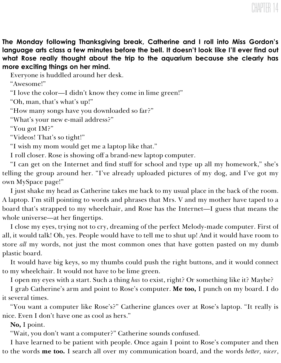**The Monday following Thanksgiving break, Catherine and I roll into Miss Gordon's language arts class a few minutes before the bell. It doesn't look like I'll ever find out what Rose really thought about the trip to the aquarium because she clearly has more exciting things on her mind.**

Everyone is huddled around her desk.

"Awesome!"

"I love the color—I didn't know they come in lime green!"

"Oh, man, that's what's up!"

"How many songs have you downloaded so far?"

"What's your new e-mail address?"

"You got IM?"

"Videos! That's so tight!"

"I wish my mom would get me a laptop like that."

I roll closer. Rose is showing off a brand-new laptop computer.

"I can get on the Internet and find stuff for school and type up all my homework," she's telling the group around her. "I've already uploaded pictures of my dog, and I've got my own MySpace page!"

I just shake my head as Catherine takes me back to my usual place in the back of the room. A laptop. I'm still pointing to words and phrases that Mrs. V and my mother have taped to a board that's strapped to my wheelchair, and Rose has the Internet—I guess that means the whole universe—at her fingertips.

I close my eyes, trying not to cry, dreaming of the perfect Melody-made computer. First of all, it would talk! Oh, yes. People would have to tell me to shut up! And it would have room to store *all* my words, not just the most common ones that have gotten pasted on my dumb plastic board.

It would have big keys, so my thumbs could push the right buttons, and it would connect to my wheelchair. It would not have to be lime green.

I open my eyes with a start. Such a thing *has* to exist, right? Or something like it? Maybe?

I grab Catherine's arm and point to Rose's computer. **Me too,** I punch on my board. I do it several times.

"You want a computer like Rose's?" Catherine glances over at Rose's laptop. "It really is nice. Even I don't have one as cool as hers."

**No,** I point.

"Wait, you don't want a computer?" Catherine sounds confused.

I have learned to be patient with people. Once again I point to Rose's computer and then to the words **me too.** I search all over my communication board, and the words *better, nicer*,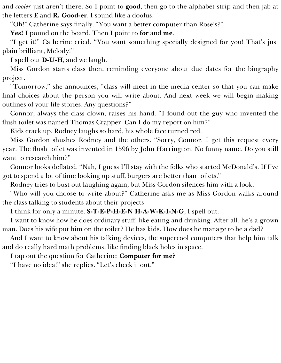and *cooler* just aren't there. So I point to **good**, then go to the alphabet strip and then jab at the letters **E** and **R. Good-er**. I sound like a doofus.

"Oh!" Catherine says finally. "You want a better computer than Rose's?"

**Yes!** I pound on the board. Then I point to **for** and **me**.

"I get it!" Catherine cried. "You want something specially designed for you! That's just plain brilliant, Melody!"

I spell out **D-U-H**, and we laugh.

Miss Gordon starts class then, reminding everyone about due dates for the biography project.

"Tomorrow," she announces, "class will meet in the media center so that you can make final choices about the person you will write about. And next week we will begin making outlines of your life stories. Any questions?"

Connor, always the class clown, raises his hand. "I found out the guy who invented the flush toilet was named Thomas Crapper. Can I do my report on him?"

Kids crack up. Rodney laughs so hard, his whole face turned red.

Miss Gordon shushes Rodney and the others. "Sorry, Connor. I get this request every year. The flush toilet was invented in 1596 by John Harrington. No funny name. Do you still want to research him?"

Connor looks deflated. "Nah, I guess I'll stay with the folks who started McDonald's. If I've got to spend a lot of time looking up stuff, burgers are better than toilets."

Rodney tries to bust out laughing again, but Miss Gordon silences him with a look.

"Who will you choose to write about?" Catherine asks me as Miss Gordon walks around the class talking to students about their projects.

I think for only a minute. **S-T-E-P-H-E-N H-A-W-K-I-N-G**, I spell out.

I want to know how he does ordinary stuff, like eating and drinking. After all, he's a grown man. Does his wife put him on the toilet? He has kids. How does he manage to be a dad?

And I want to know about his talking devices, the supercool computers that help him talk and do really hard math problems, like finding black holes in space.

I tap out the question for Catherine: **Computer for me?**

"I have no idea!" she replies. "Let's check it out."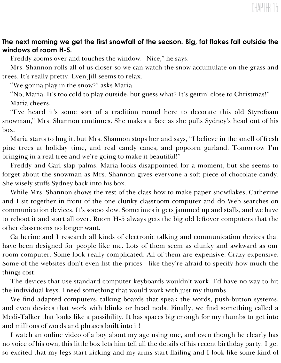## **The next morning we get the first snowfall of the season. Big, fat flakes fall outside the windows of room H-5.**

Freddy zooms over and touches the window. "Nice," he says.

Mrs. Shannon rolls all of us closer so we can watch the snow accumulate on the grass and trees. It's really pretty. Even Jill seems to relax.

"We gonna play in the snow?" asks Maria.

"No, Maria. It's too cold to play outside, but guess what? It's gettin' close to Christmas!" Maria cheers.

"I've heard it's some sort of a tradition round here to decorate this old Styrofoam snowman," Mrs. Shannon continues. She makes a face as she pulls Sydney's head out of his box.

Maria starts to hug it, but Mrs. Shannon stops her and says, "I believe in the smell of fresh pine trees at holiday time, and real candy canes, and popcorn garland. Tomorrow I'm bringing in a real tree and we're going to make it beautiful!"

Freddy and Carl slap palms. Maria looks disappointed for a moment, but she seems to forget about the snowman as Mrs. Shannon gives everyone a soft piece of chocolate candy. She wisely stuffs Sydney back into his box.

While Mrs. Shannon shows the rest of the class how to make paper snowflakes, Catherine and I sit together in front of the one clunky classroom computer and do Web searches on communication devices. It's soooo slow. Sometimes it gets jammed up and stalls, and we have to reboot it and start all over. Room H-5 always gets the big old leftover computers that the other classrooms no longer want.

Catherine and I research all kinds of electronic talking and communication devices that have been designed for people like me. Lots of them seem as clunky and awkward as our room computer. Some look really complicated. All of them are expensive. Crazy expensive. Some of the websites don't even list the prices—like they're afraid to specify how much the things cost.

The devices that use standard computer keyboards wouldn't work. I'd have no way to hit the individual keys. I need something that would work with just my thumbs.

We find adapted computers, talking boards that speak the words, push-button systems, and even devices that work with blinks or head nods. Finally, we find something called a Medi-Talker that looks like a possibility. It has spaces big enough for my thumbs to get into and millions of words and phrases built into it!

I watch an online video of a boy about my age using one, and even though he clearly has no voice of his own, this little box lets him tell all the details of his recent birthday party! I get so excited that my legs start kicking and my arms start flailing and I look like some kind of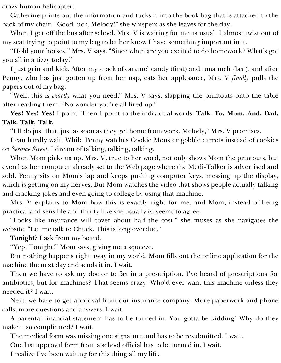crazy human helicopter.

Catherine prints out the information and tucks it into the book bag that is attached to the back of my chair. "Good luck, Melody!" she whispers as she leaves for the day.

When I get off the bus after school, Mrs. V is waiting for me as usual. I almost twist out of my seat trying to point to my bag to let her know I have something important in it.

"Hold your horses!" Mrs. V says. "Since when are you excited to do homework? What's got you all in a tizzy today?"

I just grin and kick. After my snack of caramel candy (first) and tuna melt (last), and after Penny, who has just gotten up from her nap, eats her applesauce, Mrs. V *finally* pulls the papers out of my bag.

"Well, this is *exactly* what you need," Mrs. V says, slapping the printouts onto the table after reading them. "No wonder you're all fired up."

**Yes! Yes! Yes!** I point. Then I point to the individual words: **Talk. To. Mom. And. Dad. Talk. Talk. Talk.**

"I'll do just that, just as soon as they get home from work, Melody," Mrs. V promises.

I can hardly wait. While Penny watches Cookie Monster gobble carrots instead of cookies on *Sesame Street*, I dream of talking, talking, talking.

When Mom picks us up, Mrs. V, true to her word, not only shows Mom the printouts, but even has her computer already set to the Web page where the Medi-Talker is advertised and sold. Penny sits on Mom's lap and keeps pushing computer keys, messing up the display, which is getting on my nerves. But Mom watches the video that shows people actually talking and cracking jokes and even going to college by using that machine.

Mrs. V explains to Mom how this is exactly right for me, and Mom, instead of being practical and sensible and thrifty like she usually is, seems to agree.

"Looks like insurance will cover about half the cost," she muses as she navigates the website. "Let me talk to Chuck. This is long overdue."

**Tonight?** I ask from my board.

"Yep! Tonight!" Mom says, giving me a squeeze.

But nothing happens right away in my world. Mom fills out the online application for the machine the next day and sends it in. I wait.

Then we have to ask my doctor to fax in a prescription. I've heard of prescriptions for antibiotics, but for machines? That seems crazy. Who'd ever want this machine unless they needed it? I wait.

Next, we have to get approval from our insurance company. More paperwork and phone calls, more questions and answers. I wait.

A parental financial statement has to be turned in. You gotta be kidding! Why do they make it so complicated? I wait.

The medical form was missing one signature and has to be resubmitted. I wait.

One last approval form from a school official has to be turned in. I wait.

I realize I've been waiting for this thing all my life.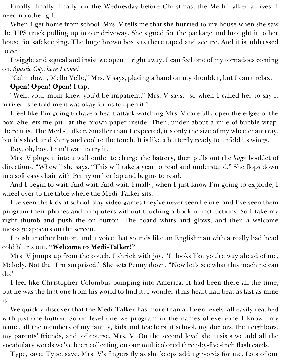Finally, finally, finally, on the Wednesday before Christmas, the Medi-Talker arrives. I need no other gift.

When I get home from school, Mrs. V tells me that she hurried to my house when she saw the UPS truck pulling up in our driveway. She signed for the package and brought it to her house for safekeeping. The huge brown box sits there taped and secure. And it is addressed to *me*!

I wiggle and squeal and insist we open it right away. I can feel one of my tornadoes coming on. *Spastic City, here I come!*

"Calm down, Mello Yello," Mrs. V says, placing a hand on my shoulder, but I can't relax.

### **Open! Open! Open!** I tap.

"Well, your mom knew you'd be impatient," Mrs. V says, "so when I called her to say it arrived, she told me it was okay for us to open it."

I feel like I'm going to have a heart attack watching Mrs. V carefully open the edges of the box. She lets me pull at the brown paper inside. Then, under about a mile of bubble wrap, there it is. The Medi-Talker. Smaller than I expected, it's only the size of my wheelchair tray, but it's sleek and shiny and cool to the touch. It is like a butterfly ready to unfold its wings.

Boy, oh, boy. I can't wait to try it.

Mrs. V plugs it into a wall outlet to charge the battery, then pulls out the *huge* booklet of directions. "Whew!" she says. "This will take a year to read and understand." She flops down in a soft easy chair with Penny on her lap and begins to read.

And I begin to wait. And wait. And wait. Finally, when I just know I'm going to explode, I wheel over to the table where the Medi-Talker sits.

I've seen the kids at school play video games they've never seen before, and I've seen them program their phones and computers without touching a book of instructions. So I take my right thumb and push the on button. The board whirs and glows, and then a welcome message appears on the screen.

I push another button, and a voice that sounds like an Englishman with a really bad head cold blurts out, **"Welcome to Medi-Talker!"**

Mrs. V jumps up from the couch. I shriek with joy. "It looks like you're way ahead of me, Melody. Not that I'm surprised." She sets Penny down. "Now let's see what this machine can do!"

I feel like Christopher Columbus bumping into America. It had been there all the time, but he was the first one from his world to find it. I wonder if his heart had beat as fast as mine is.

We quickly discover that the Medi-Talker has more than a dozen levels, all easily reached with just one button. So on level one we program in the names of everyone I know—my name, all the members of my family, kids and teachers at school, my doctors, the neighbors, my parents' friends, and, of course, Mrs. V. On the second level she insists we add all the vocabulary words we've been collecting on our multicolored three-by-five-inch flash cards.

Type, save. Type, save. Mrs. V's fingers fly as she keeps adding words for me. Lots of our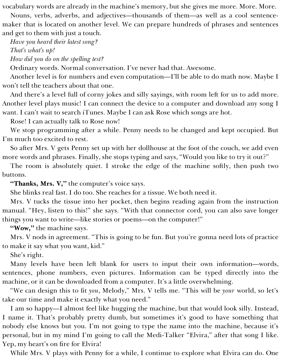vocabulary words are already in the machine's memory, but she gives me more. More. More.

Nouns, verbs, adverbs, and adjectives—thousands of them—as well as a cool sentencemaker that is located on another level. We can prepare hundreds of phrases and sentences and get to them with just a touch.

*Have you heard their latest song? That's what's up!*

*How did you do on the spelling test?*

Ordinary words. Normal conversation. I've never had that. Awesome.

Another level is for numbers and even computation—I'll be able to do math now. Maybe I won't tell the teachers about that one.

And there's a level full of corny jokes and silly sayings, with room left for us to add more. Another level plays music! I can connect the device to a computer and download any song I want. I can't wait to search iTunes. Maybe I can ask Rose which songs are hot.

Rose! I can actually talk to Rose now!

We stop programming after a while. Penny needs to be changed and kept occupied. But I'm much too excited to rest.

So after Mrs. V gets Penny set up with her dollhouse at the foot of the couch, we add even more words and phrases. Finally, she stops typing and says, "Would you like to try it out?"

The room is absolutely quiet. I stroke the edge of the machine softly, then push two buttons.

**"Thanks, Mrs. V, "** the computer's voice says.

She blinks real fast. I do too. She reaches for a tissue. We both need it.

Mrs. V tucks the tissue into her pocket, then begins reading again from the instruction manual. "Hey, listen to this!" she says. "With that connector cord, you can also save longer things you want to write—like stories or poems—on the computer!"

"Wow," the machine says.

Mrs. V nods in agreement. "This is going to be fun. But you're gonna need lots of practice to make it say what you want, kid."

She's right.

Many levels have been left blank for users to input their own information—words, sentences, phone numbers, even pictures. Information can be typed directly into the machine, or it can be downloaded from a computer. It's a little overwhelming.

"We can design this to fit *you*, Melody," Mrs. V tells me. "This will be *your* world, so let's take our time and make it exactly what you need."

I am so happy—I almost feel like hugging the machine, but that would look silly. Instead, I name it. That's probably pretty dumb, but sometimes it's good to have something that nobody else knows but you. I'm not going to type the name into the machine, because it's personal, but in my mind I'm going to call the Medi-Talker "Elvira," after that song I like. Yep, my heart's on fire for Elvira!

While Mrs. V plays with Penny for a while, I continue to explore what Elvira can do. One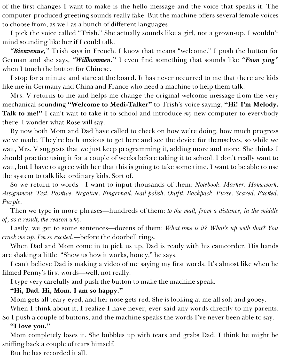of the first changes I want to make is the hello message and the voice that speaks it. The computer-produced greeting sounds really fake. But the machine offers several female voices to choose from, as well as a bunch of different languages.

I pick the voice called "Trish." She actually sounds like a girl, not a grown-up. I wouldn't mind sounding like her if I could talk.

*"Bienvenue,"* Trish says in French. I know that means "welcome." I push the button for German and she says, *"Willkommen."* I even find something that sounds like *"Foon ying"* when I touch the button for Chinese.

I stop for a minute and stare at the board. It has never occurred to me that there are kids like me in Germany and China and France who need a machine to help them talk.

Mrs. V returns to me and helps me change the original welcome message from the very mechanical-sounding **"Welcome to Medi-Talker"** to Trish's voice saying, **"Hi! I'm Melody. Talk to me!"** I can't wait to take it to school and introduce *my* new computer to everybody there. I wonder what Rose will say.

By now both Mom and Dad have called to check on how we're doing, how much progress we've made. They're both anxious to get here and see the device for themselves, so while we wait, Mrs. V suggests that we just keep programming it, adding more and more. She thinks I should practice using it for a couple of weeks before taking it to school. I don't really want to wait, but I have to agree with her that this is going to take some time. I want to be able to use the system to talk like ordinary kids. Sort of.

So we return to words—I want to input thousands of them: *Notebook. Marker. Homework. Assignment. Test. Positive. Negative. Fingernail. Nail polish. Outfit. Backpack. Purse. Scared. Excited. Purple.*

Then we type in more phrases—hundreds of them: *to the mall, from a distance, in the middle of, as a result, the reason why.*

Lastly, we get to some sentences—dozens of them: *What time is it? What's up with that? You crack me up. I'm so excited.*—before the doorbell rings.

When Dad and Mom come in to pick us up, Dad is ready with his camcorder. His hands are shaking a little. "Show us how it works, honey," he says.

I can't believe Dad is making a video of me saying my first words. It's almost like when he filmed Penny's first words—well, not really.

I type very carefully and push the button to make the machine speak.

## **"Hi, Dad. Hi, Mom. I am so happy."**

Mom gets all teary-eyed, and her nose gets red. She is looking at me all soft and gooey.

When I think about it, I realize I have never, ever said any words directly to my parents.

So I push a couple of buttons, and the machine speaks the words I've never been able to say. **"I love you."**

Mom completely loses it. She bubbles up with tears and grabs Dad. I think he might be sniffing back a couple of tears himself.

But he has recorded it all.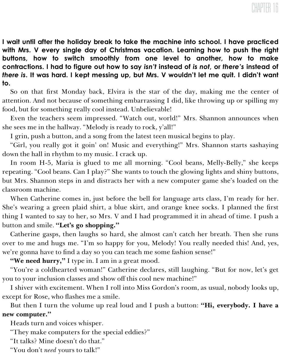**I wait until after the holiday break to take the machine into school. I have practiced with Mrs. V every single day of Christmas vacation. Learning how to push the right buttons, how to switch smoothly from one level to another, how to make contractions. I had to figure out how to say** *isn't* **instead of** *is not***, or** *there's* **instead of** there is. It was hard. I kept messing up, but Mrs. V wouldn't let me quit. I didn't want **to.**

So on that first Monday back, Elvira is the star of the day, making me the center of attention. And not because of something embarrassing I did, like throwing up or spilling my food, but for something really cool instead. Unbelievable!

Even the teachers seem impressed. "Watch out, world!" Mrs. Shannon announces when she sees me in the hallway. "Melody is ready to rock, y'all!"

I grin, push a button, and a song from the latest teen musical begins to play.

"Girl, you really got it goin' on! Music and everything!" Mrs. Shannon starts sashaying down the hall in rhythm to my music. I crack up.

In room H-5, Maria is glued to me all morning. "Cool beans, Melly-Belly," she keeps repeating. "Cool beans. Can I play?" She wants to touch the glowing lights and shiny buttons, but Mrs. Shannon steps in and distracts her with a new computer game she's loaded on the classroom machine.

When Catherine comes in, just before the bell for language arts class, I'm ready for her. She's wearing a green plaid shirt, a blue skirt, and orange knee socks. I planned the first thing I wanted to say to her, so Mrs. V and I had programmed it in ahead of time. I push a button and smile. **"Let's go shopping."**

Catherine gasps, then laughs so hard, she almost can't catch her breath. Then she runs over to me and hugs me. "I'm so happy for you, Melody! You really needed this! And, yes, we're gonna have to find a day so you can teach me some fashion sense!"

**"We need hurry, "** I type in. I am in a great mood.

"You're a coldhearted woman!" Catherine declares, still laughing. "But for now, let's get you to your inclusion classes and show off this cool new machine!"

I shiver with excitement. When I roll into Miss Gordon's room, as usual, nobody looks up, except for Rose, who flashes me a smile.

But then I turn the volume up real loud and I push a button: **"Hi, everybody. I have a new computer."**

Heads turn and voices whisper.

"They make computers for the special eddies?"

"It talks? Mine doesn't do that."

"You don't *need* yours to talk!"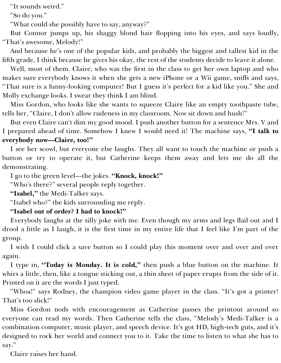"It sounds weird."

"So do you."

"What could she possibly have to say, anyway?"

But Connor jumps up, his shaggy blond hair flopping into his eyes, and says loudly, "That's awesome, Melody!"

And because he's one of the popular kids, and probably the biggest and tallest kid in the fifth grade, I think because he gives his okay, the rest of the students decide to leave it alone.

Well, most of them. Claire, who was the first in the class to get her own laptop and who makes sure everybody knows it when she gets a new iPhone or a Wii game, sniffs and says, "That sure is a funny-looking computer! But I guess it's perfect for a kid like you." She and Molly exchange looks. I swear they think I am blind.

Miss Gordon, who looks like she wants to squeeze Claire like an empty toothpaste tube, tells her, "Claire, I don't allow rudeness in my classroom. Now sit down and hush!"

But even Claire can't dim my good mood. I push another button for a sentence Mrs. V and I prepared ahead of time. Somehow I knew I would need it! The machine says, **"I talk to everybody now—Claire, too!"**

I see her scowl, but everyone else laughs. They all want to touch the machine or push a button or try to operate it, but Catherine keeps them away and lets me do all the demonstrating.

I go to the green level—the jokes. **"Knock, knock!"**

"Who's there?" several people reply together.

**"Isabel, "** the Medi-Talker says.

"Isabel who?" the kids surrounding me reply.

## **"Isabel out of order? I had to knock!"**

Everybody laughs at the silly joke with me. Even though my arms and legs flail out and I drool a little as I laugh, it is the first time in my entire life that I feel like I'm part of the group.

I wish I could click a save button so I could play this moment over and over and over again.

I type in, **"Today is Monday. It is cold, "** then push a blue button on the machine. It whirs a little, then, like a tongue sticking out, a thin sheet of paper erupts from the side of it. Printed on it are the words I just typed.

"Whoa!" says Rodney, the champion video game player in the class. "It's got a printer! That's too slick!"

Miss Gordon nods with encouragement as Catherine passes the printout around so everyone can read my words. Then Catherine tells the class, "Melody's Medi-Talker is a combination computer, music player, and speech device. It's got HD, high-tech guts, and it's designed to rock her world and connect you to it. Take the time to listen to what she has to say."

Claire raises her hand.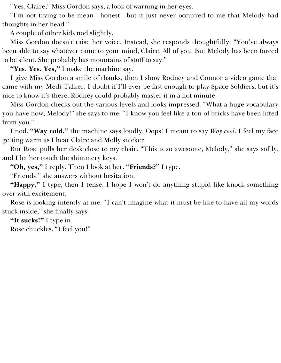"Yes, Claire," Miss Gordon says, a look of warning in her eyes.

"I'm not trying to be mean—honest—but it just never occurred to me that Melody had thoughts in her head."

A couple of other kids nod slightly.

Miss Gordon doesn't raise her voice. Instead, she responds thoughtfully: "You've always been able to say whatever came to your mind, Claire. All of you. But Melody has been forced to be silent. She probably has mountains of stuff to say."

**"Yes. Yes. Yes, "** I make the machine say.

I give Miss Gordon a smile of thanks, then I show Rodney and Connor a video game that came with my Medi-Talker. I doubt if I'll ever be fast enough to play Space Soldiers, but it's nice to know it's there. Rodney could probably master it in a hot minute.

Miss Gordon checks out the various levels and looks impressed. "What a huge vocabulary you have now, Melody!" she says to me. "I know you feel like a ton of bricks have been lifted from you."

I nod. **"Way cold, "** the machine says loudly. Oops! I meant to say *Way cool*. I feel my face getting warm as I hear Claire and Molly snicker.

But Rose pulls her desk close to my chair. "This is so awesome, Melody," she says softly, and I let her touch the shimmery keys.

**"Oh, yes, "** I reply. Then I look at her. **"Friends?"** I type.

"Friends!" she answers without hesitation.

"Happy," I type, then I tense. I hope I won't do anything stupid like knock something over with excitement.

Rose is looking intently at me. "I can't imagine what it must be like to have all my words stuck inside," she finally says.

**"It sucks!"** I type in.

Rose chuckles. "I feel you!"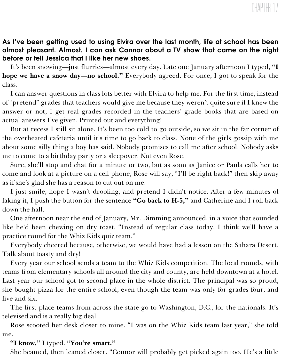## **As I've been getting used to using Elvira over the last month, life at school has been almost pleasant. Almost. I can ask Connor about a TV show that came on the night before or tell Jessica that I like her new shoes.**

It's been snowing—just flurries—almost every day. Late one January afternoon I typed, **"I hope we have a snow day—no school."** Everybody agreed. For once, I got to speak for the class.

I can answer questions in class lots better with Elvira to help me. For the first time, instead of "pretend" grades that teachers would give me because they weren't quite sure if I knew the answer or not, I get real grades recorded in the teachers' grade books that are based on actual answers I've given. Printed out and everything!

But at recess I still sit alone. It's been too cold to go outside, so we sit in the far corner of the overheated cafeteria until it's time to go back to class. None of the girls gossip with me about some silly thing a boy has said. Nobody promises to call me after school. Nobody asks me to come to a birthday party or a sleepover. Not even Rose.

Sure, she'll stop and chat for a minute or two, but as soon as Janice or Paula calls her to come and look at a picture on a cell phone, Rose will say, "I'll be right back!" then skip away as if she's glad she has a reason to cut out on me.

I just smile, hope I wasn't drooling, and pretend I didn't notice. After a few minutes of faking it, I push the button for the sentence **"Go back to H-5, "** and Catherine and I roll back down the hall.

One afternoon near the end of January, Mr. Dimming announced, in a voice that sounded like he'd been chewing on dry toast, "Instead of regular class today, I think we'll have a practice round for the Whiz Kids quiz team."

Everybody cheered because, otherwise, we would have had a lesson on the Sahara Desert. Talk about toasty and dry!

Every year our school sends a team to the Whiz Kids competition. The local rounds, with teams from elementary schools all around the city and county, are held downtown at a hotel. Last year our school got to second place in the whole district. The principal was so proud, she bought pizza for the entire school, even though the team was only for grades four, and five and six.

The first-place teams from across the state go to Washington, D.C., for the nationals. It's televised and is a really big deal.

Rose scooted her desk closer to mine. "I was on the Whiz Kids team last year," she told me.

**"I know, "** I typed. **"You're smart."**

She beamed, then leaned closer. "Connor will probably get picked again too. He's a little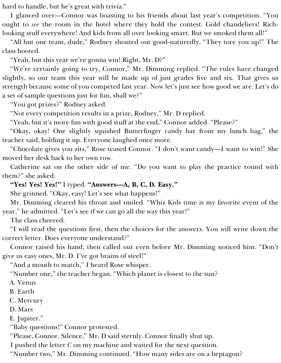hard to handle, but he's great with trivia."

I glanced over—Connor was boasting to his friends about last year's competition. "You ought to *see* the room in the hotel where they hold the contest. Gold chandeliers! Richlooking stuff everywhere! And kids from all over looking smart. But we smoked them all!"

"All but one team, dude," Rodney shouted out good-naturedly. "They tore you up!" The class hooted.

"Yeah, but this year we're gonna win! Right, Mr. D?"

"We're certainly going to try, Connor," Mr. Dimming replied. "The rules have changed slightly, so our team this year will be made up of just grades five and six. That gives us strength because some of you competed last year. Now let's just see how good we are. Let's do a set of sample questions just for fun, shall we?"

"You got prizes?" Rodney asked.

"Not every competition results in a prize, Rodney," Mr. D replied.

"Yeah, but it's more fun with good stuff at the end," Connor added. "Please?"

"Okay, okay! One slightly squished Butterfinger candy bar from my lunch bag," the teacher said, holding it up. Everyone laughed once more.

"Chocolate gives you zits," Rose teased Connor. "I don't want candy—I want to win!" She moved her desk back to her own row.

Catherine sat on the other side of me. "Do you want to play the practice round with them?" she asked.

**"Yes! Yes! Yes!"** I typed. **"Answers—A, B, C, D. Easy."**

She grinned. "Okay, easy! Let's see what happens!"

Mr. Dimming cleared his throat and smiled. "Whiz Kids time is my favorite event of the year," he admitted. "Let's see if we can go all the way this year!"

The class cheered.

"I will read the questions first, then the choices for the answers. You will write down the correct letter. Does everyone understand?"

Connor raised his hand, then called out even before Mr. Dimming noticed him. "Don't give us easy ones, Mr. D. I've got brains of steel!"

"And a mouth to match," I heard Rose whisper.

"Number one," the teacher began. "Which planet is closest to the sun?

A. Venus

B. Earth

C. Mercury

D. Mars

E. Jupiter."

"Baby questions!" Connor protested.

"Please, Connor. Silence," Mr. D said sternly. Connor finally shut up.

I pushed the letter *C* on my machine and waited for the next question.

"Number two," Mr. Dimming continued. "How many sides are on a heptagon?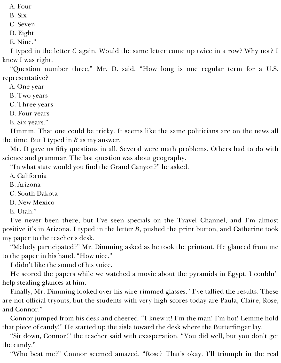A. Four

B. Six

C. Seven

D. Eight

E. Nine."

I typed in the letter *C* again. Would the same letter come up twice in a row? Why not? I knew I was right.

"Question number three," Mr. D. said. "How long is one regular term for a U.S. representative?

A. One year

B. Two years

C. Three years

D. Four years

E. Six years."

Hmmm. That one could be tricky. It seems like the same politicians are on the news all the time. But I typed in *B* as my answer.

Mr. D gave us fifty questions in all. Several were math problems. Others had to do with science and grammar. The last question was about geography.

"In what state would you find the Grand Canyon?" he asked.

A. California

B. Arizona

C. South Dakota

D. New Mexico

E. Utah."

I've never been there, but I've seen specials on the Travel Channel, and I'm almost positive it's in Arizona. I typed in the letter *B*, pushed the print button, and Catherine took my paper to the teacher's desk.

"Melody participated?" Mr. Dimming asked as he took the printout. He glanced from me to the paper in his hand. "How nice."

I didn't like the sound of his voice.

He scored the papers while we watched a movie about the pyramids in Egypt. I couldn't help stealing glances at him.

Finally, Mr. Dimming looked over his wire-rimmed glasses. "I've tallied the results. These are not official tryouts, but the students with very high scores today are Paula, Claire, Rose, and Connor."

Connor jumped from his desk and cheered. "I knew it! I'm the man! I'm hot! Lemme hold that piece of candy!" He started up the aisle toward the desk where the Butterfinger lay.

"Sit down, Connor!" the teacher said with exasperation. "You did well, but you don't get the candy."

"Who beat me?" Connor seemed amazed. "Rose? That's okay. I'll triumph in the real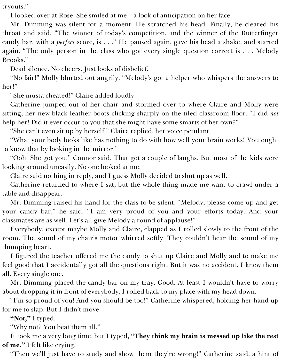tryouts."

I looked over at Rose. She smiled at me—a look of anticipation on her face.

Mr. Dimming was silent for a moment. He scratched his head. Finally, he cleared his throat and said, "The winner of today's competition, and the winner of the Butterfinger candy bar, with a *perfect* score, is . . ." He paused again, gave his head a shake, and started again. "The only person in the class who got every single question correct is . . . Melody Brooks."

Dead silence. No cheers. Just looks of disbelief.

"No fair!" Molly blurted out angrily. "Melody's got a helper who whispers the answers to her!"

"She musta cheated!" Claire added loudly.

Catherine jumped out of her chair and stormed over to where Claire and Molly were sitting, her new black leather boots clicking sharply on the tiled classroom floor. "I did *not* help her! Did it ever occur to you that she might have some smarts of her own?"

"She can't even sit up by herself!" Claire replied, her voice petulant.

"What your body looks like has nothing to do with how well your brain works! You ought to know that by looking in the mirror!"

"Ooh! She got you!" Connor said. That got a couple of laughs. But most of the kids were looking around uneasily. No one looked at me.

Claire said nothing in reply, and I guess Molly decided to shut up as well.

Catherine returned to where I sat, but the whole thing made me want to crawl under a table and disappear.

Mr. Dimming raised his hand for the class to be silent. "Melody, please come up and get your candy bar," he said. "I am very proud of you and your efforts today. And your classmates are as well. Let's all give Melody a round of applause!"

Everybody, except maybe Molly and Claire, clapped as I rolled slowly to the front of the room. The sound of my chair's motor whirred softly. They couldn't hear the sound of my thumping heart.

I figured the teacher offered me the candy to shut up Claire and Molly and to make me feel good that I accidentally got all the questions right. But it was no accident. I knew them all. Every single one.

Mr. Dimming placed the candy bar on my tray. Good. At least I wouldn't have to worry about dropping it in front of everybody. I rolled back to my place with my head down.

"I'm so proud of you! And you should be too!" Catherine whispered, holding her hand up for me to slap. But I didn't move.

**"Not, "** I typed.

"Why not? You beat them all."

It took me a very long time, but I typed, **"They think my brain is messed up like the rest of me."** I felt like crying.

"Then we'll just have to study and show them they're wrong!" Catherine said, a hint of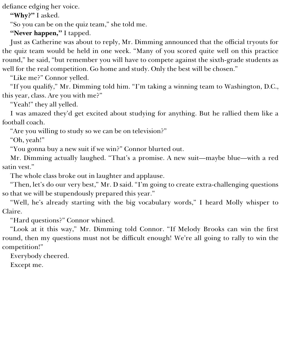defiance edging her voice.

**"Why?"** I asked.

"So you can be on the quiz team," she told me.

**"Never happen, "** I tapped.

Just as Catherine was about to reply, Mr. Dimming announced that the official tryouts for the quiz team would be held in one week. "Many of you scored quite well on this practice round," he said, "but remember you will have to compete against the sixth-grade students as well for the real competition. Go home and study. Only the best will be chosen."

"Like me?" Connor yelled.

"If you qualify," Mr. Dimming told him. "I'm taking a winning team to Washington, D.C., this year, class. Are you with me?"

"Yeah!" they all yelled.

I was amazed they'd get excited about studying for anything. But he rallied them like a football coach.

"Are you willing to study so we can be on television?"

"Oh, yeah!"

"You gonna buy a new suit if we win?" Connor blurted out.

Mr. Dimming actually laughed. "That's a promise. A new suit—maybe blue—with a red satin vest."

The whole class broke out in laughter and applause.

"Then, let's do our very best," Mr. D said. "I'm going to create extra-challenging questions so that we will be stupendously prepared this year."

"Well, he's already starting with the big vocabulary words," I heard Molly whisper to Claire.

"Hard questions?" Connor whined.

"Look at it this way," Mr. Dimming told Connor. "If Melody Brooks can win the first round, then my questions must not be difficult enough! We're all going to rally to win the competition!"

Everybody cheered.

Except me.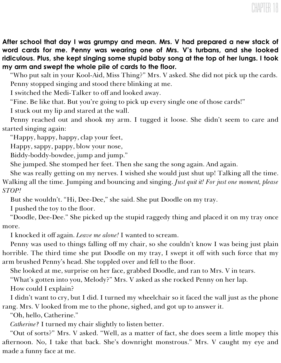**After school that day I was grumpy and mean. Mrs. V had prepared a new stack of word cards for me. Penny was wearing one of Mrs. V's turbans, and she looked ridiculous. Plus, she kept singing some stupid baby song at the top of her lungs. I took my arm and swept the whole pile of cards to the floor.**

"Who put salt in your Kool-Aid, Miss Thing?" Mrs. V asked. She did not pick up the cards. Penny stopped singing and stood there blinking at me.

I switched the Medi-Talker to off and looked away.

"Fine. Be like that. But you're going to pick up every single one of those cards!"

I stuck out my lip and stared at the wall.

Penny reached out and shook my arm. I tugged it loose. She didn't seem to care and started singing again:

"Happy, happy, happy, clap your feet,

Happy, sappy, pappy, blow your nose,

Biddy-boddy-bowdee, jump and jump."

She jumped. She stomped her feet. Then she sang the song again. And again.

She was really getting on my nerves. I wished she would just shut up! Talking all the time. Walking all the time. Jumping and bouncing and singing. *Just quit it! For just one moment, please STOP!*

But she wouldn't. "Hi, Dee-Dee," she said. She put Doodle on my tray.

I pushed the toy to the floor.

"Doodle, Dee-Dee." She picked up the stupid raggedy thing and placed it on my tray once more.

I knocked it off again. *Leave me alone!* I wanted to scream.

Penny was used to things falling off my chair, so she couldn't know I was being just plain horrible. The third time she put Doodle on my tray, I swept it off with such force that my arm brushed Penny's head. She toppled over and fell to the floor.

She looked at me, surprise on her face, grabbed Doodle, and ran to Mrs. V in tears.

"What's gotten into you, Melody?" Mrs. V asked as she rocked Penny on her lap. How could I explain?

I didn't want to cry, but I did. I turned my wheelchair so it faced the wall just as the phone rang. Mrs. V looked from me to the phone, sighed, and got up to answer it.

"Oh, hello, Catherine."

*Catherine?* I turned my chair slightly to listen better.

"Out of sorts?" Mrs. V asked. "Well, as a matter of fact, she does seem a little mopey this afternoon. No, I take that back. She's downright monstrous." Mrs. V caught my eye and made a funny face at me.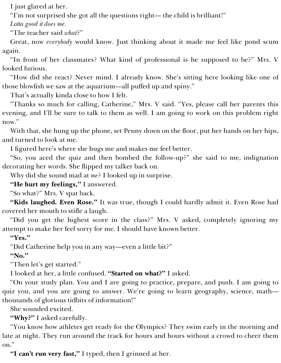I just glared at her.

"I'm not surprised she got all the questions right— the child is brilliant!"

*Lotta good it does me.*

"The teacher said *what*?"

Great, now *everybody* would know. Just thinking about it made me feel like pond scum again.

"In front of her classmates? What kind of professional is he supposed to be?" Mrs. V looked furious.

"How did she react? Never mind. I already know. She's sitting here looking like one of those blowfish we saw at the aquarium—all puffed up and spiny."

That's actually kinda close to how I felt.

"Thanks so much for calling, Catherine," Mrs. V said. "Yes, please call her parents this evening, and I'll be sure to talk to them as well. I am going to work on this problem right now."

With that, she hung up the phone, set Penny down on the floor, put her hands on her hips, and turned to look at me.

I figured here's where she hugs me and makes me feel better.

"So, you aced the quiz and then bombed the follow-up?" she said to me, indignation decorating her words. She flipped my talker back on.

Why did she sound mad at *me*? I looked up in surprise.

**"He hurt my feelings, "** I answered.

"So what?" Mrs. V spat back.

**"Kids laughed. Even Rose."** It was true, though I could hardly admit it. Even Rose had covered her mouth to stifle a laugh.

"Did you get the highest score in the class?" Mrs. V asked, completely ignoring my attempt to make her feel sorry for me. I should have known better.

**"Yes."**

"Did Catherine help you in any way—even a little bit?"

**"No."**

"Then let's get started."

I looked at her, a little confused. **"Started on what?"** I asked.

"On your study plan. You and I are going to practice, prepare, and push. I am going to quiz you, and you are going to answer. We're going to learn geography, science, math thousands of glorious tidbits of information!"

She sounded excited.

**"Why?"** I asked carefully.

"You know how athletes get ready for the Olympics? They swim early in the morning and late at night. They run around the track for hours and hours without a crowd to cheer them on."

**"I can't run very fast, "** I typed, then I grinned at her.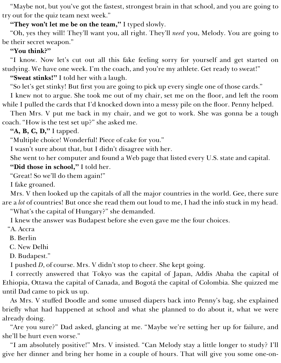"Maybe not, but you've got the fastest, strongest brain in that school, and you are going to try out for the quiz team next week."

**"They won't let me be on the team, "** I typed slowly.

"Oh, yes they will! They'll want you, all right. They'll *need* you, Melody. You are going to be their secret weapon."

## **"You think?"**

"I know. Now let's cut out all this fake feeling sorry for yourself and get started on studying. We have one week. I'm the coach, and you're my athlete. Get ready to sweat!"

## **"Sweat stinks!"** I told her with a laugh.

"So let's get stinky! But first you are going to pick up every single one of those cards."

I knew not to argue. She took me out of my chair, set me on the floor, and left the room while I pulled the cards that I'd knocked down into a messy pile on the floor. Penny helped.

Then Mrs. V put me back in my chair, and we got to work. She was gonna be a tough coach. "How is the test set up?" she asked me.

**"A, B, C, D, "** I tapped.

"Multiple choice! Wonderful! Piece of cake for you."

I wasn't sure about that, but I didn't disagree with her.

She went to her computer and found a Web page that listed every U.S. state and capital.

## **"Did those in school, "** I told her.

"Great! So we'll do them again!"

I fake groaned.

Mrs. V then looked up the capitals of all the major countries in the world. Gee, there sure are a *lot* of countries! But once she read them out loud to me, I had the info stuck in my head.

"What's the capital of Hungary?" she demanded.

I knew the answer was Budapest before she even gave me the four choices.

"A. Accra

B. Berlin

C. New Delhi

D. Budapest."

I pushed *D*, of course. Mrs. V didn't stop to cheer. She kept going.

I correctly answered that Tokyo was the capital of Japan, Addis Ababa the capital of Ethiopia, Ottawa the capital of Canada, and Bogotá the capital of Colombia. She quizzed me until Dad came to pick us up.

As Mrs. V stuffed Doodle and some unused diapers back into Penny's bag, she explained briefly what had happened at school and what she planned to do about it, what we were already doing.

"Are you sure?" Dad asked, glancing at me. "Maybe we're setting her up for failure, and she'll be hurt even worse."

"I am absolutely positive!" Mrs. V insisted. "Can Melody stay a little longer to study? I'll give her dinner and bring her home in a couple of hours. That will give you some one-on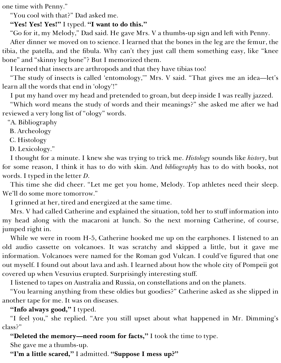one time with Penny."

"You cool with that?" Dad asked me.

**"Yes! Yes! Yes!"** I typed. **"I want to do this."**

"Go for it, my Melody," Dad said. He gave Mrs. V a thumbs-up sign and left with Penny.

After dinner we moved on to science. I learned that the bones in the leg are the femur, the tibia, the patella, and the fibula. Why can't they just call them something easy, like "knee bone" and "skinny leg bone"? But I memorized them.

I learned that insects are arthropods and that they have tibias too!

"The study of insects is called 'entomology,'" Mrs. V said. "That gives me an idea—let's learn all the words that end in 'ology'!"

I put my hand over my head and pretended to groan, but deep inside I was really jazzed.

"Which word means the study of words and their meanings?" she asked me after we had reviewed a very long list of "ology" words.

"A. Bibliography

B. Archeology

C. Histology

D. Lexicology."

I thought for a minute. I knew she was trying to trick me. *Histology* sounds like *history*, but for some reason, I think it has to do with skin. And *bibliography* has to do with books, not words. I typed in the letter *D*.

This time she did cheer. "Let me get you home, Melody. Top athletes need their sleep. We'll do some more tomorrow."

I grinned at her, tired and energized at the same time.

Mrs. V had called Catherine and explained the situation, told her to stuff information into my head along with the macaroni at lunch. So the next morning Catherine, of course, jumped right in.

While we were in room H-5, Catherine hooked me up on the earphones. I listened to an old audio cassette on volcanoes. It was scratchy and skipped a little, but it gave me information. Volcanoes were named for the Roman god Vulcan. I could've figured that one out myself. I found out about lava and ash. I learned about how the whole city of Pompeii got covered up when Vesuvius erupted. Surprisingly interesting stuff.

I listened to tapes on Australia and Russia, on constellations and on the planets.

"You learning anything from these oldies but goodies?" Catherine asked as she slipped in another tape for me. It was on diseases.

**"Info always good, "** I typed.

"I feel you," she replied. "Are you still upset about what happened in Mr. Dimming's class?"

**"Deleted the memory—need room for facts, "** I took the time to type.

She gave me a thumbs-up.

**"I'm a little scared, "** I admitted. **"Suppose I mess up?"**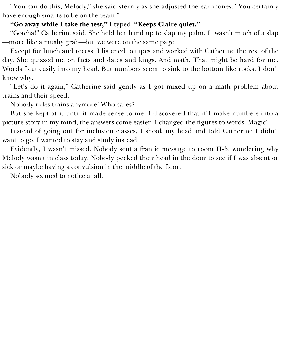"You can do this, Melody," she said sternly as she adjusted the earphones. "You certainly have enough smarts to be on the team."

#### **"Go away while I take the test, "** I typed. **"Keeps Claire quiet."**

"Gotcha!" Catherine said. She held her hand up to slap my palm. It wasn't much of a slap —more like a mushy grab—but we were on the same page.

Except for lunch and recess, I listened to tapes and worked with Catherine the rest of the day. She quizzed me on facts and dates and kings. And math. That might be hard for me. Words float easily into my head. But numbers seem to sink to the bottom like rocks. I don't know why.

"Let's do it again," Catherine said gently as I got mixed up on a math problem about trains and their speed.

Nobody rides trains anymore! Who cares?

But she kept at it until it made sense to me. I discovered that if I make numbers into a picture story in my mind, the answers come easier. I changed the figures to words. Magic!

Instead of going out for inclusion classes, I shook my head and told Catherine I didn't want to go. I wanted to stay and study instead.

Evidently, I wasn't missed. Nobody sent a frantic message to room H-5, wondering why Melody wasn't in class today. Nobody peeked their head in the door to see if I was absent or sick or maybe having a convulsion in the middle of the floor.

Nobody seemed to notice at all.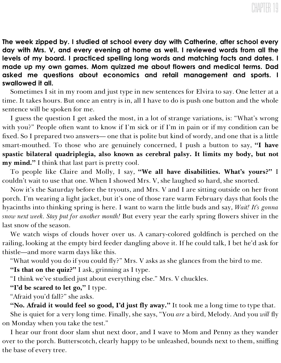**The week zipped by. I studied at school every day with Catherine, after school every day with Mrs. V, and every evening at home as well. I reviewed words from all the levels of my board. I practiced spelling long words and matching facts and dates. I made up my own games. Mom quizzed me about flowers and medical terms. Dad asked me questions about economics and retail management and sports. I swallowed it all.**

Sometimes I sit in my room and just type in new sentences for Elvira to say. One letter at a time. It takes hours. But once an entry is in, all I have to do is push one button and the whole sentence will be spoken for me.

I guess the question I get asked the most, in a lot of strange variations, is: "What's wrong with you?" People often want to know if I'm sick or if I'm in pain or if my condition can be fixed. So I prepared two answers— one that is polite but kind of wordy, and one that is a little smart-mouthed. To those who are genuinely concerned, I push a button to say, **"I have spastic bilateral quadriplegia, also known as cerebral palsy. It limits my body, but not my mind."** I think that last part is pretty cool.

To people like Claire and Molly, I say, **"We all have disabilities. What's yours?"** I couldn't wait to use that one. When I showed Mrs. V, she laughed so hard, she snorted.

Now it's the Saturday before the tryouts, and Mrs. V and I are sitting outside on her front porch. I'm wearing a light jacket, but it's one of those rare warm February days that fools the hyacinths into thinking spring is here. I want to warn the little buds and say, *Wait! It's gonna snow next week. Stay put for another month!* But every year the early spring flowers shiver in the last snow of the season.

We watch wisps of clouds hover over us. A canary-colored goldfinch is perched on the railing, looking at the empty bird feeder dangling above it. If he could talk, I bet he'd ask for thistle—and more warm days like this.

"What would you do if you could fly?" Mrs. V asks as she glances from the bird to me.

**"Is that on the quiz?"** I ask, grinning as I type.

"I think we've studied just about everything else." Mrs. V chuckles.

**"I'd be scared to let go, "** I type.

"Afraid you'd fall?" she asks.

**"No. Afraid it would feel so good, I'd just fly away."** It took me a long time to type that. She is quiet for a very long time. Finally, she says, "You *are* a bird, Melody. And you *will* fly on Monday when you take the test."

I hear our front door slam shut next door, and I wave to Mom and Penny as they wander over to the porch. Butterscotch, clearly happy to be unleashed, bounds next to them, sniffing the base of every tree.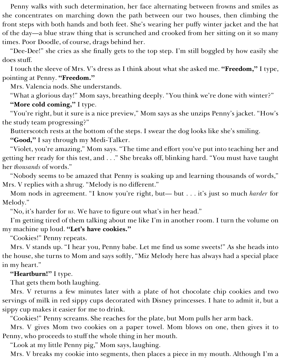Penny walks with such determination, her face alternating between frowns and smiles as she concentrates on marching down the path between our two houses, then climbing the front steps with both hands and both feet. She's wearing her puffy winter jacket and the hat of the day—a blue straw thing that is scrunched and crooked from her sitting on it so many times. Poor Doodle, of course, drags behind her.

"Dee-Dee!" she cries as she finally gets to the top step. I'm still boggled by how easily she does stuff.

I touch the sleeve of Mrs. V's dress as I think about what she asked me. **"Freedom, "** I type, pointing at Penny. **"Freedom."**

Mrs. Valencia nods. She understands.

"What a glorious day!" Mom says, breathing deeply. "You think we're done with winter?"

#### **"More cold coming, "** I type.

"You're right, but it sure is a nice preview," Mom says as she unzips Penny's jacket. "How's the study team progressing?"

Butterscotch rests at the bottom of the steps. I swear the dog looks like she's smiling.

**"Good, "** I say through my Medi-Talker.

"Violet, you're amazing," Mom says. "The time and effort you've put into teaching her and getting her ready for this test, and . . ." She breaks off, blinking hard. "You must have taught her *thousands* of words."

"Nobody seems to be amazed that Penny is soaking up and learning thousands of words," Mrs. V replies with a shrug. "Melody is no different."

Mom nods in agreement. "I know you're right, but— but . . . it's just so much *harder* for Melody."

"No, it's harder for *us.* We have to figure out what's in her head."

I'm getting tired of them talking about me like I'm in another room. I turn the volume on my machine up loud. **"Let's have cookies."**

"Cookies!" Penny repeats.

Mrs. V stands up. "I hear you, Penny babe. Let me find us some sweets!" As she heads into the house, she turns to Mom and says softly, "Miz Melody here has always had a special place in my heart."

#### **"Heartburn!"** I type.

That gets them both laughing.

Mrs. V returns a few minutes later with a plate of hot chocolate chip cookies and two servings of milk in red sippy cups decorated with Disney princesses. I hate to admit it, but a sippy cup makes it easier for me to drink.

"Cookies!" Penny screams. She reaches for the plate, but Mom pulls her arm back.

Mrs. V gives Mom two cookies on a paper towel. Mom blows on one, then gives it to Penny, who proceeds to stuff the whole thing in her mouth.

"Look at my little Penny pig," Mom says, laughing.

Mrs. V breaks my cookie into segments, then places a piece in my mouth. Although I'm a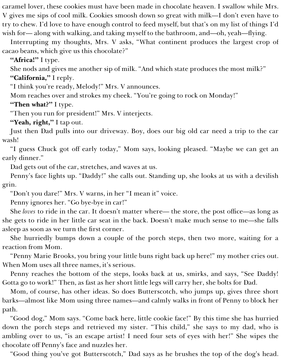caramel lover, these cookies must have been made in chocolate heaven. I swallow while Mrs. V gives me sips of cool milk. Cookies smoosh down so great with milk—I don't even have to try to chew. I'd love to have enough control to feed myself, but that's on my list of things I'd wish for— along with walking, and taking myself to the bathroom, and—oh, yeah—flying.

Interrupting my thoughts, Mrs. V asks, "What continent produces the largest crop of cacao beans, which give us this chocolate?"

"**Africa!"** I type.

She nods and gives me another sip of milk. "And which state produces the most milk?"

### **"California, "** I reply.

"I think you're ready, Melody!" Mrs. V announces.

Mom reaches over and strokes my cheek. "You're going to rock on Monday!"

### **"Then what?"** I type.

"Then you run for president!" Mrs. V interjects.

**"Yeah, right, "** I tap out.

Just then Dad pulls into our driveway. Boy, does our big old car need a trip to the car wash!

"I guess Chuck got off early today," Mom says, looking pleased. "Maybe we can get an early dinner."

Dad gets out of the car, stretches, and waves at us.

Penny's face lights up. "Daddy!" she calls out. Standing up, she looks at us with a devilish grin.

"Don't you dare!" Mrs. V warns, in her "I mean it" voice.

Penny ignores her. "Go bye-bye in car!"

She *loves* to ride in the car. It doesn't matter where— the store, the post office—as long as she gets to ride in her little car seat in the back. Doesn't make much sense to me—she falls asleep as soon as we turn the first corner.

She hurriedly bumps down a couple of the porch steps, then two more, waiting for a reaction from Mom.

"Penny Marie Brooks, you bring your little buns right back up here!" my mother cries out. When Mom uses all three names, it's serious.

Penny reaches the bottom of the steps, looks back at us, smirks, and says, "See Daddy! Gotta go to work!" Then, as fast as her short little legs will carry her, she bolts for Dad.

Mom, of course, has other ideas. So does Butterscotch, who jumps up, gives three short barks—almost like Mom using three names—and calmly walks in front of Penny to block her path.

"Good dog," Mom says. "Come back here, little cookie face!" By this time she has hurried down the porch steps and retrieved my sister. "This child," she says to my dad, who is ambling over to us, "is an escape artist! I need four sets of eyes with her!" She wipes the chocolate off Penny's face and nuzzles her.

"Good thing you've got Butterscotch," Dad says as he brushes the top of the dog's head.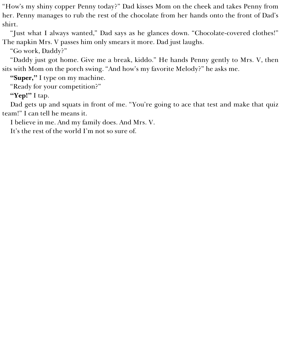"How's my shiny copper Penny today?" Dad kisses Mom on the cheek and takes Penny from her. Penny manages to rub the rest of the chocolate from her hands onto the front of Dad's shirt.

"Just what I always wanted," Dad says as he glances down. "Chocolate-covered clothes!" The napkin Mrs. V passes him only smears it more. Dad just laughs.

"Go work, Daddy?"

"Daddy just got home. Give me a break, kiddo." He hands Penny gently to Mrs. V, then sits with Mom on the porch swing. "And how's my favorite Melody?" he asks me.

**"Super, "** I type on my machine.

"Ready for your competition?"

**"Yep!"** I tap.

Dad gets up and squats in front of me. "You're going to ace that test and make that quiz team!" I can tell he means it.

I believe in me. And my family does. And Mrs. V.

It's the rest of the world I'm not so sure of.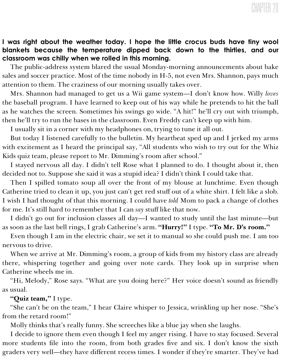## **I was right about the weather today. I hope the little crocus buds have tiny wool blankets because the temperature dipped back down to the thirties, and our classroom was chilly when we rolled in this morning.**

The public-address system blared the usual Monday-morning announcements about bake sales and soccer practice. Most of the time nobody in H-5, not even Mrs. Shannon, pays much attention to them. The craziness of our morning usually takes over.

Mrs. Shannon had managed to get us a Wii game system—I don't know how. Willy *loves* the baseball program. I have learned to keep out of his way while he pretends to hit the ball as he watches the screen. Sometimes his swings go wide. "A hit!" he'll cry out with triumph, then he'll try to run the bases in the classroom. Even Freddy can't keep up with him.

I usually sit in a corner with my headphones on, trying to tune it all out.

But today I listened carefully to the bulletin. My heartbeat sped up and I jerked my arms with excitement as I heard the principal say, "All students who wish to try out for the Whiz Kids quiz team, please report to Mr. Dimming's room after school."

I stayed nervous all day. I didn't tell Rose what I planned to do. I thought about it, then decided not to. Suppose she said it was a stupid idea? I didn't think I could take that.

Then I spilled tomato soup all over the front of my blouse at lunchtime. Even though Catherine tried to clean it up, you just can't get red stuff out of a white shirt. I felt like a slob. I wish I had thought of that this morning. I could have *told* Mom to pack a change of clothes for me. It's still hard to remember that I can *say* stuff like that now.

I didn't go out for inclusion classes all day—I wanted to study until the last minute—but as soon as the last bell rings, I grab Catherine's arm. **"Hurry!"** I type. **"To Mr. D's room."**

Even though I am in the electric chair, we set it to manual so she could push me. I am too nervous to drive.

When we arrive at Mr. Dimming's room, a group of kids from my history class are already there, whispering together and going over note cards. They look up in surprise when Catherine wheels me in.

"Hi, Melody," Rose says. "What are you doing here?" Her voice doesn't sound as friendly as usual.

#### **"Quiz team, "** I type.

"She can't be on the team," I hear Claire whisper to Jessica, wrinkling up her nose. "She's from the retard room!"

Molly thinks that's really funny. She screeches like a blue jay when she laughs.

I decide to ignore them even though I feel my anger rising. I have to stay focused. Several more students file into the room, from both grades five and six. I don't know the sixth graders very well—they have different recess times. I wonder if they're smarter. They've had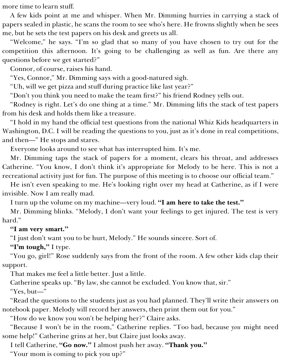more time to learn stuff.

A few kids point at me and whisper. When Mr. Dimming hurries in carrying a stack of papers sealed in plastic, he scans the room to see who's here. He frowns slightly when he sees me, but he sets the test papers on his desk and greets us all.

"Welcome," he says. "I'm so glad that so many of you have chosen to try out for the competition this afternoon. It's going to be challenging as well as fun. Are there any questions before we get started?"

Connor, of course, raises his hand.

"Yes, Connor," Mr. Dimming says with a good-natured sigh.

"Uh, will we get pizza and stuff during practice like last year?"

"Don't you think you need to make the team first?" his friend Rodney yells out.

"Rodney is right. Let's do one thing at a time." Mr. Dimming lifts the stack of test papers from his desk and holds them like a treasure.

"I hold in my hand the official test questions from the national Whiz Kids headquarters in Washington, D.C. I will be reading the questions to you, just as it's done in real competitions, and then—" He stops and stares.

Everyone looks around to see what has interrupted him. It's me.

Mr. Dimming taps the stack of papers for a moment, clears his throat, and addresses Catherine. "You know, I don't think it's appropriate for Melody to be here. This is not a recreational activity just for fun. The purpose of this meeting is to choose our official team."

He isn't even speaking to me. He's looking right over my head at Catherine, as if I were invisible. Now I am really mad.

I turn up the volume on my machine—very loud. **"I am here to take the test."**

Mr. Dimming blinks. "Melody, I don't want your feelings to get injured. The test is very hard."

#### **"I am very smart."**

"I just don't want you to be hurt, Melody." He sounds sincere. Sort of.

**"I'm tough, "** I type.

"You go, girl!" Rose suddenly says from the front of the room. A few other kids clap their support.

That makes me feel a little better. Just a little.

Catherine speaks up. "By law, she cannot be excluded. You know that, sir."

"Yes, but—"

"Read the questions to the students just as you had planned. They'll write their answers on notebook paper. Melody will record her answers, then print them out for you."

"How do we know you won't be helping her?" Claire asks.

"Because I won't be in the room," Catherine replies. "Too bad, because *you* might need some help!" Catherine grins at her, but Claire just looks away.

I tell Catherine, **"Go now."** I almost push her away. **"Thank you."**

"Your mom is coming to pick you up?"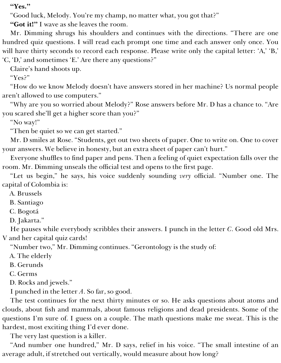**"Yes."**

"Good luck, Melody. You're my champ, no matter what, you got that?"

**"Got it!"** I wave as she leaves the room.

Mr. Dimming shrugs his shoulders and continues with the directions. "There are one hundred quiz questions. I will read each prompt one time and each answer only once. You will have thirty seconds to record each response. Please write only the capital letter: 'A,' 'B,' 'C, 'D,' and sometimes 'E.' Are there any questions?"

Claire's hand shoots up.

"Yes?"

"How do we know Melody doesn't have answers stored in her machine? Us normal people aren't allowed to use computers."

"Why are you so worried about Melody?" Rose answers before Mr. D has a chance to. "Are you scared she'll get a higher score than you?"

"No way!"

"Then be quiet so we can get started."

Mr. D smiles at Rose. "Students, get out two sheets of paper. One to write on. One to cover your answers. We believe in honesty, but an extra sheet of paper can't hurt."

Everyone shuffles to find paper and pens. Then a feeling of quiet expectation falls over the room. Mr. Dimming unseals the official test and opens to the first page.

"Let us begin," he says, his voice suddenly sounding *very* official. "Number one. The capital of Colombia is:

A. Brussels

B. Santiago

C. Bogotá

D. Jakarta."

He pauses while everybody scribbles their answers. I punch in the letter *C*. Good old Mrs. V and her capital quiz cards!

"Number two," Mr. Dimming continues. "Gerontology is the study of:

A. The elderly

B. Gerunds

C. Germs

D. Rocks and jewels."

I punched in the letter *A*. So far, so good.

The test continues for the next thirty minutes or so. He asks questions about atoms and clouds, about fish and mammals, about famous religions and dead presidents. Some of the questions I'm sure of. I guess on a couple. The math questions make me sweat. This is the hardest, most exciting thing I'd ever done.

The very last question is a killer.

"And number one hundred," Mr. D says, relief in his voice. "The small intestine of an average adult, if stretched out vertically, would measure about how long?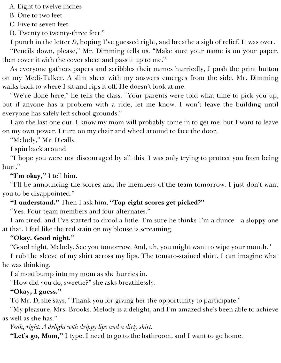A. Eight to twelve inches

B. One to two feet

C. Five to seven feet

D. Twenty to twenty-three feet."

I punch in the letter *D*, hoping I've guessed right, and breathe a sigh of relief. It was over.

"Pencils down, please," Mr. Dimming tells us. "Make sure your name is on your paper, then cover it with the cover sheet and pass it up to me."

As everyone gathers papers and scribbles their names hurriedly, I push the print button on my Medi-Talker. A slim sheet with my answers emerges from the side. Mr. Dimming walks back to where I sit and rips it off. He doesn't look at me.

"We're done here," he tells the class. "Your parents were told what time to pick you up, but if anyone has a problem with a ride, let me know. I won't leave the building until everyone has safely left school grounds."

I am the last one out. I know my mom will probably come in to get me, but I want to leave on my own power. I turn on my chair and wheel around to face the door.

"Melody," Mr. D calls.

I spin back around.

"I hope you were not discouraged by all this. I was only trying to protect you from being hurt."

**"I'm okay, "** I tell him.

"I'll be announcing the scores and the members of the team tomorrow. I just don't want you to be disappointed."

### **"I understand."** Then I ask him, **"Top eight scores get picked?"**

"Yes. Four team members and four alternates."

I am tired, and I've started to drool a little. I'm sure he thinks I'm a dunce—a sloppy one at that. I feel like the red stain on my blouse is screaming.

#### **"Okay. Good night."**

"Good night, Melody. See you tomorrow. And, uh, you might want to wipe your mouth."

I rub the sleeve of my shirt across my lips. The tomato-stained shirt. I can imagine what he was thinking.

I almost bump into my mom as she hurries in.

"How did you do, sweetie?" she asks breathlessly.

#### **"Okay, I guess."**

To Mr. D, she says, "Thank you for giving her the opportunity to participate."

"My pleasure, Mrs. Brooks. Melody is a delight, and I'm amazed she's been able to achieve as well as she has."

*Yeah, right. A delight with drippy lips and a dirty shirt.*

**"Let's go, Mom, "** I type. I need to go to the bathroom, and I want to go home.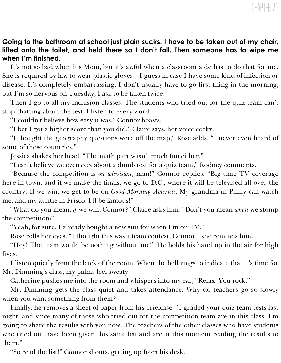## **Going to the bathroom at school just plain sucks. I have to be taken out of my chair, lifted onto the toilet, and held there so I don't fall. Then someone has to wipe me when I'm finished.**

It's not so bad when it's Mom, but it's awful when a classroom aide has to do that for me. She is required by law to wear plastic gloves—I guess in case I have some kind of infection or disease. It's completely embarrassing. I don't usually have to go first thing in the morning, but I'm so nervous on Tuesday, I ask to be taken twice.

Then I go to all my inclusion classes. The students who tried out for the quiz team can't stop chatting about the test. I listen to every word.

"I couldn't believe how easy it was," Connor boasts.

"I bet I got a higher score than you did," Claire says, her voice cocky.

"I thought the geography questions were off the map," Rose adds. "I never even heard of some of those countries."

Jessica shakes her head. "The math part wasn't much fun either."

"I can't believe we even *care* about a dumb test for a quiz team," Rodney comments.

"Because the competition is *on television*, man!" Connor replies. "Big-time TV coverage here in town, and if we make the finals, we go to D.C., where it will be televised all over the country. If we win, we get to be on *Good Morning America*. My grandma in Philly can watch me, and my auntie in Frisco. I'll be famous!"

"What do you mean, *if* we win, Connor?" Claire asks him. "Don't you mean *when* we stomp the competition?"

"Yeah, for sure. I already bought a new suit for when I'm on TV."

Rose rolls her eyes. "I thought this was a team contest, Connor," she reminds him.

"Hey! The team would be nothing without me!" He holds his hand up in the air for high fives.

I listen quietly from the back of the room. When the bell rings to indicate that it's time for Mr. Dimming's class, my palms feel sweaty.

Catherine pushes me into the room and whispers into my ear, "Relax. You rock."

Mr. Dimming gets the class quiet and takes attendance. Why do teachers go so slowly when you want something from them?

Finally, he removes a sheet of paper from his briefcase. "I graded your quiz team tests last night, and since many of those who tried out for the competition team are in this class, I'm going to share the results with you now. The teachers of the other classes who have students who tried out have been given this same list and are at this moment reading the results to them."

"So read the list!" Connor shouts, getting up from his desk.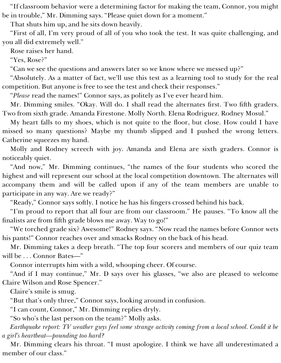"If classroom behavior were a determining factor for making the team, Connor, you might be in trouble," Mr. Dimming says. "Please quiet down for a moment."

That shuts him up, and he sits down heavily.

"First of all, I'm very proud of all of you who took the test. It was quite challenging, and you all did extremely well."

Rose raises her hand.

"Yes, Rose?"

"Can we see the questions and answers later so we know where we messed up?"

"Absolutely. As a matter of fact, we'll use this test as a learning tool to study for the real competition. But anyone is free to see the test and check their responses."

"*Please* read the names!" Connor says, as politely as I've ever heard him.

Mr. Dimming smiles. "Okay. Will do. I shall read the alternates first. Two fifth graders. Two from sixth grade. Amanda Firestone. Molly North. Elena Rodriguez. Rodney Mosul."

My heart falls to my shoes, which is not quite to the floor, but close. How could I have missed so many questions? Maybe my thumb slipped and I pushed the wrong letters. Catherine squeezes my hand.

Molly and Rodney screech with joy. Amanda and Elena are sixth graders. Connor is noticeably quiet.

"And now," Mr. Dimming continues, "the names of the four students who scored the highest and will represent our school at the local competition downtown. The alternates will accompany them and will be called upon if any of the team members are unable to participate in any way. Are we ready?"

"Ready," Connor says softly. I notice he has his fingers crossed behind his back.

"I'm proud to report that all four are from our classroom." He pauses. "To know all the finalists are from fifth grade blows me away. Way to go!"

"We torched grade six? Awesome!" Rodney says. "Now read the names before Connor wets his pants!" Connor reaches over and smacks Rodney on the back of his head.

Mr. Dimming takes a deep breath. "The top four scorers and members of our quiz team will be . . . Connor Bates—"

Connor interrupts him with a wild, whooping cheer. Of course.

"And if I may continue," Mr. D says over his glasses, "we also are pleased to welcome Claire Wilson and Rose Spencer."

Claire's smile is smug.

"But that's only three," Connor says, looking around in confusion.

"I can count, Connor," Mr. Dimming replies dryly.

"So who's the last person on the team?" Molly asks.

*Earthquake report: TV weather guys feel some strange activity coming from a local school. Could it be a girl's heartbeat—pounding too hard?*

Mr. Dimming clears his throat. "I must apologize. I think we have all underestimated a member of our class."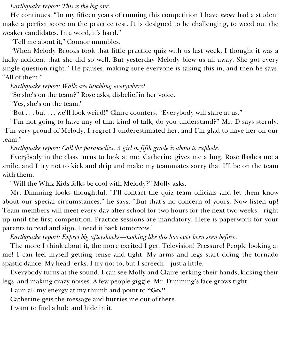#### *Earthquake report: This is the big one.*

He continues. "In my fifteen years of running this competition I have *never* had a student make a perfect score on the practice test. It is designed to be challenging, to weed out the weaker candidates. In a word, it's hard."

"Tell me about it," Connor mumbles.

"When Melody Brooks took that little practice quiz with us last week, I thought it was a lucky accident that she did so well. But yesterday Melody blew us all away. She got every single question right." He pauses, making sure everyone is taking this in, and then he says, "All of them."

*Earthquake report: Walls are tumbling everywhere!*

"So she's on the team?" Rose asks, disbelief in her voice.

"Yes, she's on the team."

"But . . . but . . . we'll look weird!" Claire counters. "Everybody will stare at us."

"I'm not going to have any of that kind of talk, do you understand?" Mr. D says sternly. "I'm very proud of Melody. I regret I underestimated her, and I'm glad to have her on our team."

*Earthquake report: Call the paramedics. A girl in fifth grade is about to explode.*

Everybody in the class turns to look at me. Catherine gives me a hug, Rose flashes me a smile, and I try not to kick and drip and make my teammates sorry that I'll be on the team with them.

"Will the Whiz Kids folks be cool with Melody?" Molly asks.

Mr. Dimming looks thoughtful. "I'll contact the quiz team officials and let them know about our special circumstances," he says. "But that's no concern of yours. Now listen up! Team members will meet every day after school for two hours for the next two weeks—right up until the first competition. Practice sessions are mandatory. Here is paperwork for your parents to read and sign. I need it back tomorrow."

*Earthquake report: Expect big aftershocks—nothing like this has ever been seen before.*

The more I think about it, the more excited I get. Television! Pressure! People looking at me! I can feel myself getting tense and tight. My arms and legs start doing the tornado spastic dance. My head jerks. I try not to, but I screech—just a little.

Everybody turns at the sound. I can see Molly and Claire jerking their hands, kicking their legs, and making crazy noises. A few people giggle. Mr. Dimming's face grows tight.

I aim all my energy at my thumb and point to **"Go."**

Catherine gets the message and hurries me out of there.

I want to find a hole and hide in it.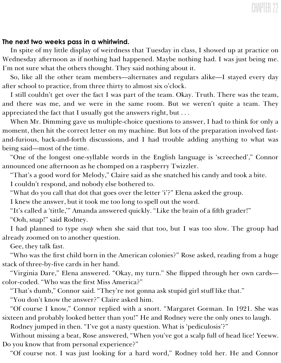### **The next two weeks pass in a whirlwind.**

In spite of my little display of weirdness that Tuesday in class, I showed up at practice on Wednesday afternoon as if nothing had happened. Maybe nothing had. I was just being me. I'm not sure what the others thought. They said nothing about it.

So, like all the other team members—alternates and regulars alike—I stayed every day after school to practice, from three thirty to almost six o'clock.

I still couldn't get over the fact I was part of the team. Okay. Truth. There was the team, and there was me, and we were in the same room. But we weren't quite a team. They appreciated the fact that I usually got the answers right, but . . .

When Mr. Dimming gave us multiple-choice questions to answer, I had to think for only a moment, then hit the correct letter on my machine. But lots of the preparation involved fastand-furious, back-and-forth discussions, and I had trouble adding anything to what was being said—most of the time.

"One of the longest one-syllable words in the English language is 'screeched'," Connor announced one afternoon as he chomped on a raspberry Twizzler.

"That's a good word for Melody," Claire said as she snatched his candy and took a bite. I couldn't respond, and nobody else bothered to.

"What do you call that dot that goes over the letter 'i'?" Elena asked the group.

I knew the answer, but it took me too long to spell out the word.

"It's called a 'tittle,'" Amanda answered quickly. "Like the brain of a fifth grader!"

"Ooh, snap!" said Rodney.

I had planned to type *snap* when she said that too, but I was too slow. The group had already zoomed on to another question.

Gee, they talk fast.

"Who was the first child born in the American colonies?" Rose asked, reading from a huge stack of three-by-five cards in her hand.

"Virginia Dare," Elena answered. "Okay, my turn." She flipped through her own cards color-coded. "Who was the first Miss America?"

"That's dumb," Connor said. "They're not gonna ask stupid girl stuff like that."

"You don't know the answer?" Claire asked him.

"Of course I know," Connor replied with a snort. "Margaret Gorman. In 1921. She was sixteen and probably looked better than you!" He and Rodney were the only ones to laugh.

Rodney jumped in then. "I've got a nasty question. What is 'pediculosis'?"

Without missing a beat, Rose answered, "When you've got a scalp full of head lice! Yeeww. Do you know that from personal experience?"

"Of course not. I was just looking for a hard word," Rodney told her. He and Connor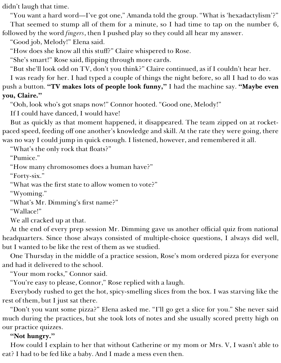didn't laugh that time.

"You want a hard word—I've got one," Amanda told the group. "What is 'hexadactylism'?" That seemed to stump all of them for a minute, so I had time to tap on the number 6,

followed by the word *fingers*, then I pushed play so they could all hear my answer.

"Good job, Melody!" Elena said.

"How does she know all this stuff?" Claire whispered to Rose.

"She's smart!" Rose said, flipping through more cards.

"But she'll look odd on TV, don't you think?" Claire continued, as if I couldn't hear her.

I was ready for her. I had typed a couple of things the night before, so all I had to do was push a button. **"TV makes lots of people look funny, "** I had the machine say. **"Maybe even you, Claire."**

"Ooh, look who's got snaps now!" Connor hooted. "Good one, Melody!"

If I could have danced, I would have!

But as quickly as that moment happened, it disappeared. The team zipped on at rocketpaced speed, feeding off one another's knowledge and skill. At the rate they were going, there was no way I could jump in quick enough. I listened, however, and remembered it all.

"What's the only rock that floats?"

"Pumice."

"How many chromosomes does a human have?"

"Forty-six."

"What was the first state to allow women to vote?"

"Wyoming."

```
"What's Mr. Dimming's first name?"
```
"Wallace!"

We all cracked up at that.

At the end of every prep session Mr. Dimming gave us another official quiz from national headquarters. Since those always consisted of multiple-choice questions, I always did well, but I wanted to be like the rest of them as we studied.

One Thursday in the middle of a practice session, Rose's mom ordered pizza for everyone and had it delivered to the school.

"Your mom rocks," Connor said.

"You're easy to please, Connor," Rose replied with a laugh.

Everybody rushed to get the hot, spicy-smelling slices from the box. I was starving like the rest of them, but I just sat there.

"Don't you want some pizza?" Elena asked me. "I'll go get a slice for you." She never said much during the practices, but she took lots of notes and she usually scored pretty high on our practice quizzes.

## **"Not hungry."**

How could I explain to her that without Catherine or my mom or Mrs. V, I wasn't able to eat? I had to be fed like a baby. And I made a mess even then.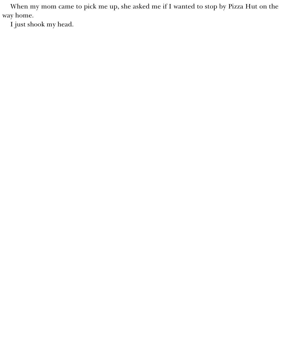When my mom came to pick me up, she asked me if I wanted to stop by Pizza Hut on the way home.

I just shook my head.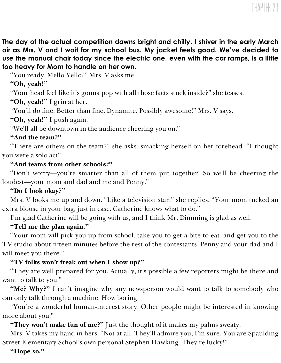**The day of the actual competition dawns bright and chilly. I shiver in the early March air as Mrs. V and I wait for my school bus. My jacket feels good. We've decided to use the manual chair today since the electric one, even with the car ramps, is a little too heavy for Mom to handle on her own.**

"You ready, Mello Yello?" Mrs. V asks me.

**"Oh, yeah!"**

"Your head feel like it's gonna pop with all those facts stuck inside?" she teases.

**"Oh, yeah!"** I grin at her.

"You'll do fine. Better than fine. Dynamite. Possibly awesome!" Mrs. V says.

**"Oh, yeah!"** I push again.

"We'll all be downtown in the audience cheering you on."

### **"And the team?"**

"There are others on the team?" she asks, smacking herself on her forehead. "I thought you were a solo act!"

#### **"And teams from other schools?"**

"Don't worry—you're smarter than all of them put together! So we'll be cheering the loudest—your mom and dad and me and Penny."

#### **"Do I look okay?"**

Mrs. V looks me up and down. "Like a television star!" she replies. "Your mom tucked an extra blouse in your bag, just in case. Catherine knows what to do."

I'm glad Catherine will be going with us, and I think Mr. Dimming is glad as well.

## **"Tell me the plan again."**

"Your mom will pick you up from school, take you to get a bite to eat, and get you to the TV studio about fifteen minutes before the rest of the contestants. Penny and your dad and I will meet you there."

#### **"TV folks won't freak out when I show up?"**

"They are well prepared for you. Actually, it's possible a few reporters might be there and want to talk to you."

**"Me? Why?"** I can't imagine why any newsperson would want to talk to somebody who can only talk through a machine. How boring.

"You're a wonderful human-interest story. Other people might be interested in knowing more about you."

**"They won't make fun of me?"** Just the thought of it makes my palms sweaty.

Mrs. V takes my hand in hers. "Not at all. They'll admire you, I'm sure. You are Spaulding Street Elementary School's own personal Stephen Hawking. They're lucky!"

#### **"Hope so."**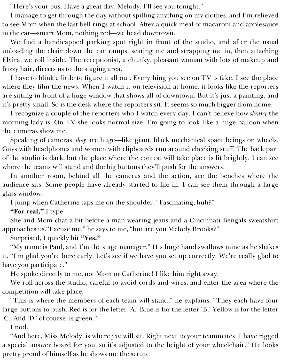"Here's your bus. Have a great day, Melody. I'll see you tonight."

I manage to get through the day without spilling anything on my clothes, and I'm relieved to see Mom when the last bell rings at school. After a quick meal of macaroni and applesauce in the car—smart Mom, nothing red—we head downtown.

We find a handicapped parking spot right in front of the studio, and after the usual unloading the chair down the car ramps, seating me and strapping me in, then attaching Elvira, we roll inside. The receptionist, a chunky, pleasant woman with lots of makeup and frizzy hair, directs us to the staging area.

I have to blink a little to figure it all out. Everything you see on TV is fake. I see the place where they film the news. When I watch it on television at home, it looks like the reporters are sitting in front of a huge window that shows all of downtown. But it's just a painting, and it's pretty small. So is the desk where the reporters sit. It seems so much bigger from home.

I recognize a couple of the reporters who I watch every day. I can't believe how *skinny* the morning lady is. On TV she looks normal-size. I'm going to look like a huge balloon when the cameras show me.

Speaking of cameras, *they* are huge—like giant, black mechanical space beings on wheels. Guys with headphones and women with clipboards run around checking stuff. The back part of the studio is dark, but the place where the contest will take place is lit brightly. I can see where the teams will stand and the big buttons they'll push for the answers.

In another room, behind all the cameras and the action, are the benches where the audience sits. Some people have already started to file in. I can see them through a large glass window.

I jump when Catherine taps me on the shoulder. "Fascinating, huh?"

## **"For real, "** I type.

She and Mom chat a bit before a man wearing jeans and a Cincinnati Bengals sweatshirt approaches us."Excuse me," he says to me, "but are you Melody Brooks?"

Surprised, I quickly hit **"Yes."**

"My name is Paul, and I'm the stage manager." His huge hand swallows mine as he shakes it. "I'm glad you're here early. Let's see if we have you set up correctly. We're really glad to have you participate."

He spoke directly to me, not Mom or Catherine! I like him right away.

We roll across the studio, careful to avoid cords and wires, and enter the area where the competition will take place.

"This is where the members of each team will stand," he explains. "They each have four large buttons to push. Red is for the letter 'A.' Blue is for the letter 'B.' Yellow is for the letter 'C.' And 'D,' of course, is green."

I nod.

"And here, Miss Melody, is where *you* will sit. Right next to your teammates. I have rigged a special answer board for you, so it's adjusted to the height of your wheelchair." He looks pretty proud of himself as he shows me the setup.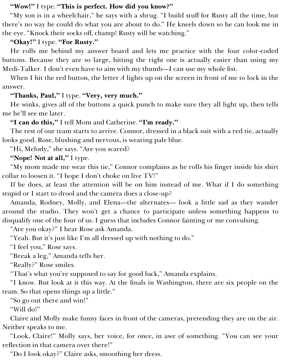## **"Wow!"** I type. **"This is perfect. How did you know?"**

"My son is in a wheelchair," he says with a shrug. "I build stuff for Rusty all the time, but there's no way he could do what you are about to do." He kneels down so he can look me in the eye. "Knock their socks off, champ! Rusty will be watching."

#### **"Okay!"** I type. **"For Rusty."**

He rolls me behind my answer board and lets me practice with the four color-coded buttons. Because they are so large, hitting the right one is actually easier than using my Medi-Talker. I don't even have to aim with my thumb—I can use my whole fist.

When I hit the red button, the letter *A* lights up on the screen in front of me to lock in the answer.

#### **"Thanks, Paul, "** I type. **"Very, very much."**

He winks, gives all of the buttons a quick punch to make sure they all light up, then tells me he'll see me later.

#### **"I can do this, "** I tell Mom and Catherine. **"I'm ready."**

The rest of our team starts to arrive. Connor, dressed in a black suit with a red tie, actually looks good. Rose, blushing and nervous, is wearing pale blue.

"Hi, Melody," she says. "Are you scared?

#### **"Nope! Not at all, "** I type.

"My mom made me wear this tie," Connor complains as he rolls his finger inside his shirt collar to loosen it. "I hope I don't choke on live TV!"

If he does, at least the attention will be on him instead of me. What if I do something stupid or I start to drool and the camera does a close-up?

Amanda, Rodney, Molly, and Elena—the alternates— look a little sad as they wander around the studio. They won't get a chance to participate unless something happens to disqualify one of the four of us. I guess that includes Connor fainting or me convulsing.

"Are you okay?" I hear Rose ask Amanda.

"Yeah. But it's just like I'm all dressed up with nothing to do."

"I feel you," Rose says.

"Break a leg," Amanda tells her.

"Really?" Rose smiles.

"That's what you're supposed to say for good luck," Amanda explains.

"I know. But look at it this way. At the finals in Washington, there are six people on the team. So that opens things up a little."

"So go out there and win!"

"Will do!"

Claire and Molly make funny faces in front of the cameras, pretending they are on the air. Neither speaks to me.

"Look, Claire!" Molly says, her voice, for once, in awe of something. "You can see your reflection in that camera over there!"

"Do I look okay?" Claire asks, smoothing her dress.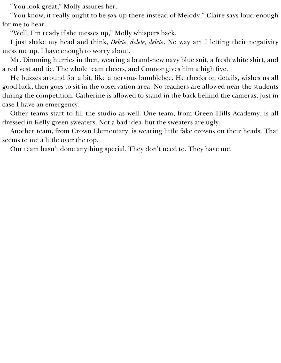"You look great," Molly assures her.

"You know, it really ought to be *you* up there instead of Melody," Claire says loud enough for me to hear.

"Well, I'm ready if she messes up," Molly whispers back.

I just shake my head and think, *Delete, delete, delete*. No way am I letting their negativity mess me up. I have enough to worry about.

Mr. Dimming hurries in then, wearing a brand-new navy blue suit, a fresh white shirt, and a red vest and tie. The whole team cheers, and Connor gives him a high five.

He buzzes around for a bit, like a nervous bumblebee. He checks on details, wishes us all good luck, then goes to sit in the observation area. No teachers are allowed near the students during the competition. Catherine is allowed to stand in the back behind the cameras, just in case I have an emergency.

Other teams start to fill the studio as well. One team, from Green Hills Academy, is all dressed in Kelly green sweaters. Not a bad idea, but the sweaters are ugly.

Another team, from Crown Elementary, is wearing little fake crowns on their heads. That seems to me a little over the top.

Our team hasn't done anything special. They don't need to. They have me.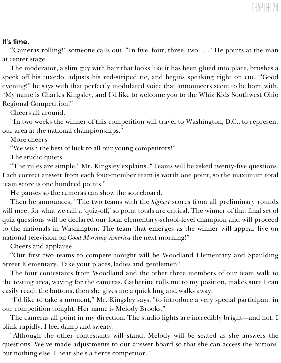### **It's time.**

"Cameras rolling!" someone calls out. "In five, four, three, two . . ." He points at the man at center stage.

The moderator, a slim guy with hair that looks like it has been glued into place, brushes a speck off his tuxedo, adjusts his red-striped tie, and begins speaking right on cue. "Good evening!" he says with that perfectly modulated voice that announcers seem to be born with. "My name is Charles Kingsley, and I'd like to welcome you to the Whiz Kids Southwest Ohio Regional Competition!"

Cheers all around.

"In two weeks the winner of this competition will travel to Washington, D.C., to represent our area at the national championships."

More cheers.

"We wish the best of luck to all our young competitors!"

The studio quiets.

"The rules are simple," Mr. Kingsley explains. "Teams will be asked twenty-five questions. Each correct answer from each four-member team is worth one point, so the maximum total team score is one hundred points."

He pauses so the cameras can show the scoreboard.

Then he announces, "The two teams with the *highest* scores from all preliminary rounds will meet for what we call a 'quiz-off,' so point totals are critical. The winner of that final set of quiz questions will be declared our local elementary-school-level champion and will proceed to the nationals in Washington. The team that emerges as the winner will appear live on national television on *Good Morning America* the next morning!"

Cheers and applause.

"Our first two teams to compete tonight will be Woodland Elementary and Spaulding Street Elementary. Take your places, ladies and gentlemen."

The four contestants from Woodland and the other three members of our team walk to the testing area, waving for the cameras. Catherine rolls me to my position, makes sure I can easily reach the buttons, then she gives me a quick hug and walks away.

"I'd like to take a moment," Mr. Kingsley says, "to introduce a very special participant in our competition tonight. Her name is Melody Brooks."

The cameras all point in my direction. The studio lights are incredibly bright—and hot. I blink rapidly. I feel damp and sweaty.

"Although the other contestants will stand, Melody will be seated as she answers the questions. We've made adjustments to our answer board so that she can access the buttons, but nothing else. I hear she's a fierce competitor."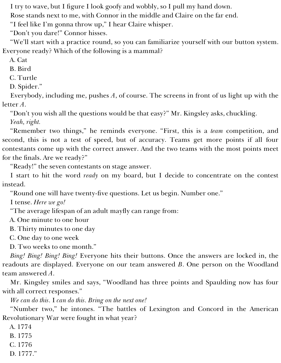I try to wave, but I figure I look goofy and wobbly, so I pull my hand down.

Rose stands next to me, with Connor in the middle and Claire on the far end.

"I feel like I'm gonna throw up," I hear Claire whisper.

"Don't you dare!" Connor hisses.

"We'll start with a practice round, so you can familiarize yourself with our button system. Everyone ready? Which of the following is a mammal?

A. Cat

B. Bird

C. Turtle

D. Spider."

Everybody, including me, pushes *A*, of course. The screens in front of us light up with the letter *A*.

"Don't you wish all the questions would be that easy?" Mr. Kingsley asks, chuckling. *Yeah, right.*

"Remember two things," he reminds everyone. "First, this is a *team* competition, and second, this is not a test of speed, but of accuracy. Teams get more points if all four contestants come up with the correct answer. And the two teams with the most points meet for the finals. Are we ready?"

"Ready!" the seven contestants on stage answer.

I start to hit the word *ready* on my board, but I decide to concentrate on the contest instead.

"Round one will have twenty-five questions. Let us begin. Number one."

I tense. *Here we go!*

"The average lifespan of an adult mayfly can range from:

A. One minute to one hour

B. Thirty minutes to one day

C. One day to one week

D. Two weeks to one month."

*Bing! Bing! Bing! Bing!* Everyone hits their buttons. Once the answers are locked in, the readouts are displayed. Everyone on our team answered *B*. One person on the Woodland team answered *A*.

Mr. Kingsley smiles and says, "Woodland has three points and Spaulding now has four with all correct responses."

*We can do this.* I *can do this. Bring on the next one!*

"Number two," he intones. "The battles of Lexington and Concord in the American Revolutionary War were fought in what year?

A. 1774

- B. 1775
- C. 1776
- D. 1777."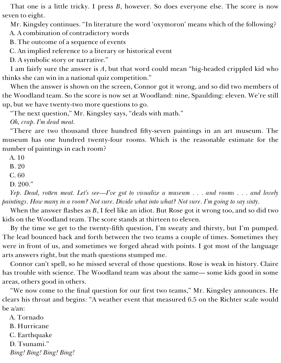That one is a little tricky. I press *B*, however. So does everyone else. The score is now seven to eight.

Mr. Kingsley continues. "In literature the word 'oxymoron' means which of the following?

A. A combination of contradictory words

B. The outcome of a sequence of events

C. An implied reference to a literary or historical event

D. A symbolic story or narrative."

I am fairly sure the answer is *A*, but that word could mean "big-headed crippled kid who thinks she can win in a national quiz competition."

When the answer is shown on the screen, Connor got it wrong, and so did two members of the Woodland team. So the score is now set at Woodland: nine, Spaulding: eleven. We're still up, but we have twenty-two more questions to go.

"The next question," Mr. Kingsley says, "deals with math."

*Oh, crap. I'm dead meat.*

"There are two thousand three hundred fifty-seven paintings in an art museum. The museum has one hundred twenty-four rooms. Which is the reasonable estimate for the number of paintings in each room?

A. 10

B. 20

C. 60

D. 200."

Yep. Dead, rotten meat. Let's see—I've got to visualize a museum  $\ldots$  and rooms  $\ldots$  and lovely paintings. How many in a room? Not sure. Divide what into what? Not sure. I'm going to say sixty.

When the answer flashes as *B*, I feel like an idiot. But Rose got it wrong too, and so did two kids on the Woodland team. The score stands at thirteen to eleven.

By the time we get to the twenty-fifth question, I'm sweaty and thirsty, but I'm pumped. The lead bounced back and forth between the two teams a couple of times. Sometimes they were in front of us, and sometimes we forged ahead with points. I got most of the language arts answers right, but the math questions stumped me.

Connor can't spell, so he missed several of those questions. Rose is weak in history. Claire has trouble with science. The Woodland team was about the same— some kids good in some areas, others good in others.

"We now come to the final question for our first two teams," Mr. Kingsley announces. He clears his throat and begins: "A weather event that measured 6.5 on the Richter scale would be a/an:

A. Tornado B. Hurricane C. Earthquake D. Tsunami." *Bing! Bing! Bing! Bing!*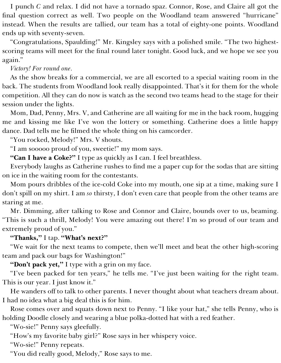I punch *C* and relax. I did not have a tornado spaz. Connor, Rose, and Claire all got the final question correct as well. Two people on the Woodland team answered "hurricane" instead. When the results are tallied, our team has a total of eighty-one points. Woodland ends up with seventy-seven.

"Congratulations, Spaulding!" Mr. Kingsley says with a polished smile. "The two highestscoring teams will meet for the final round later tonight. Good luck, and we hope we see you again."

#### *Victory! For round one.*

As the show breaks for a commercial, we are all escorted to a special waiting room in the back. The students from Woodland look really disappointed. That's it for them for the whole competition. All they can do now is watch as the second two teams head to the stage for their session under the lights.

Mom, Dad, Penny, Mrs. V, and Catherine are all waiting for me in the back room, hugging me and kissing me like I've won the lottery or something. Catherine does a little happy dance. Dad tells me he filmed the whole thing on his camcorder.

"You rocked, Melody!" Mrs. V shouts.

"I am sooooo proud of you, sweetie!" my mom says.

**"Can I have a Coke?"** I type as quickly as I can. I feel breathless.

Everybody laughs as Catherine rushes to find me a paper cup for the sodas that are sitting on ice in the waiting room for the contestants.

Mom pours dribbles of the ice-cold Coke into my mouth, one sip at a time, making sure I don't spill on my shirt. I am *so* thirsty, I don't even care that people from the other teams are staring at me.

Mr. Dimming, after talking to Rose and Connor and Claire, bounds over to us, beaming. "This is such a thrill, Melody! You were amazing out there! I'm so proud of our team and extremely proud of you."

## **"Thanks, "** I tap. **"What's next?"**

"We wait for the next teams to compete, then we'll meet and beat the other high-scoring team and pack our bags for Washington!"

**"Don't pack yet, "** I type with a grin on my face.

"I've been packed for ten years," he tells me. "I've just been waiting for the right team. This is our year. I just know it."

He wanders off to talk to other parents. I never thought about what teachers dream about. I had no idea what a big deal this is for him.

Rose comes over and squats down next to Penny. "I like your hat," she tells Penny, who is holding Doodle closely and wearing a blue polka-dotted hat with a red feather.

"Wo-sie!" Penny says gleefully.

"How's my favorite baby girl?" Rose says in her whispery voice.

"Wo-sie!" Penny repeats.

"You did really good, Melody," Rose says to me.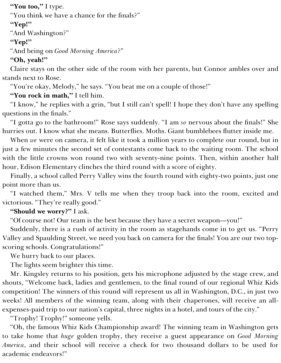**"You too, "** I type.

"You think we have a chance for the finals?"

## **"Yep!"**

"And Washington?"

## **"Yep!"**

"And being on *Good Morning America*?"

## **"Oh, yeah!"**

Claire stays on the other side of the room with her parents, but Connor ambles over and stands next to Rose.

"You're okay, Melody," he says. "You beat me on a couple of those!"

# **"You rock in math, "** I tell him.

"I know," he replies with a grin, "but I still can't spell! I hope they don't have any spelling questions in the finals."

"I gotta go to the bathroom!" Rose says suddenly. "I am *so* nervous about the finals!" She hurries out. I know what she means. Butterflies. Moths. Giant bumblebees flutter inside me.

When *we* were on camera, it felt like it took a million years to complete our round, but in just a few minutes the second set of contestants come back to the waiting room. The school with the little crowns won round two with seventy-nine points. Then, within another half hour, Edison Elementary clinches the third round with a score of eighty.

Finally, a school called Perry Valley wins the fourth round with eighty-two points, just one point more than us.

"I watched them," Mrs. V tells me when they troop back into the room, excited and victorious. "They're really good."

## **"Should we worry?"** I ask.

"Of course not! Our team is the best because they have a secret weapon—you!"

Suddenly, there is a rush of activity in the room as stagehands come in to get us. "Perry Valley and Spaulding Street, we need you back on camera for the finals! You are our two topscoring schools. Congratulations!"

We hurry back to our places.

The lights seem brighter this time.

Mr. Kingsley returns to his position, gets his microphone adjusted by the stage crew, and shouts, "Welcome back, ladies and gentlemen, to the final round of our regional Whiz Kids competition! The winners of this round will represent us all in Washington, D.C., in just two weeks! All members of the winning team, along with their chaperones, will receive an allexpenses-paid trip to our nation's capital, three nights in a hotel, and tours of the city."

"Trophy! Trophy!" someone yells.

"Oh, the famous Whiz Kids Championship award! The winning team in Washington gets to take home that *huge* golden trophy, they receive a guest appearance on *Good Morning America*, and their school will receive a check for two thousand dollars to be used for academic endeavors!"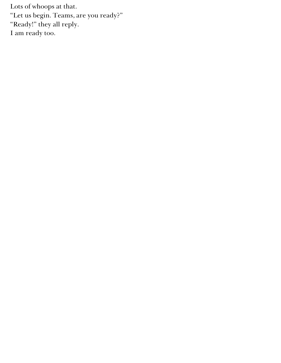Lots of whoops at that. "Let us begin. Teams, are you ready?" "Ready!" they all reply. I am ready too.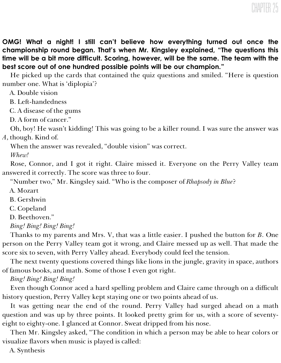**OMG! What a night! I still can't believe how everything turned out once the championship round began. That's when Mr. Kingsley explained, "The questions this time will be a bit more difficult. Scoring, however, will be the same. The team with the best score out of one hundred possible points will be our champion."**

He picked up the cards that contained the quiz questions and smiled. "Here is question number one. What is 'diplopia'?

A. Double vision

B. Left-handedness

C. A disease of the gums

D. A form of cancer."

Oh, boy! He wasn't kidding! This was going to be a killer round. I was sure the answer was

*A*, though. Kind of.

When the answer was revealed, "double vision" was correct.

*Whew!*

Rose, Connor, and I got it right. Claire missed it. Everyone on the Perry Valley team answered it correctly. The score was three to four.

"Number two," Mr. Kingsley said. "Who is the composer of *Rhapsody in Blue*?

A. Mozart

B. Gershwin

C. Copeland

D. Beethoven."

*Bing! Bing! Bing! Bing!*

Thanks to my parents and Mrs. V, that was a little easier. I pushed the button for *B*. One person on the Perry Valley team got it wrong, and Claire messed up as well. That made the score six to seven, with Perry Valley ahead. Everybody could feel the tension.

The next twenty questions covered things like lions in the jungle, gravity in space, authors of famous books, and math. Some of those I even got right.

*Bing! Bing! Bing! Bing!*

Even though Connor aced a hard spelling problem and Claire came through on a difficult history question, Perry Valley kept staying one or two points ahead of us.

It was getting near the end of the round. Perry Valley had surged ahead on a math question and was up by three points. It looked pretty grim for us, with a score of seventyeight to eighty-one. I glanced at Connor. Sweat dripped from his nose.

Then Mr. Kingsley asked, "The condition in which a person may be able to hear colors or visualize flavors when music is played is called:

A. Synthesis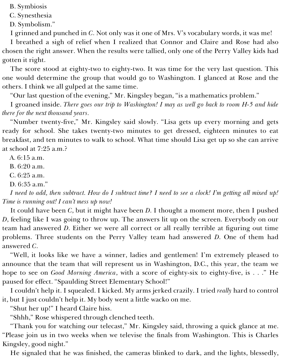B. Symbiosis

- C. Synesthesia
- D. Symbolism."

I grinned and punched in *C*. Not only was it one of Mrs. V's vocabulary words, it was me!

I breathed a sigh of relief when I realized that Connor and Claire and Rose had also chosen the right answer. When the results were tallied, only one of the Perry Valley kids had gotten it right.

The score stood at eighty-two to eighty-two. It was time for the very last question. This one would determine the group that would go to Washington. I glanced at Rose and the others. I think we all gulped at the same time.

"Our last question of the evening," Mr. Kingsley began, "is a mathematics problem."

I groaned inside. *There goes our trip to Washington! I may as well go back to room H-5 and hide there for the next thousand years.*

"Number twenty-five," Mr. Kingsley said slowly. "Lisa gets up every morning and gets ready for school. She takes twenty-two minutes to get dressed, eighteen minutes to eat breakfast, and ten minutes to walk to school. What time should Lisa get up so she can arrive at school at 7:25 a.m.?

A. 6:15 a.m.

B. 6:20 a.m.

C. 6:25 a.m.

D. 6:35 a.m."

I need to add, then subtract. How do I subtract time? I need to see a clock! I'm getting all mixed up! *Time is running out! I can't mess up now!*

It could have been *C*, but it might have been *D*. I thought a moment more, then I pushed *D*, feeling like I was going to throw up. The answers lit up on the screen. Everybody on our team had answered *D*. Either we were all correct or all really terrible at figuring out time problems. Three students on the Perry Valley team had answered *D*. One of them had answered *C*.

"Well, it looks like we have a winner, ladies and gentlemen! I'm extremely pleased to announce that the team that will represent us in Washington, D.C., this year, the team we hope to see on *Good Morning America*, with a score of eighty-six to eighty-five, is . . ." He paused for effect. "Spaulding Street Elementary School!"

I couldn't help it. I squealed. I kicked. My arms jerked crazily. I tried *really* hard to control it, but I just couldn't help it. My body went a little wacko on me.

"Shut her up!" I heard Claire hiss.

"Shhh," Rose whispered through clenched teeth.

"Thank you for watching our telecast," Mr. Kingsley said, throwing a quick glance at me. "Please join us in two weeks when we televise the finals from Washington. This is Charles Kingsley, good night."

He signaled that he was finished, the cameras blinked to dark, and the lights, blessedly,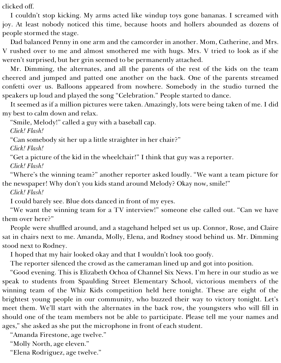clicked off.

I couldn't stop kicking. My arms acted like windup toys gone bananas. I screamed with joy. At least nobody noticed this time, because hoots and hollers abounded as dozens of people stormed the stage.

Dad balanced Penny in one arm and the camcorder in another. Mom, Catherine, and Mrs. V rushed over to me and almost smothered me with hugs. Mrs. V tried to look as if she weren't surprised, but her grin seemed to be permanently attached.

Mr. Dimming, the alternates, and all the parents of the rest of the kids on the team cheered and jumped and patted one another on the back. One of the parents streamed confetti over us. Balloons appeared from nowhere. Somebody in the studio turned the speakers up loud and played the song "Celebration." People started to dance.

It seemed as if a million pictures were taken. Amazingly, lots were being taken of me. I did my best to calm down and relax.

"Smile, Melody!" called a guy with a baseball cap.

*Click! Flash!*

"Can somebody sit her up a little straighter in her chair?"

*Click! Flash!*

"Get a picture of the kid in the wheelchair!" I think that guy was a reporter.

*Click! Flash!*

"Where's the winning team?" another reporter asked loudly. "We want a team picture for the newspaper! Why don't you kids stand around Melody? Okay now, smile!"

*Click! Flash!*

I could barely see. Blue dots danced in front of my eyes.

"We want the winning team for a TV interview!" someone else called out. "Can we have them over here?"

People were shuffled around, and a stagehand helped set us up. Connor, Rose, and Claire sat in chairs next to me. Amanda, Molly, Elena, and Rodney stood behind us. Mr. Dimming stood next to Rodney.

I hoped that my hair looked okay and that I wouldn't look too goofy.

The reporter silenced the crowd as the cameraman lined up and got into position.

"Good evening. This is Elizabeth Ochoa of Channel Six News. I'm here in our studio as we speak to students from Spaulding Street Elementary School, victorious members of the winning team of the Whiz Kids competition held here tonight. These are eight of the brightest young people in our community, who buzzed their way to victory tonight. Let's meet them. We'll start with the alternates in the back row, the youngsters who will fill in should one of the team members not be able to participate. Please tell me your names and ages," she asked as she put the microphone in front of each student.

"Amanda Firestone, age twelve."

"Molly North, age eleven."

"Elena Rodriguez, age twelve."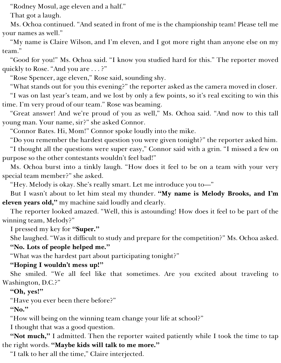"Rodney Mosul, age eleven and a half."

That got a laugh.

Ms. Ochoa continued. "And seated in front of me is the championship team! Please tell me your names as well."

"My name is Claire Wilson, and I'm eleven, and I got more right than anyone else on my team."

"Good for you!" Ms. Ochoa said. "I know you studied hard for this." The reporter moved quickly to Rose. "And you are . . . ?"

"Rose Spencer, age eleven," Rose said, sounding shy.

"What stands out for you this evening?" the reporter asked as the camera moved in closer.

"I was on last year's team, and we lost by only a few points, so it's real exciting to win this time. I'm very proud of our team." Rose was beaming.

"Great answer! And we're proud of you as well," Ms. Ochoa said. "And now to this tall young man. Your name, sir?" she asked Connor.

"Connor Bates. Hi, Mom!" Connor spoke loudly into the mike.

"Do you remember the hardest question you were given tonight?" the reporter asked him.

"I thought all the questions were super easy," Connor said with a grin. "I missed a few on purpose so the other contestants wouldn't feel bad!"

Ms. Ochoa burst into a tinkly laugh. "How does it feel to be on a team with your very special team member?" she asked.

"Hey. Melody is okay. She's really smart. Let me introduce you to—"

But I wasn't about to let him steal my thunder. **"My name is Melody Brooks, and I'm eleven years old, "** my machine said loudly and clearly.

The reporter looked amazed. "Well, this is astounding! How does it feel to be part of the winning team, Melody?"

I pressed my key for **"Super."**

She laughed. "Was it difficult to study and prepare for the competition?" Ms. Ochoa asked.

#### **"No. Lots of people helped me."**

"What was the hardest part about participating tonight?"

## **"Hoping I wouldn't mess up!"**

She smiled. "We all feel like that sometimes. Are you excited about traveling to Washington, D.C.?"

## **"Oh, yes!"**

"Have you ever been there before?"

**"No."**

"How will being on the winning team change your life at school?"

I thought that was a good question.

**"Not much,"** I admitted. Then the reporter waited patiently while I took the time to tap the right words. **"Maybe kids will talk to me more."**

"I talk to her all the time," Claire interjected.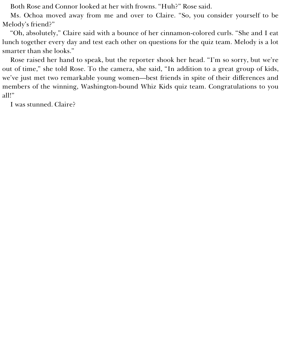Both Rose and Connor looked at her with frowns. "Huh?" Rose said.

Ms. Ochoa moved away from me and over to Claire. "So, you consider yourself to be Melody's friend?"

"Oh, absolutely," Claire said with a bounce of her cinnamon-colored curls. "She and I eat lunch together every day and test each other on questions for the quiz team. Melody is a lot smarter than she looks."

Rose raised her hand to speak, but the reporter shook her head. "I'm so sorry, but we're out of time," she told Rose. To the camera, she said, "In addition to a great group of kids, we've just met two remarkable young women—best friends in spite of their differences and members of the winning, Washington-bound Whiz Kids quiz team. Congratulations to you all!"

I was stunned. Claire?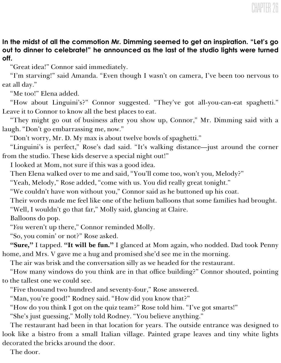## **In the midst of all the commotion Mr. Dimming seemed to get an inspiration. "Let's go out to dinner to celebrate!" he announced as the last of the studio lights were turned off.**

"Great idea!" Connor said immediately.

"I'm starving!" said Amanda. "Even though I wasn't on camera, I've been too nervous to eat all day."

"Me too!" Elena added.

"How about Linguini's?" Connor suggested. "They've got all-you-can-eat spaghetti." Leave it to Connor to know all the best places to eat.

"They might go out of business after you show up, Connor," Mr. Dimming said with a laugh. "Don't go embarrassing me, now."

"Don't worry, Mr. D. My max is about twelve bowls of spaghetti."

"Linguini's is perfect," Rose's dad said. "It's walking distance—just around the corner from the studio. These kids deserve a special night out!"

I looked at Mom, not sure if this was a good idea.

Then Elena walked over to me and said, "You'll come too, won't you, Melody?"

"Yeah, Melody," Rose added, "come with us. You did really great tonight."

"We couldn't have won without you," Connor said as he buttoned up his coat.

Their words made me feel like one of the helium balloons that some families had brought.

"Well, I wouldn't go that far," Molly said, glancing at Claire.

Balloons do pop.

"*You* weren't up there," Connor reminded Molly.

"So, you comin' or not?" Rose asked.

**"Sure, "** I tapped. **"It will be fun."** I glanced at Mom again, who nodded. Dad took Penny home, and Mrs. V gave me a hug and promised she'd see me in the morning.

The air was brisk and the conversation silly as we headed for the restaurant.

"How many windows do you think are in that office building?" Connor shouted, pointing to the tallest one we could see.

"Five thousand two hundred and seventy-four," Rose answered.

"Man, you're good!" Rodney said. "How did you know that?"

"How do you think I got on the quiz team?" Rose told him. "I've got smarts!"

"She's just guessing," Molly told Rodney. "You believe anything."

The restaurant had been in that location for years. The outside entrance was designed to look like a bistro from a small Italian village. Painted grape leaves and tiny white lights decorated the bricks around the door.

The door.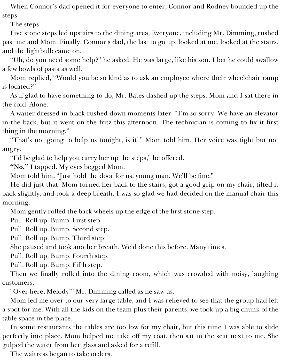When Connor's dad opened it for everyone to enter, Connor and Rodney bounded up the steps.

The steps.

Five stone steps led upstairs to the dining area. Everyone, including Mr. Dimming, rushed past me and Mom. Finally, Connor's dad, the last to go up, looked at me, looked at the stairs, and the lightbulb came on.

"Uh, do you need some help?" he asked. He was large, like his son. I bet he could swallow a few bowls of pasta as well.

Mom replied, "Would you be so kind as to ask an employee where their wheelchair ramp is located?"

As if glad to have something to do, Mr. Bates dashed up the steps. Mom and I sat there in the cold. Alone.

A waiter dressed in black rushed down moments later. "I'm so sorry. We have an elevator in the back, but it went on the fritz this afternoon. The technician is coming to fix it first thing in the morning."

"That's not going to help us tonight, is it?" Mom told him. Her voice was tight but not angry.

"I'd be glad to help you carry her up the steps," he offered.

**"No, "** I tapped. My eyes begged Mom.

Mom told him, "Just hold the door for us, young man. We'll be fine."

He did just that. Mom turned her back to the stairs, got a good grip on my chair, tilted it back slightly, and took a deep breath. I was so glad we had decided on the manual chair this morning.

Mom gently rolled the back wheels up the edge of the first stone step.

Pull. Roll up. Bump. First step.

Pull. Roll up. Bump. Second step.

Pull. Roll up. Bump. Third step.

She paused and took another breath. We'd done this before. Many times.

Pull. Roll up. Bump. Fourth step.

Pull. Roll up. Bump. Fifth step.

Then we finally rolled into the dining room, which was crowded with noisy, laughing customers.

"Over here, Melody!" Mr. Dimming called as he saw us.

Mom led me over to our very large table, and I was relieved to see that the group had left a spot for me. With all the kids on the team plus their parents, we took up a big chunk of the table space in the place.

In some restaurants the tables are too low for my chair, but this time I was able to slide perfectly into place. Mom helped me take off my coat, then sat in the seat next to me. She gulped the water from her glass and asked for a refill.

The waitress began to take orders.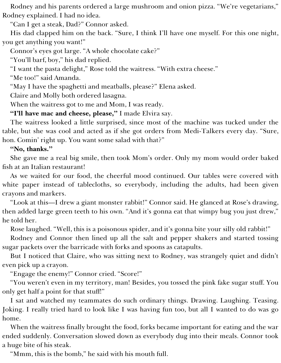Rodney and his parents ordered a large mushroom and onion pizza. "We're vegetarians," Rodney explained. I had no idea.

"Can I get a steak, Dad?" Connor asked.

His dad clapped him on the back. "Sure, I think I'll have one myself. For this one night, you get anything you want!"

Connor's eyes got large. "A whole chocolate cake?"

"You'll barf, boy," his dad replied.

"I want the pasta delight," Rose told the waitress. "With extra cheese."

"Me too!" said Amanda.

"May I have the spaghetti and meatballs, please?" Elena asked.

Claire and Molly both ordered lasagna.

When the waitress got to me and Mom, I was ready.

**"I'll have mac and cheese, please, "** I made Elvira say.

The waitress looked a little surprised, since most of the machine was tucked under the table, but she was cool and acted as if she got orders from Medi-Talkers every day. "Sure, hon. Comin' right up. You want some salad with that?"

## **"No, thanks."**

She gave me a real big smile, then took Mom's order. Only my mom would order baked fish at an Italian restaurant!

As we waited for our food, the cheerful mood continued. Our tables were covered with white paper instead of tablecloths, so everybody, including the adults, had been given crayons and markers.

"Look at this—I drew a giant monster rabbit!" Connor said. He glanced at Rose's drawing, then added large green teeth to his own. "And it's gonna eat that wimpy bug you just drew," he told her.

Rose laughed. "Well, this is a poisonous spider, and it's gonna bite your silly old rabbit!"

Rodney and Connor then lined up all the salt and pepper shakers and started tossing sugar packets over the barricade with forks and spoons as catapults.

But I noticed that Claire, who was sitting next to Rodney, was strangely quiet and didn't even pick up a crayon.

"Engage the enemy!" Connor cried. "Score!"

"You weren't even in my territory, man! Besides, you tossed the pink fake sugar stuff. You only get half a point for that stuff!"

I sat and watched my teammates do such ordinary things. Drawing. Laughing. Teasing. Joking. I really tried hard to look like I was having fun too, but all I wanted to do was go home.

When the waitress finally brought the food, forks became important for eating and the war ended suddenly. Conversation slowed down as everybody dug into their meals. Connor took a huge bite of his steak.

"Mmm, this is the bomb," he said with his mouth full.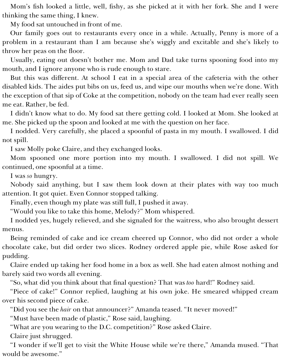Mom's fish looked a little, well, fishy, as she picked at it with her fork. She and I were thinking the same thing, I knew.

My food sat untouched in front of me.

Our family goes out to restaurants every once in a while. Actually, Penny is more of a problem in a restaurant than I am because she's wiggly and excitable and she's likely to throw her peas on the floor.

Usually, eating out doesn't bother me. Mom and Dad take turns spooning food into my mouth, and I ignore anyone who is rude enough to stare.

But this was different. At school I eat in a special area of the cafeteria with the other disabled kids. The aides put bibs on us, feed us, and wipe our mouths when we're done. With the exception of that sip of Coke at the competition, nobody on the team had ever really seen me eat. Rather, be fed.

I didn't know what to do. My food sat there getting cold. I looked at Mom. She looked at me. She picked up the spoon and looked at me with the question on her face.

I nodded. Very carefully, she placed a spoonful of pasta in my mouth. I swallowed. I did not spill.

I saw Molly poke Claire, and they exchanged looks.

Mom spooned one more portion into my mouth. I swallowed. I did not spill. We continued, one spoonful at a time.

I was *so* hungry.

Nobody said anything, but I saw them look down at their plates with way too much attention. It got quiet. Even Connor stopped talking.

Finally, even though my plate was still full, I pushed it away.

"Would you like to take this home, Melody?" Mom whispered.

I nodded yes, hugely relieved, and she signaled for the waitress, who also brought dessert menus.

Being reminded of cake and ice cream cheered up Connor, who did not order a whole chocolate cake, but did order two slices. Rodney ordered apple pie, while Rose asked for pudding.

Claire ended up taking her food home in a box as well. She had eaten almost nothing and barely said two words all evening.

"So, what did you think about that final question? That was *too* hard!" Rodney said.

"Piece of cake!" Connor replied, laughing at his own joke. He smeared whipped cream over his second piece of cake.

"Did you see the *hair* on that announcer?" Amanda teased. "It never moved!"

"Must have been made of plastic," Rose said, laughing.

"What are you wearing to the D.C. competition?" Rose asked Claire.

Claire just shrugged.

"I wonder if we'll get to visit the White House while we're there," Amanda mused. "That would be awesome."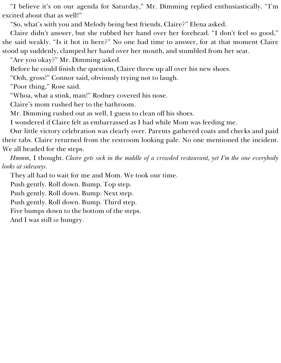"I believe it's on our agenda for Saturday," Mr. Dimming replied enthusiastically. "I'm excited about that as well!"

"So, what's with you and Melody being best friends, Claire?" Elena asked.

Claire didn't answer, but she rubbed her hand over her forehead. "I don't feel so good," she said weakly. "Is it hot in here?" No one had time to answer, for at that moment Claire stood up suddenly, clamped her hand over her mouth, and stumbled from her seat.

"Are you okay?" Mr. Dimming asked.

Before he could finish the question, Claire threw up all over his new shoes.

"Ooh, gross!" Connor said, obviously trying not to laugh.

"Poor thing," Rose said.

"Whoa, what a stink, man!" Rodney covered his nose.

Claire's mom rushed her to the bathroom.

Mr. Dimming rushed out as well, I guess to clean off his shoes.

I wondered if Claire felt as embarrassed as I had while Mom was feeding me.

Our little victory celebration was clearly over. Parents gathered coats and checks and paid their tabs. Claire returned from the restroom looking pale. No one mentioned the incident. We all headed for the steps.

*Hmmm,* I thought. *Claire gets sick in the middle of a crowded restaurant, yet I'm the one everybody looks at sideways.*

They all had to wait for me and Mom. We took our time.

Push gently. Roll down. Bump. Top step.

Push gently. Roll down. Bump. Next step.

Push gently. Roll down. Bump. Third step.

Five bumps down to the bottom of the steps.

And I was still *so* hungry.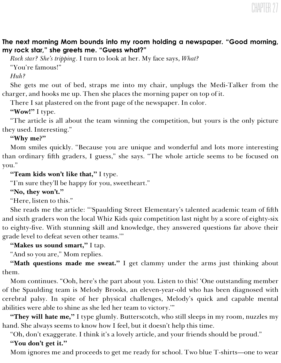## **The next morning Mom bounds into my room holding a newspaper. "Good morning, my rock star," she greets me. "Guess what?"**

*Rock star? She's tripping.* I turn to look at her. My face says, *What?*

"You're famous!"

## *Huh?*

She gets me out of bed, straps me into my chair, unplugs the Medi-Talker from the charger, and hooks me up. Then she places the morning paper on top of it.

There I sat plastered on the front page of the newspaper. In color.

"Wow!" I type.

"The article is all about the team winning the competition, but yours is the only picture they used. Interesting."

## **"Why me?"**

Mom smiles quickly. "Because you are unique and wonderful and lots more interesting than ordinary fifth graders, I guess," she says. "The whole article seems to be focused on you."

## **"Team kids won't like that, "** I type.

"I'm sure they'll be happy for you, sweetheart."

**"No, they won't."**

"Here, listen to this."

She reads me the article: "'Spaulding Street Elementary's talented academic team of fifth and sixth graders won the local Whiz Kids quiz competition last night by a score of eighty-six to eighty-five. With stunning skill and knowledge, they answered questions far above their grade level to defeat seven other teams.'"

**"Makes us sound smart, "** I tap.

"And so you are," Mom replies.

**"Math questions made me sweat."** I get clammy under the arms just thinking about them.

Mom continues. "Ooh, here's the part about you. Listen to this! 'One outstanding member of the Spaulding team is Melody Brooks, an eleven-year-old who has been diagnosed with cerebral palsy. In spite of her physical challenges, Melody's quick and capable mental abilities were able to shine as she led her team to victory.'"

**"They will hate me, "** I type glumly. Butterscotch, who still sleeps in my room, nuzzles my hand. She always seems to know how I feel, but it doesn't help this time.

"Oh, don't exaggerate. I think it's a lovely article, and your friends should be proud."

# **"You don't get it."**

Mom ignores me and proceeds to get me ready for school. Two blue T-shirts—one to wear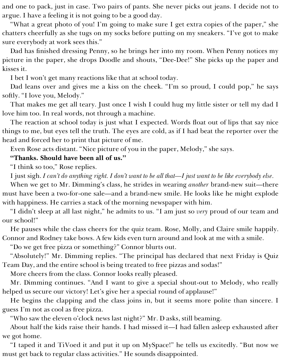and one to pack, just in case. Two pairs of pants. She never picks out jeans. I decide not to argue. I have a feeling it is not going to be a good day.

"What a great photo of you! I'm going to make sure I get extra copies of the paper," she chatters cheerfully as she tugs on my socks before putting on my sneakers. "I've got to make sure everybody at work sees this."

Dad has finished dressing Penny, so he brings her into my room. When Penny notices my picture in the paper, she drops Doodle and shouts, "Dee-Dee!" She picks up the paper and kisses it.

I bet I won't get many reactions like that at school today.

Dad leans over and gives me a kiss on the cheek. "I'm so proud, I could pop," he says softly. "I love you, Melody."

That makes me get all teary. Just once I wish I could hug my little sister or tell my dad I love him too. In real words, not through a machine.

The reaction at school today is just what I expected. Words float out of lips that say nice things to me, but eyes tell the truth. The eyes are cold, as if I had beat the reporter over the head and forced her to print that picture of me.

Even Rose acts distant. "Nice picture of you in the paper, Melody," she says.

#### **"Thanks. Should have been all of us."**

"I think so too," Rose replies.

I just sigh. I can't do anything right. I don't want to be all that—I just want to be like everybody else.

When we get to Mr. Dimming's class, he strides in wearing *another* brand-new suit—there must have been a two-for-one sale—and a brand-new smile. He looks like he might explode with happiness. He carries a stack of the morning newspaper with him.

"I didn't sleep at all last night," he admits to us. "I am just so *very* proud of our team and our school!"

He pauses while the class cheers for the quiz team. Rose, Molly, and Claire smile happily. Connor and Rodney take bows. A few kids even turn around and look at me with a smile.

"Do we get free pizza or something?" Connor blurts out.

"Absolutely!" Mr. Dimming replies. "The principal has declared that next Friday is Quiz Team Day, and the entire school is being treated to free pizzas and sodas!"

More cheers from the class. Connor looks really pleased.

Mr. Dimming continues. "And I want to give a special shout-out to Melody, who really helped us secure our victory! Let's give her a special round of applause!"

He begins the clapping and the class joins in, but it seems more polite than sincere. I guess I'm not as cool as free pizza.

"Who saw the eleven o'clock news last night?" Mr. D asks, still beaming.

About half the kids raise their hands. I had missed it—I had fallen asleep exhausted after we got home.

"I taped it and TiVoed it and put it up on MySpace!" he tells us excitedly. "But now we must get back to regular class activities." He sounds disappointed.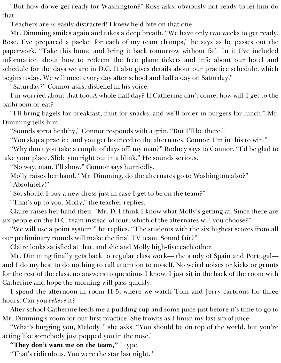"But how do we get ready for Washington?" Rose asks, obviously not ready to let him do that.

Teachers are *so* easily distracted! I knew he'd bite on that one.

Mr. Dimming smiles again and takes a deep breath. "We have only two weeks to get ready, Rose. I've prepared a packet for each of my team champs," he says as he passes out the paperwork. "Take this home and bring it back tomorrow without fail. In it I've included information about how to redeem the free plane tickets and info about our hotel and schedule for the days we are in D.C. It also gives details about our practice schedule, which begins today. We will meet every day after school and half a day on Saturday."

"Saturday?" Connor asks, disbelief in his voice.

I'm worried about that too. A whole half day? If Catherine can't come, how will I get to the bathroom or eat?

"I'll bring bagels for breakfast, fruit for snacks, and we'll order in burgers for lunch," Mr. Dimming tells him.

"Sounds sorta healthy," Connor responds with a grin. "But I'll be there."

"You skip a practice and you get bounced to the alternates, Connor. I'm in this to win."

"Why don't you take a couple of days off, my man?" Rodney says to Connor. "I'd be glad to take your place. Slide you right out in a blink." He sounds serious.

"No way, man. I'll show," Connor says hurriedly.

Molly raises her hand. "Mr. Dimming, do the alternates go to Washington also?" "Absolutely!"

"So, should I buy a new dress just in case I get to be on the team?"

"That's up to you, Molly," the teacher replies.

Claire raises her hand then. "Mr. D, I think I know what Molly's getting at. Since there are six people on the D.C. team instead of four, which of the alternates will you choose?"

"We will use a point system," he replies. "The students with the six highest scores from all our preliminary rounds will make the final TV team. Sound fair?"

Claire looks satisfied at that, and she and Molly high-five each other.

Mr. Dimming finally gets back to regular class work— the study of Spain and Portugal and I do my best to do nothing to call attention to myself. No weird noises or kicks or grunts for the rest of the class, no answers to questions I know. I just sit in the back of the room with Catherine and hope the morning will pass quickly.

I spend the afternoon in room H-5, where we watch Tom and Jerry cartoons for three hours. Can you *believe* it?

After school Catherine feeds me a pudding cup and some juice just before it's time to go to Mr. Dimming's room for our first practice. She frowns as I finish my last sip of juice.

"What's bugging you, Melody?" she asks. "You should be on top of the world, but you're acting like somebody just popped you in the nose."

**"They don't want me on the team, "** I type.

"That's ridiculous. You were the star last night."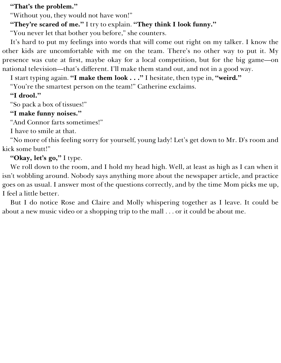# **"That's the problem."**

"Without you, they would not have won!"

**"They're scared of me."** I try to explain. **"They think I look funny."**

"You never let that bother you before," she counters.

It's hard to put my feelings into words that will come out right on my talker. I know the other kids are uncomfortable with me on the team. There's no other way to put it. My presence was cute at first, maybe okay for a local competition, but for the big game—on national television—that's different. I'll make them stand out, and not in a good way.

I start typing again. **"I make them look . . ."** I hesitate, then type in, **"weird."**

"You're the smartest person on the team!" Catherine exclaims.

## **"I drool."**

"So pack a box of tissues!"

## **"I make funny noises."**

"And Connor farts sometimes!"

I have to smile at that.

"No more of this feeling sorry for yourself, young lady! Let's get down to Mr. D's room and kick some butt!"

## **"Okay, let's go, "** I type.

We roll down to the room, and I hold my head high. Well, at least as high as I can when it isn't wobbling around. Nobody says anything more about the newspaper article, and practice goes on as usual. I answer most of the questions correctly, and by the time Mom picks me up, I feel a little better.

But I do notice Rose and Claire and Molly whispering together as I leave. It could be about a new music video or a shopping trip to the mall . . . or it could be about me.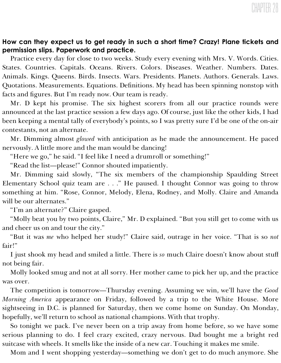## **How can they expect us to get ready in such a short time? Crazy! Plane tickets and permission slips. Paperwork and practice.**

Practice every day for close to two weeks. Study every evening with Mrs. V. Words. Cities. States. Countries. Capitals. Oceans. Rivers. Colors. Diseases. Weather. Numbers. Dates. Animals. Kings. Queens. Birds. Insects. Wars. Presidents. Planets. Authors. Generals. Laws. Quotations. Measurements. Equations. Definitions. My head has been spinning nonstop with facts and figures. But I'm ready now. Our team is ready.

Mr. D kept his promise. The six highest scorers from all our practice rounds were announced at the last practice session a few days ago. Of course, just like the other kids, I had been keeping a mental tally of everybody's points, so I was pretty sure I'd be one of the on-air contestants, not an alternate.

Mr. Dimming almost *glowed* with anticipation as he made the announcement. He paced nervously. A little more and the man would be dancing!

"Here we go," he said. "I feel like I need a drumroll or something!"

"Read the list—please!" Connor shouted impatiently.

Mr. Dimming said slowly, "The six members of the championship Spaulding Street Elementary School quiz team are . . ." He paused. I thought Connor was going to throw something at him. "Rose, Connor, Melody, Elena, Rodney, and Molly. Claire and Amanda will be our alternates."

"I'm an alternate?" Claire gasped.

"Molly beat you by two points, Claire," Mr. D explained. "But you still get to come with us and cheer us on and tour the city."

"But it was *me* who helped her study!" Claire said, outrage in her voice. "That is so *not* fair!"

I just shook my head and smiled a little. There is *so* much Claire doesn't know about stuff not being fair.

Molly looked smug and not at all sorry. Her mother came to pick her up, and the practice was over.

The competition is tomorrow—Thursday evening. Assuming we win, we'll have the *Good Morning America* appearance on Friday, followed by a trip to the White House. More sightseeing in D.C. is planned for Saturday, then we come home on Sunday. On Monday, hopefully, we'll return to school as national champions. With that trophy.

So tonight we pack. I've never been on a trip away from home before, so we have some serious planning to do. I feel crazy excited, crazy nervous. Dad bought me a bright red suitcase with wheels. It smells like the inside of a new car. Touching it makes me smile.

Mom and I went shopping yesterday—something we don't get to do much anymore. She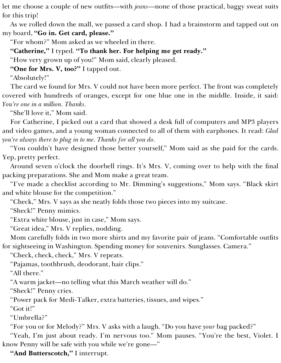let me choose a couple of new outfits—with *jeans*—none of those practical, baggy sweat suits for this trip!

As we rolled down the mall, we passed a card shop. I had a brainstorm and tapped out on my board, **"Go in. Get card, please."**

"For whom?" Mom asked as we wheeled in there.

**"Catherine, "** I typed. **"To thank her. For helping me get ready."**

"How very grown up of you!" Mom said, clearly pleased.

**"One for Mrs. V, too?"** I tapped out.

"Absolutely!"

The card we found for Mrs. V could not have been more perfect. The front was completely covered with hundreds of oranges, except for one blue one in the middle. Inside, it said: *You're one in a million. Thanks.*

"She'll love it," Mom said.

For Catherine, I picked out a card that showed a desk full of computers and MP3 players and video games, and a young woman connected to all of them with earphones. It read: *Glad you're always there to plug in to me. Thanks for all you do.*

"You couldn't have designed those better yourself," Mom said as she paid for the cards. Yep, pretty perfect.

Around seven o'clock the doorbell rings. It's Mrs. V, coming over to help with the final packing preparations. She and Mom make a great team.

"I've made a checklist according to Mr. Dimming's suggestions," Mom says. "Black skirt and white blouse for the competition."

"Check," Mrs. V says as she neatly folds those two pieces into my suitcase.

"Sheck!" Penny mimics.

"Extra white blouse, just in case," Mom says.

"Great idea," Mrs. V replies, nodding.

Mom carefully folds in two more shirts and my favorite pair of jeans. "Comfortable outfits for sightseeing in Washington. Spending money for souvenirs. Sunglasses. Camera."

"Check, check, check," Mrs. V repeats.

"Pajamas, toothbrush, deodorant, hair clips."

"All there."

"A warm jacket—no telling what this March weather will do."

"Sheck!" Penny cries.

"Power pack for Medi-Talker, extra batteries, tissues, and wipes."

"Got it!"

"Umbrella?"

"For you or for Melody?" Mrs. V asks with a laugh. "Do you have *your* bag packed?"

"Yeah, I'm just about ready. I'm nervous too." Mom pauses. "You're the best, Violet. I know Penny will be safe with you while we're gone—"

**"And Butterscotch, "** I interrupt.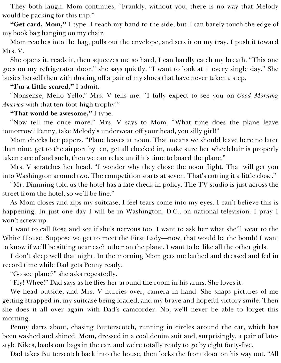They both laugh. Mom continues, "Frankly, without you, there is no way that Melody would be packing for this trip."

**"Get card, Mom, "** I type. I reach my hand to the side, but I can barely touch the edge of my book bag hanging on my chair.

Mom reaches into the bag, pulls out the envelope, and sets it on my tray. I push it toward Mrs. V.

She opens it, reads it, then squeezes me so hard, I can hardly catch my breath. "This one goes on my refrigerator door!" she says quietly. "I want to look at it every single day." She busies herself then with dusting off a pair of my shoes that have never taken a step.

#### **"I'm a little scared, "** I admit.

"Nonsense, Mello Yello," Mrs. V tells me. "I fully expect to see you on *Good Morning America* with that ten-foot-high trophy!"

#### **"That would be awesome, "** I type.

"Now tell me once more," Mrs. V says to Mom. "What time does the plane leave tomorrow? Penny, take Melody's underwear off your head, you silly girl!"

Mom checks her papers. "Plane leaves at noon. That means we should leave here no later than nine, get to the airport by ten, get all checked in, make sure her wheelchair is properly taken care of and such, then we can relax until it's time to board the plane."

Mrs. V scratches her head. "I wonder why they chose the noon flight. That will get you into Washington around two. The competition starts at seven. That's cutting it a little close."

"Mr. Dimming told us the hotel has a late check-in policy. The TV studio is just across the street from the hotel, so we'll be fine."

As Mom closes and zips my suitcase, I feel tears come into my eyes. I can't believe this is happening. In just one day I will be in Washington, D.C., on national television. I pray I won't screw up.

I want to call Rose and see if she's nervous too. I want to ask her what she'll wear to the White House. Suppose we get to meet the First Lady—now, that would be the bomb! I want to know if we'll be sitting near each other on the plane. I want to be like all the other girls.

I don't sleep well that night. In the morning Mom gets me bathed and dressed and fed in record time while Dad gets Penny ready.

"Go see plane?" she asks repeatedly.

"Fly! Whee!" Dad says as he flies her around the room in his arms. She loves it.

We head outside, and Mrs. V hurries over, camera in hand. She snaps pictures of me getting strapped in, my suitcase being loaded, and my brave and hopeful victory smile. Then she does it all over again with Dad's camcorder. No, we'll never be able to forget this morning.

Penny darts about, chasing Butterscotch, running in circles around the car, which has been washed and shined. Mom, dressed in a cool denim suit and, surprisingly, a pair of latestyle Nikes, loads our bags in the car, and we're totally ready to go by eight forty-five.

Dad takes Butterscotch back into the house, then locks the front door on his way out. "All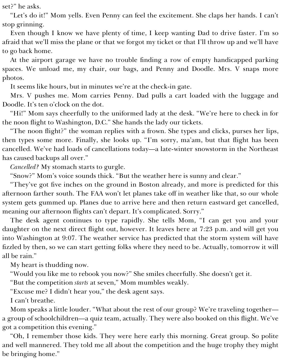set?" he asks.

"Let's do it!" Mom yells. Even Penny can feel the excitement. She claps her hands. I can't stop grinning.

Even though I know we have plenty of time, I keep wanting Dad to drive faster. I'm so afraid that we'll miss the plane or that we forgot my ticket or that I'll throw up and we'll have to go back home.

At the airport garage we have no trouble finding a row of empty handicapped parking spaces. We unload me, my chair, our bags, and Penny and Doodle. Mrs. V snaps more photos.

It seems like hours, but in minutes we're at the check-in gate.

Mrs. V pushes me. Mom carries Penny. Dad pulls a cart loaded with the luggage and Doodle. It's ten o'clock on the dot.

"Hi!" Mom says cheerfully to the uniformed lady at the desk. "We're here to check in for the noon flight to Washington, D.C." She hands the lady our tickets.

"The noon flight?" the woman replies with a frown. She types and clicks, purses her lips, then types some more. Finally, she looks up. "I'm sorry, ma'am, but that flight has been cancelled. We've had loads of cancellations today—a late-winter snowstorm in the Northeast has caused backups all over."

*Cancelled?* My stomach starts to gurgle.

"Snow?" Mom's voice sounds thick. "But the weather here is sunny and clear."

"They've got five inches on the ground in Boston already, and more is predicted for this afternoon farther south. The FAA won't let planes take off in weather like that, so our whole system gets gummed up. Planes due to arrive here and then return eastward get cancelled, meaning our afternoon flights can't depart. It's complicated. Sorry."

The desk agent continues to type rapidly. She tells Mom, "I can get you and your daughter on the next direct flight out, however. It leaves here at 7:23 p.m. and will get you into Washington at 9:07. The weather service has predicted that the storm system will have fizzled by then, so we can start getting folks where they need to be. Actually, tomorrow it will all be rain."

My heart is thudding now.

"Would you like me to rebook you now?" She smiles cheerfully. She doesn't get it.

"But the competition *starts* at seven," Mom mumbles weakly.

"Excuse me? I didn't hear you," the desk agent says.

I can't breathe.

Mom speaks a little louder. "What about the rest of our group? We're traveling together a group of schoolchildren—a quiz team, actually. They were also booked on this flight. We've got a competition this evening."

"Oh, I remember those kids. They were here early this morning. Great group. So polite and well mannered. They told me all about the competition and the huge trophy they might be bringing home."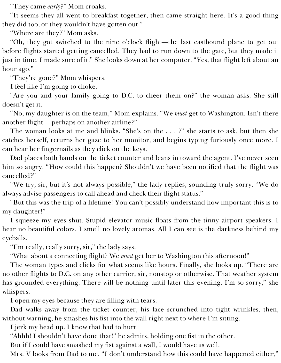"They came *early*?" Mom croaks.

"It seems they all went to breakfast together, then came straight here. It's a good thing they did too, or they wouldn't have gotten out."

"Where are they?" Mom asks.

"Oh, they got switched to the nine o'clock flight—the last eastbound plane to get out before flights started getting cancelled. They had to run down to the gate, but they made it just in time. I made sure of it." She looks down at her computer. "Yes, that flight left about an hour ago."

"They're gone?" Mom whispers.

I feel like I'm going to choke.

"Are you and your family going to D.C. to cheer them on?" the woman asks. She still doesn't get it.

"No, my daughter is on the team," Mom explains. "We *must* get to Washington. Isn't there another flight— perhaps on another airline?"

The woman looks at me and blinks. "She's on the . . . ?" she starts to ask, but then she catches herself, returns her gaze to her monitor, and begins typing furiously once more. I can hear her fingernails as they click on the keys.

Dad places both hands on the ticket counter and leans in toward the agent. I've never seen him so angry. "How could this happen? Shouldn't we have been notified that the flight was cancelled?"

"We try, sir, but it's not always possible," the lady replies, sounding truly sorry. "We do always advise passengers to call ahead and check their flight status."

"But this was the trip of a lifetime! You can't possibly understand how important this is to my daughter!"

I squeeze my eyes shut. Stupid elevator music floats from the tinny airport speakers. I hear no beautiful colors. I smell no lovely aromas. All I can see is the darkness behind my eyeballs.

"I'm really, really sorry, sir," the lady says.

"What about a connecting flight? We *must* get her to Washington this afternoon!"

The woman types and clicks for what seems like hours. Finally, she looks up. "There are no other flights to D.C. on any other carrier, sir, nonstop or otherwise. That weather system has grounded everything. There will be nothing until later this evening. I'm so sorry," she whispers.

I open my eyes because they are filling with tears.

Dad walks away from the ticket counter, his face scrunched into tight wrinkles, then, without warning, he smashes his fist into the wall right next to where I'm sitting.

I jerk my head up. I know that had to hurt.

"Ahhh! I shouldn't have done that!" he admits, holding one fist in the other.

But if I could have smashed my fist against a wall, I would have as well.

Mrs. V looks from Dad to me. "I don't understand how this could have happened either,"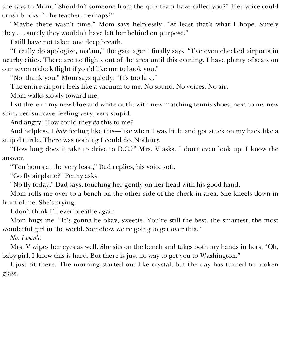she says to Mom. "Shouldn't someone from the quiz team have called you?" Her voice could crush bricks. "The teacher, perhaps?"

"Maybe there wasn't time," Mom says helplessly. "At least that's what I hope. Surely they . . . surely they wouldn't have left her behind on purpose."

I still have not taken one deep breath.

"I really do apologize, ma'am," the gate agent finally says. "I've even checked airports in nearby cities. There are no flights out of the area until this evening. I have plenty of seats on our seven o'clock flight if you'd like me to book you."

"No, thank you," Mom says quietly. "It's too late."

The entire airport feels like a vacuum to me. No sound. No voices. No air.

Mom walks slowly toward me.

I sit there in my new blue and white outfit with new matching tennis shoes, next to my new shiny red suitcase, feeling very, very stupid.

And angry. How could they *do* this to me?

And helpless. I *hate* feeling like this—like when I was little and got stuck on my back like a stupid turtle. There was nothing I could do. Nothing.

"How long does it take to drive to D.C.?" Mrs. V asks. I don't even look up. I know the answer.

"Ten hours at the very least," Dad replies, his voice soft.

"Go fly airplane?" Penny asks.

"No fly today," Dad says, touching her gently on her head with his good hand.

Mom rolls me over to a bench on the other side of the check-in area. She kneels down in front of me. She's crying.

I don't think I'll ever breathe again.

Mom hugs me. "It's gonna be okay, sweetie. You're still the best, the smartest, the most wonderful girl in the world. Somehow we're going to get over this."

*No. I won't.*

Mrs. V wipes her eyes as well. She sits on the bench and takes both my hands in hers. "Oh, baby girl, I know this is hard. But there is just no way to get you to Washington."

I just sit there. The morning started out like crystal, but the day has turned to broken glass.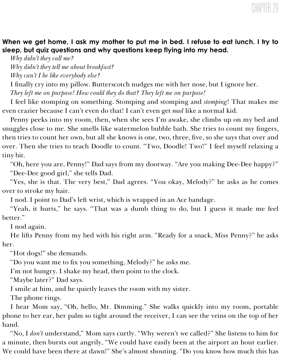## When we get home, I ask my mother to put me in bed. I refuse to eat lunch. I try to **sleep, but quiz questions and why questions keep flying into my head.**

*Why didn't they call me? Why didn't they tell me about breakfast? Why can't I be like everybody else?*

I finally cry into my pillow. Butterscotch nudges me with her nose, but I ignore her. *They left me on purpose! How could they do that? They left me on purpose!*

I feel like stomping on something. Stomping and stomping and *stomping*! That makes me even crazier because I can't even do that! I can't even get *mad* like a normal kid.

Penny peeks into my room, then, when she sees I'm awake, she climbs up on my bed and snuggles close to me. She smells like watermelon bubble bath. She tries to count my fingers, then tries to count her own, but all she knows is one, two, three, five, so she says that over and over. Then she tries to teach Doodle to count. "Two, Doodle! Two!" I feel myself relaxing a tiny bit.

"Oh, here you are, Penny!" Dad says from my doorway. "Are you making Dee-Dee happy?" "Dee-Dee good girl," she tells Dad.

"Yes, she is that. The very best," Dad agrees. "You okay, Melody?" he asks as he comes over to stroke my hair.

I nod. I point to Dad's left wrist, which is wrapped in an Ace bandage.

"Yeah, it hurts," he says. "That was a dumb thing to do, but I guess it made me feel better."

I nod again.

He lifts Penny from my bed with his right arm. "Ready for a snack, Miss Penny?" he asks her.

"Hot dogs!" she demands.

"Do you want me to fix you something, Melody?" he asks me.

I'm not hungry. I shake my head, then point to the clock.

"Maybe later?" Dad says.

I smile at him, and he quietly leaves the room with my sister.

The phone rings.

I hear Mom say, "Oh, hello, Mr. Dimming." She walks quickly into my room, portable phone to her ear, her palm so tight around the receiver, I can see the veins on the top of her hand.

"No, I *don't* understand," Mom says curtly. "Why weren't we called?" She listens to him for a minute, then bursts out angrily, "We could have easily been at the airport an hour earlier. We could have been there at dawn!" She's almost shouting. "Do you know how much this has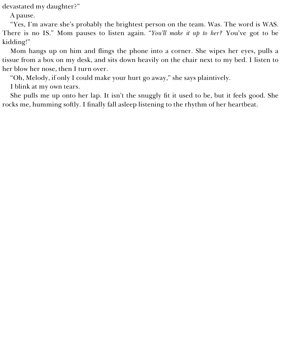devastated my daughter?"

A pause.

"Yes, I'm aware she's probably the brightest person on the team. Was. The word is WAS. There is no IS." Mom pauses to listen again. "*You'll make it up to her?* You've got to be kidding!"

Mom hangs up on him and flings the phone into a corner. She wipes her eyes, pulls a tissue from a box on my desk, and sits down heavily on the chair next to my bed. I listen to her blow her nose, then I turn over.

"Oh, Melody, if only I could make your hurt go away," she says plaintively.

I blink at my own tears.

She pulls me up onto her lap. It isn't the snuggly fit it used to be, but it feels good. She rocks me, humming softly. I finally fall asleep listening to the rhythm of her heartbeat.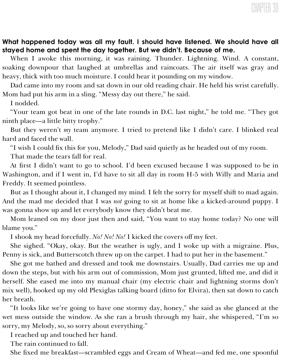## **What happened today was all my fault. I should have listened. We should have all stayed home and spent the day together. But we didn't. Because of me.**

When I awoke this morning, it was raining. Thunder. Lightning. Wind. A constant, soaking downpour that laughed at umbrellas and raincoats. The air itself was gray and heavy, thick with too much moisture. I could hear it pounding on my window.

Dad came into my room and sat down in our old reading chair. He held his wrist carefully. Mom had put his arm in a sling. "Messy day out there," he said.

I nodded.

"Your team got beat in one of the late rounds in D.C. last night," he told me. "They got ninth place—a little bitty trophy."

But they weren't *my* team anymore. I tried to pretend like I didn't care. I blinked real hard and faced the wall.

"I wish I could fix this for you, Melody," Dad said quietly as he headed out of my room.

That made the tears fall for real.

At first I didn't want to go to school. I'd been excused because I was supposed to be in Washington, and if I went in, I'd have to sit all day in room H-5 with Willy and Maria and Freddy. It seemed pointless.

But as I thought about it, I changed my mind. I felt the sorry for myself shift to mad again. And the mad me decided that I was *not* going to sit at home like a kicked-around puppy. I was gonna show up and let everybody know they didn't beat me.

Mom leaned on my door just then and said, "You want to stay home today? No one will blame you."

I shook my head forcefully. *No! No! No!* I kicked the covers off my feet.

She sighed. "Okay, okay. But the weather is ugly, and I woke up with a migraine. Plus, Penny is sick, and Butterscotch threw up on the carpet. I had to put her in the basement."

She got me bathed and dressed and took me downstairs. Usually, Dad carries me up and down the steps, but with his arm out of commission, Mom just grunted, lifted me, and did it herself. She eased me into my manual chair (my electric chair and lightning storms don't mix well), hooked up my old Plexiglas talking board (ditto for Elvira), then sat down to catch her breath.

"It looks like we're going to have one stormy day, honey," she said as she glanced at the wet mess outside the window. As she ran a brush through my hair, she whispered, "I'm so sorry, my Melody, so, so sorry about everything."

I reached up and touched her hand.

The rain continued to fall.

She fixed me breakfast—scrambled eggs and Cream of Wheat—and fed me, one spoonful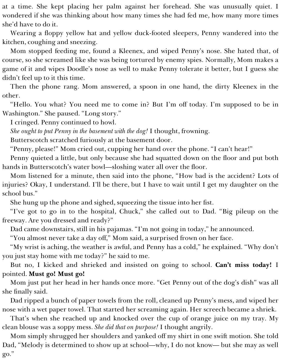at a time. She kept placing her palm against her forehead. She was unusually quiet. I wondered if she was thinking about how many times she had fed me, how many more times she'd have to do it.

Wearing a floppy yellow hat and yellow duck-footed sleepers, Penny wandered into the kitchen, coughing and sneezing.

Mom stopped feeding me, found a Kleenex, and wiped Penny's nose. She hated that, of course, so she screamed like she was being tortured by enemy spies. Normally, Mom makes a game of it and wipes Doodle's nose as well to make Penny tolerate it better, but I guess she didn't feel up to it this time.

Then the phone rang. Mom answered, a spoon in one hand, the dirty Kleenex in the other.

"Hello. You what? You need me to come in? But I'm off today. I'm supposed to be in Washington." She paused. "Long story."

I cringed. Penny continued to howl.

*She ought to put Penny in the basement with the dog!* I thought, frowning.

Butterscotch scratched furiously at the basement door.

"Penny, please!" Mom cried out, cupping her hand over the phone. "I can't hear!"

Penny quieted a little, but only because she had squatted down on the floor and put both hands in Butterscotch's water bowl—sloshing water all over the floor.

Mom listened for a minute, then said into the phone, "How bad is the accident? Lots of injuries? Okay, I understand. I'll be there, but I have to wait until I get my daughter on the school bus."

She hung up the phone and sighed, squeezing the tissue into her fist.

"I've got to go in to the hospital, Chuck," she called out to Dad. "Big pileup on the freeway. Are you dressed and ready?"

Dad came downstairs, still in his pajamas. "I'm not going in today," he announced.

"You almost never take a day off," Mom said, a surprised frown on her face.

"My wrist is aching, the weather is awful, and Penny has a cold," he explained. "Why don't you just stay home with me today?" he said to me.

But no, I kicked and shrieked and insisted on going to school. **Can't miss today!** I pointed. **Must go! Must go!**

Mom just put her head in her hands once more. "Get Penny out of the dog's dish" was all she finally said.

Dad ripped a bunch of paper towels from the roll, cleaned up Penny's mess, and wiped her nose with a wet paper towel. That started her screaming again. Her screech became a shriek.

That's when she reached up and knocked over the cup of orange juice on my tray. My clean blouse was a soppy mess. *She did that on purpose!* I thought angrily.

Mom simply shrugged her shoulders and yanked off my shirt in one swift motion. She told Dad, "Melody is determined to show up at school—why, I do not know— but she may as well go."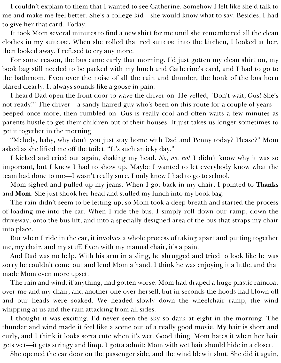I couldn't explain to them that I wanted to see Catherine. Somehow I felt like she'd talk to me and make me feel better. She's a college kid—she would know what to say. Besides, I had to give her that card. Today.

It took Mom several minutes to find a new shirt for me until she remembered all the clean clothes in my suitcase. When she rolled that red suitcase into the kitchen, I looked at her, then looked away. I refused to cry any more.

For some reason, the bus came early that morning. I'd just gotten my clean shirt on, my book bag still needed to be packed with my lunch and Catherine's card, and I had to go to the bathroom. Even over the noise of all the rain and thunder, the honk of the bus horn blared clearly. It always sounds like a goose in pain.

I heard Dad open the front door to wave the driver on. He yelled, "Don't wait, Gus! She's not ready!" The driver—a sandy-haired guy who's been on this route for a couple of years beeped once more, then rumbled on. Gus is really cool and often waits a few minutes as parents hustle to get their children out of their houses. It just takes us longer sometimes to get it together in the morning.

"Melody, baby, why don't you just stay home with Dad and Penny today? Please?" Mom asked as she lifted me off the toilet. "It's such an icky day."

I kicked and cried out again, shaking my head. *No, no, no!* I didn't know why it was so important, but I knew I had to show up. Maybe I wanted to let everybody know what the team had done to me—I wasn't really sure. I only knew I had to go to school.

Mom sighed and pulled up my jeans. When I got back in my chair, I pointed to **Thanks** and **Mom**. She just shook her head and stuffed my lunch into my book bag.

The rain didn't seem to be letting up, so Mom took a deep breath and started the process of loading me into the car. When I ride the bus, I simply roll down our ramp, down the driveway, onto the bus lift, and into a specially designed area of the bus that straps my chair into place.

But when I ride in the car, it involves a whole process of taking apart and putting together me, my chair, and my stuff. Even with my manual chair, it's a pain.

And Dad was no help. With his arm in a sling, he shrugged and tried to look like he was sorry he couldn't come out and lend Mom a hand. I think he was enjoying it a little, and that made Mom even more upset.

The rain and wind, if anything, had gotten worse. Mom had draped a huge plastic raincoat over me and my chair, and another one over herself, but in seconds the hoods had blown off and our heads were soaked. We headed slowly down the wheelchair ramp, the wind whipping at us and the rain attacking from all sides.

I thought it was exciting. I'd never seen the sky so dark at eight in the morning. The thunder and wind made it feel like a scene out of a really good movie. My hair is short and curly, and I think it looks sorta cute when it's wet. Good thing. Mom hates it when her hair gets wet—it gets stringy and limp. I gotta admit: Mom with wet hair should hide in a closet.

She opened the car door on the passenger side, and the wind blew it shut. She did it again,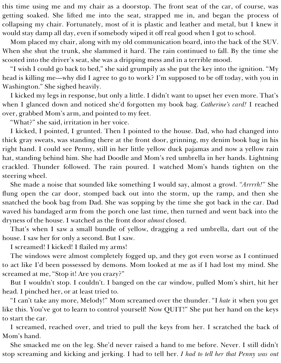this time using me and my chair as a doorstop. The front seat of the car, of course, was getting soaked. She lifted me into the seat, strapped me in, and began the process of collapsing my chair. Fortunately, most of it is plastic and leather and metal, but I knew it would stay damp all day, even if somebody wiped it off real good when I got to school.

Mom placed my chair, along with my old communication board, into the back of the SUV. When she shut the trunk, she slammed it hard. The rain continued to fall. By the time she scooted into the driver's seat, she was a dripping mess and in a terrible mood.

"I wish I could go back to bed," she said grumpily as she put the key into the ignition. "My head is killing me—why did I agree to go to work? I'm supposed to be off today, with you in Washington." She sighed heavily.

I kicked my legs in response, but only a little. I didn't want to upset her even more. That's when I glanced down and noticed she'd forgotten my book bag. *Catherine's card!* I reached over, grabbed Mom's arm, and pointed to my feet.

"What?" she said, irritation in her voice.

I kicked, I pointed, I grunted. Then I pointed to the house. Dad, who had changed into thick gray sweats, was standing there at the front door, grinning, my denim book bag in his right hand. I could see Penny, still in her little yellow duck pajamas and now a yellow rain hat, standing behind him. She had Doodle and Mom's red umbrella in her hands. Lightning crackled. Thunder followed. The rain poured. I watched Mom's hands tighten on the steering wheel.

She made a noise that sounded like something I would say, almost a growl. *"Arrrrh!"* She flung open the car door, stomped back out into the storm, up the ramp, and then she snatched the book bag from Dad. She was sopping by the time she got back in the car. Dad waved his bandaged arm from the porch one last time, then turned and went back into the dryness of the house. I watched as the front door *almost* closed.

That's when I saw a small bundle of yellow, dragging a red umbrella, dart out of the house. I saw her for only a second. But I saw.

I screamed! I kicked! I flailed my arms!

The windows were almost completely fogged up, and they got even worse as I continued to act like I'd been possessed by demons. Mom looked at me as if I had lost my mind. She screamed at me, "Stop it! Are you crazy?"

But I wouldn't stop. I couldn't. I banged on the car window, pulled Mom's shirt, hit her head. I pinched her, or at least tried to.

"I can't take any more, Melody!" Mom screamed over the thunder. "I *hate* it when you get like this. You've got to learn to control yourself! Now QUIT!" She put her hand on the keys to start the car.

I screamed, reached over, and tried to pull the keys from her. I scratched the back of Mom's hand.

She smacked me on the leg. She'd never raised a hand to me before. Never. I still didn't stop screaming and kicking and jerking. I had to tell her. *I had to tell her that Penny was out*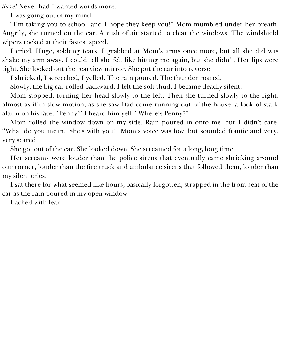*there!* Never had I wanted words more.

I was going out of my mind.

"I'm taking you to school, and I hope they keep you!" Mom mumbled under her breath. Angrily, she turned on the car. A rush of air started to clear the windows. The windshield wipers rocked at their fastest speed.

I cried. Huge, sobbing tears. I grabbed at Mom's arms once more, but all she did was shake my arm away. I could tell she felt like hitting me again, but she didn't. Her lips were tight. She looked out the rearview mirror. She put the car into reverse.

I shrieked, I screeched, I yelled. The rain poured. The thunder roared.

Slowly, the big car rolled backward. I felt the soft thud. I became deadly silent.

Mom stopped, turning her head slowly to the left. Then she turned slowly to the right, almost as if in slow motion, as she saw Dad come running out of the house, a look of stark alarm on his face. "Penny!" I heard him yell. "Where's Penny?"

Mom rolled the window down on my side. Rain poured in onto me, but I didn't care. "What do you mean? She's with you!" Mom's voice was low, but sounded frantic and very, very scared.

She got out of the car. She looked down. She screamed for a long, long time.

Her screams were louder than the police sirens that eventually came shrieking around our corner, louder than the fire truck and ambulance sirens that followed them, louder than my silent cries.

I sat there for what seemed like hours, basically forgotten, strapped in the front seat of the car as the rain poured in my open window.

I ached with fear.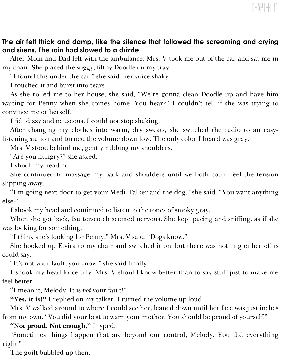## **The air felt thick and damp, like the silence that followed the screaming and crying and sirens. The rain had slowed to a drizzle.**

After Mom and Dad left with the ambulance, Mrs. V took me out of the car and sat me in my chair. She placed the soggy, filthy Doodle on my tray.

"I found this under the car," she said, her voice shaky.

I touched it and burst into tears.

As she rolled me to her house, she said, "We're gonna clean Doodle up and have him waiting for Penny when she comes home. You hear?" I couldn't tell if she was trying to convince me or herself.

I felt dizzy and nauseous. I could not stop shaking.

After changing my clothes into warm, dry sweats, she switched the radio to an easylistening station and turned the volume down low. The only color I heard was gray.

Mrs. V stood behind me, gently rubbing my shoulders.

"Are you hungry?" she asked.

I shook my head no.

She continued to massage my back and shoulders until we both could feel the tension slipping away.

"I'm going next door to get your Medi-Talker and the dog," she said. "You want anything else?"

I shook my head and continued to listen to the tones of smoky gray.

When she got back, Butterscotch seemed nervous. She kept pacing and sniffing, as if she was looking for something.

"I think she's looking for Penny," Mrs. V said. "Dogs know."

She hooked up Elvira to my chair and switched it on, but there was nothing either of us could say.

"It's not your fault, you know," she said finally.

I shook my head forcefully. Mrs. V should know better than to say stuff just to make me feel better.

"I mean it, Melody. It is *not* your fault!"

**"Yes, it is!"** I replied on my talker. I turned the volume up loud.

Mrs. V walked around to where I could see her, leaned down until her face was just inches from my own. "You did your best to warn your mother. You should be proud of yourself."

**"Not proud. Not enough, "** I typed.

"Sometimes things happen that are beyond our control, Melody. You did everything right."

The guilt bubbled up then.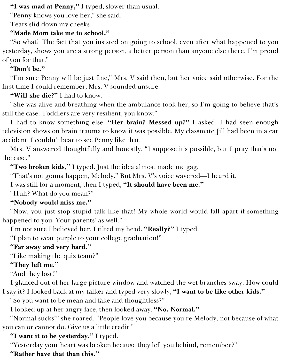**"I was mad at Penny, "** I typed, slower than usual.

"Penny knows you love her," she said.

Tears slid down my cheeks.

## **"Made Mom take me to school."**

"So what? The fact that you insisted on going to school, even after what happened to you yesterday, shows you are a strong person, a better person than anyone else there. I'm proud of you for that."

#### **"Don't be."**

"I'm sure Penny will be just fine," Mrs. V said then, but her voice said otherwise. For the first time I could remember, Mrs. V sounded unsure.

**"Will she die?"** I had to know.

"She was alive and breathing when the ambulance took her, so I'm going to believe that's still the case. Toddlers are very resilient, you know."

I had to know something else. **"Her brain? Messed up?"** I asked. I had seen enough television shows on brain trauma to know it was possible. My classmate Jill had been in a car accident. I couldn't bear to see Penny like that.

Mrs. V answered thoughtfully and honestly. "I suppose it's possible, but I pray that's not the case."

**"Two broken kids, "** I typed. Just the idea almost made me gag.

"That's not gonna happen, Melody." But Mrs. V's voice wavered—I heard it.

I was still for a moment, then I typed, **"It should have been me."**

"Huh? What do you mean?"

# **"Nobody would miss me."**

"Now, you just stop stupid talk like that! My whole world would fall apart if something happened to you. Your parents' as well."

I'm not sure I believed her. I tilted my head. **"Really?"** I typed.

"I plan to wear purple to your college graduation!"

#### **"Far away and very hard."**

"Like making the quiz team?"

## **"They left me."**

"And they lost!"

I glanced out of her large picture window and watched the wet branches sway. How could I say it? I looked back at my talker and typed very slowly, **"I want to be like other kids."**

"So you want to be mean and fake and thoughtless?"

I looked up at her angry face, then looked away. **"No. Normal."**

"Normal sucks!" she roared. "People love you because you're Melody, not because of what you can or cannot do. Give us a little credit."

**"I want it to be yesterday, "** I typed.

"Yesterday your heart was broken because they left you behind, remember?"

#### **"Rather have that than this."**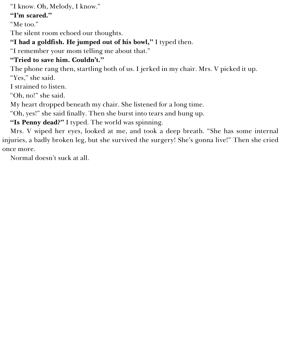"I know. Oh, Melody, I know."

## **"I'm scared."**

"Me too."

The silent room echoed our thoughts.

**"I had a goldfish. He jumped out of his bowl, "** I typed then.

"I remember your mom telling me about that."

# **"Tried to save him. Couldn't."**

The phone rang then, startling both of us. I jerked in my chair. Mrs. V picked it up. "Yes," she said.

I strained to listen.

"Oh, no!" she said.

My heart dropped beneath my chair. She listened for a long time.

"Oh, yes!" she said finally. Then she burst into tears and hung up.

**"Is Penny dead?"** I typed. The world was spinning.

Mrs. V wiped her eyes, looked at me, and took a deep breath. "She has some internal injuries, a badly broken leg, but she survived the surgery! She's gonna live!" Then she cried once more.

Normal doesn't suck at all.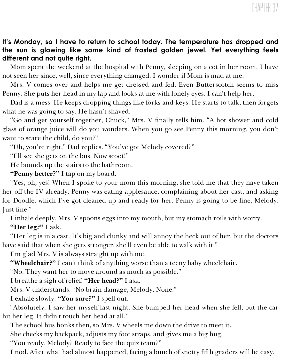## **It's Monday, so I have to return to school today. The temperature has dropped and the sun is glowing like some kind of frosted golden jewel. Yet everything feels different and not quite right.**

Mom spent the weekend at the hospital with Penny, sleeping on a cot in her room. I have not seen her since, well, since everything changed. I wonder if Mom is mad at me.

Mrs. V comes over and helps me get dressed and fed. Even Butterscotch seems to miss Penny. She puts her head in my lap and looks at me with lonely eyes. I can't help her.

Dad is a mess. He keeps dropping things like forks and keys. He starts to talk, then forgets what he was going to say. He hasn't shaved.

"Go and get yourself together, Chuck," Mrs. V finally tells him. "A hot shower and cold glass of orange juice will do you wonders. When you go see Penny this morning, you don't want to scare the child, do you?"

"Uh, you're right," Dad replies. "You've got Melody covered?"

"I'll see she gets on the bus. Now scoot!"

He bounds up the stairs to the bathroom.

**"Penny better?"** I tap on my board.

"Yes, oh, yes! When I spoke to your mom this morning, she told me that they have taken her off the IV already. Penny was eating applesauce, complaining about her cast, and asking for Doodle, which I've got cleaned up and ready for her. Penny is going to be fine, Melody. Just fine."

I inhale deeply. Mrs. V spoons eggs into my mouth, but my stomach roils with worry. **"Her leg?"** I ask.

"Her leg is in a cast. It's big and clunky and will annoy the heck out of her, but the doctors have said that when she gets stronger, she'll even be able to walk with it."

I'm glad Mrs. V is always straight up with me.

**"Wheelchair?"** I can't think of anything worse than a teeny baby wheelchair.

"No. They want her to move around as much as possible."

I breathe a sigh of relief. **"Her head?"** I ask.

Mrs. V understands. "No brain damage, Melody. None."

I exhale slowly. **"You sure?"** I spell out.

"Absolutely. I saw her myself last night. She bumped her head when she fell, but the car hit her leg. It didn't touch her head at all."

The school bus honks then, so Mrs. V wheels me down the drive to meet it.

She checks my backpack, adjusts my foot straps, and gives me a big hug.

"You ready, Melody? Ready to face the quiz team?"

I nod. After what had almost happened, facing a bunch of snotty fifth graders will be easy.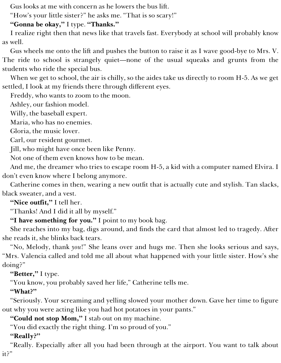Gus looks at me with concern as he lowers the bus lift.

"How's your little sister?" he asks me. "That is so scary!"

## **"Gonna be okay, "** I type. **"Thanks."**

I realize right then that news like that travels fast. Everybody at school will probably know as well.

Gus wheels me onto the lift and pushes the button to raise it as I wave good-bye to Mrs. V. The ride to school is strangely quiet—none of the usual squeaks and grunts from the students who ride the special bus.

When we get to school, the air is chilly, so the aides take us directly to room H-5. As we get settled, I look at my friends there through different eyes.

Freddy, who wants to zoom to the moon.

Ashley, our fashion model.

Willy, the baseball expert.

Maria, who has no enemies.

Gloria, the music lover.

Carl, our resident gourmet.

Jill, who might have once been like Penny.

Not one of them even knows how to be mean.

And me, the dreamer who tries to escape room H-5, a kid with a computer named Elvira. I don't even know where I belong anymore.

Catherine comes in then, wearing a new outfit that is actually cute and stylish. Tan slacks, black sweater, and a vest.

**"Nice outfit, "** I tell her.

"Thanks! And I did it all by myself."

**"I have something for you."** I point to my book bag.

She reaches into my bag, digs around, and finds the card that almost led to tragedy. After she reads it, she blinks back tears.

"No, Melody, thank *you*!" She leans over and hugs me. Then she looks serious and says, "Mrs. Valencia called and told me all about what happened with your little sister. How's she doing?"

**"Better, "** I type.

"You know, you probably saved her life," Catherine tells me.

# **"What?"**

"Seriously. Your screaming and yelling slowed your mother down. Gave her time to figure out why you were acting like you had hot potatoes in your pants."

**"Could not stop Mom, "** I stab out on my machine.

"You did exactly the right thing. I'm so proud of you."

## **"Really?"**

"Really. Especially after all you had been through at the airport. You want to talk about it?"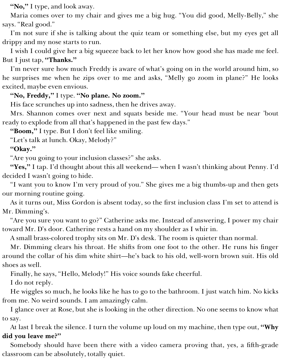**"No, "** I type, and look away.

Maria comes over to my chair and gives me a big hug. "You did good, Melly-Belly," she says. "Real good."

I'm not sure if she is talking about the quiz team or something else, but my eyes get all drippy and my nose starts to run.

I wish I could give her a big squeeze back to let her know how good she has made me feel. But I just tap, **"Thanks."**

I'm never sure how much Freddy is aware of what's going on in the world around him, so he surprises me when he zips over to me and asks, "Melly go zoom in plane?" He looks excited, maybe even envious.

## **"No, Freddy, "** I type. **"No plane. No zoom."**

His face scrunches up into sadness, then he drives away.

Mrs. Shannon comes over next and squats beside me. "Your head must be near 'bout ready to explode from all that's happened in the past few days."

**"Boom, "** I type. But I don't feel like smiling.

"Let's talk at lunch. Okay, Melody?"

## **"Okay."**

"Are you going to your inclusion classes?" she asks.

**"Yes, "** I tap. I'd thought about this all weekend— when I wasn't thinking about Penny. I'd decided I wasn't going to hide.

"I want you to know I'm very proud of you." She gives me a big thumbs-up and then gets our morning routine going.

As it turns out, Miss Gordon is absent today, so the first inclusion class I'm set to attend is Mr. Dimming's.

"Are you sure you want to go?" Catherine asks me. Instead of answering, I power my chair toward Mr. D's door. Catherine rests a hand on my shoulder as I whir in.

A small brass-colored trophy sits on Mr. D's desk. The room is quieter than normal.

Mr. Dimming clears his throat. He shifts from one foot to the other. He runs his finger around the collar of his dim white shirt—he's back to his old, well-worn brown suit. His old shoes as well.

Finally, he says, "Hello, Melody!" His voice sounds fake cheerful.

I do not reply.

He wiggles so much, he looks like he has to go to the bathroom. I just watch him. No kicks from me. No weird sounds. I am amazingly calm.

I glance over at Rose, but she is looking in the other direction. No one seems to know what to say.

At last I break the silence. I turn the volume up loud on my machine, then type out, **"Why did you leave me?"**

Somebody should have been there with a video camera proving that, yes, a fifth-grade classroom can be absolutely, totally quiet.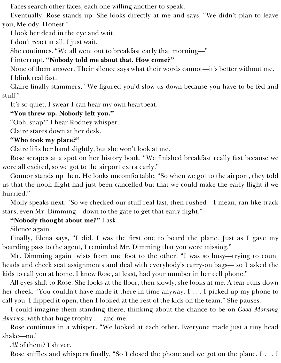Faces search other faces, each one willing another to speak.

Eventually, Rose stands up. She looks directly at me and says, "We didn't plan to leave you, Melody. Honest."

I look her dead in the eye and wait.

I don't react at all. I just wait.

She continues. "We all went out to breakfast early that morning—"

I interrupt. **"Nobody told me about that. How come?"**

None of them answer. Their silence says what their words cannot—it's better without me. I blink real fast.

Claire finally stammers, "We figured you'd slow us down because you have to be fed and stuff."

It's so quiet, I swear I can hear my own heartbeat.

## **"You threw up. Nobody left you."**

"Ooh, snap!" I hear Rodney whisper.

Claire stares down at her desk.

## **"Who took my place?"**

Claire lifts her hand slightly, but she won't look at me.

Rose scrapes at a spot on her history book. "We finished breakfast really fast because we were all excited, so we got to the airport extra early."

Connor stands up then. He looks uncomfortable. "So when we got to the airport, they told us that the noon flight had just been cancelled but that we could make the early flight if we hurried."

Molly speaks next. "So we checked our stuff real fast, then rushed—I mean, ran like track stars, even Mr. Dimming—down to the gate to get that early flight."

## **"Nobody thought about me?"** I ask.

Silence again.

Finally, Elena says, "I did. I was the first one to board the plane. Just as I gave my boarding pass to the agent, I reminded Mr. Dimming that you were missing."

Mr. Dimming again twists from one foot to the other. "I was so busy—trying to count heads and check seat assignments and deal with everybody's carry-on bags— so I asked the kids to call you at home. I knew Rose, at least, had your number in her cell phone."

All eyes shift to Rose. She looks at the floor, then slowly, she looks at me. A tear runs down her cheek. "You couldn't have made it there in time anyway. I . . . I picked up my phone to call you. I flipped it open, then I looked at the rest of the kids on the team." She pauses.

I could imagine them standing there, thinking about the chance to be on *Good Morning America*, with that huge trophy . . . and me.

Rose continues in a whisper. "We looked at each other. Everyone made just a tiny head shake—no."

*All* of them? I shiver.

Rose sniffles and whispers finally, "So I closed the phone and we got on the plane. I . . . I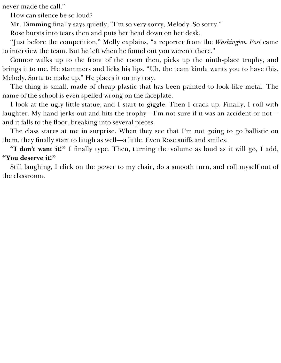never made the call."

How can silence be so loud?

Mr. Dimming finally says quietly, "I'm so very sorry, Melody. So sorry."

Rose bursts into tears then and puts her head down on her desk.

"Just before the competition," Molly explains, "a reporter from the *Washington Post* came to interview the team. But he left when he found out you weren't there."

Connor walks up to the front of the room then, picks up the ninth-place trophy, and brings it to me. He stammers and licks his lips. "Uh, the team kinda wants you to have this, Melody. Sorta to make up." He places it on my tray.

The thing is small, made of cheap plastic that has been painted to look like metal. The name of the school is even spelled wrong on the faceplate.

I look at the ugly little statue, and I start to giggle. Then I crack up. Finally, I roll with laughter. My hand jerks out and hits the trophy—I'm not sure if it was an accident or not and it falls to the floor, breaking into several pieces.

The class stares at me in surprise. When they see that I'm not going to go ballistic on them, they finally start to laugh as well—a little. Even Rose sniffs and smiles.

**"I don't want it!"** I finally type. Then, turning the volume as loud as it will go, I add, **"You deserve it!"**

Still laughing, I click on the power to my chair, do a smooth turn, and roll myself out of the classroom.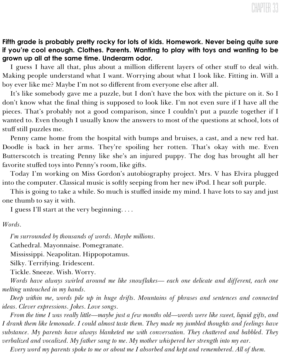## **Fifth grade is probably pretty rocky for lots of kids. Homework. Never being quite sure if you're cool enough. Clothes. Parents. Wanting to play with toys and wanting to be grown up all at the same time. Underarm odor.**

I guess I have all that, plus about a million different layers of other stuff to deal with. Making people understand what I want. Worrying about what I look like. Fitting in. Will a boy ever like me? Maybe I'm not so different from everyone else after all.

It's like somebody gave me a puzzle, but I don't have the box with the picture on it. So I don't know what the final thing is supposed to look like. I'm not even sure if I have all the pieces. That's probably not a good comparison, since I couldn't put a puzzle together if I wanted to. Even though I usually know the answers to most of the questions at school, lots of stuff still puzzles me.

Penny came home from the hospital with bumps and bruises, a cast, and a new red hat. Doodle is back in her arms. They're spoiling her rotten. That's okay with me. Even Butterscotch is treating Penny like she's an injured puppy. The dog has brought all her favorite stuffed toys into Penny's room, like gifts.

Today I'm working on Miss Gordon's autobiography project. Mrs. V has Elvira plugged into the computer. Classical music is softly seeping from her new iPod. I hear soft purple.

This is going to take a while. So much is stuffed inside my mind. I have lots to say and just one thumb to say it with.

I guess I'll start at the very beginning. . . .

#### *Words.*

*I'm surrounded by thousands of words. Maybe millions.*

Cathedral. Mayonnaise. Pomegranate.

Mississippi. Neapolitan. Hippopotamus.

Silky. Terrifying. Iridescent.

Tickle. Sneeze. Wish. Worry.

*Words have always swirled around me like snowflakes— each one delicate and different, each one melting untouched in my hands.*

*Deep within me, words pile up in huge drifts. Mountains of phrases and sentences and connected ideas. Clever expressions. Jokes. Love songs.*

From the time I was really little—maybe just a few months old—words were like sweet, liquid gifts, and I drank them like lemonade. I could almost taste them. They made my jumbled thoughts and feelings have *substance. My parents have always blanketed me with conversation. They chattered and babbled. They verbalized and vocalized. My father sang to me. My mother whispered her strength into my ear.*

Every word my parents spoke to me or about me I absorbed and kept and remembered. All of them.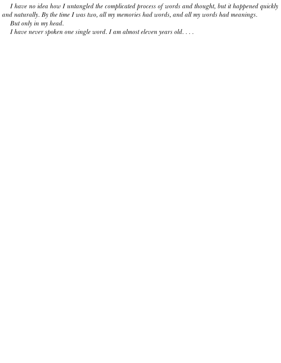I have no idea how I untangled the complicated process of words and thought, but it happened quickly and naturally. By the time I was two, all my memories had words, and all my words had meanings. *But only in my head.*

*I have never spoken one single word. I am almost eleven years old. . . .*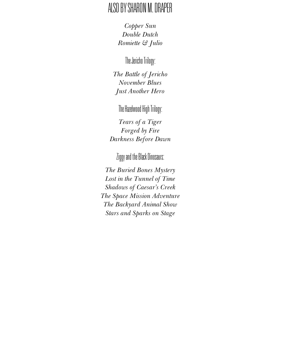# ALSO BY SHARON M. DRAPER

*Copper Sun Double Dutch Romiette & Julio*

The Jericho Trilogy:

*The Battle of Jericho November Blues Just Another Hero*

The Hazelwood High Trilogy:

*Tears of a Tiger Forged by Fire Darkness Before Dawn*

Ziggy and the Black Dinosaurs:

*The Buried Bones Mystery Lost in the Tunnel of Time Shadows of Caesar's Creek The Space Mission Adventure The Backyard Animal Show Stars and Sparks on Stage*